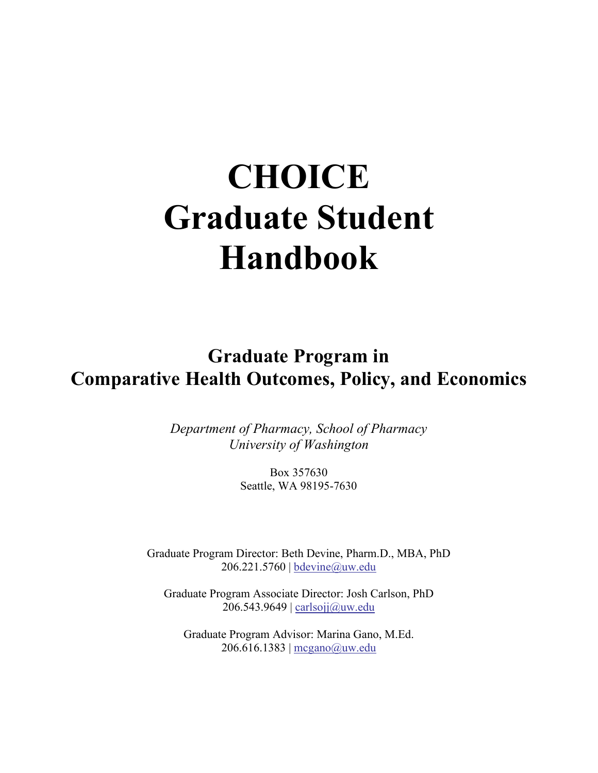# **CHOICE Graduate Student Handbook**

**Graduate Program in Comparative Health Outcomes, Policy, and Economics**

> *Department of Pharmacy, School of Pharmacy University of Washington*

> > Box 357630 Seattle, WA 98195-7630

Graduate Program Director: Beth Devine, Pharm.D., MBA, PhD 206.221.5760 | [bdevine@uw.edu](mailto:bdevine@uw.edu)

Graduate Program Associate Director: Josh Carlson, PhD 206.543.9649 | [carlsojj@uw.edu](mailto:carlsojj@uw.edu)

Graduate Program Advisor: Marina Gano, M.Ed. 206.616.1383 | [mcgano@uw.edu](mailto:mcgano@uw.edu)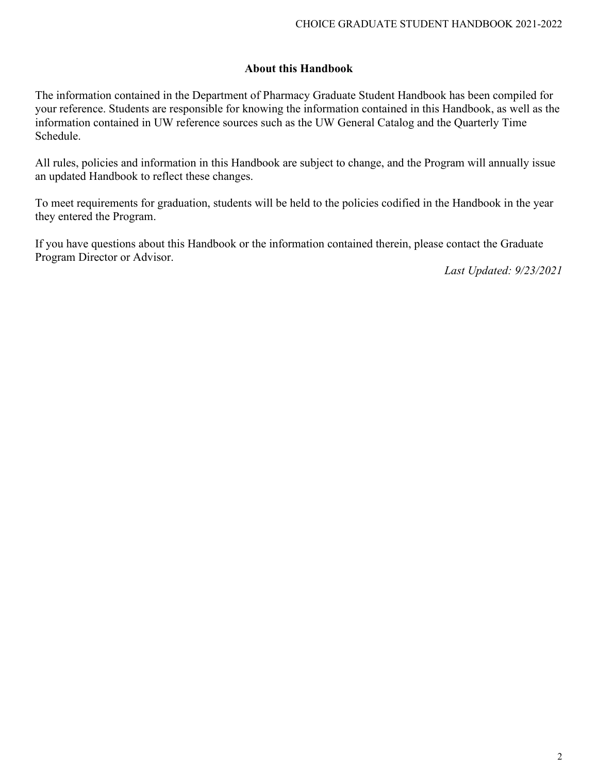#### **About this Handbook**

The information contained in the Department of Pharmacy Graduate Student Handbook has been compiled for your reference. Students are responsible for knowing the information contained in this Handbook, as well as the information contained in UW reference sources such as the UW General Catalog and the Quarterly Time Schedule.

All rules, policies and information in this Handbook are subject to change, and the Program will annually issue an updated Handbook to reflect these changes.

To meet requirements for graduation, students will be held to the policies codified in the Handbook in the year they entered the Program.

If you have questions about this Handbook or the information contained therein, please contact the Graduate Program Director or Advisor.

*Last Updated: 9/23/2021*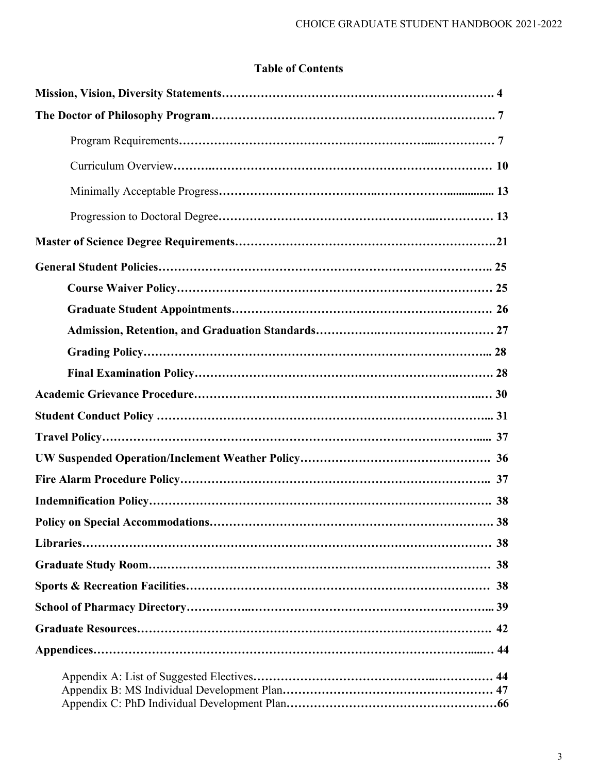# **Table of Contents**

| 38 |
|----|
|    |
|    |
|    |
|    |
|    |
|    |
|    |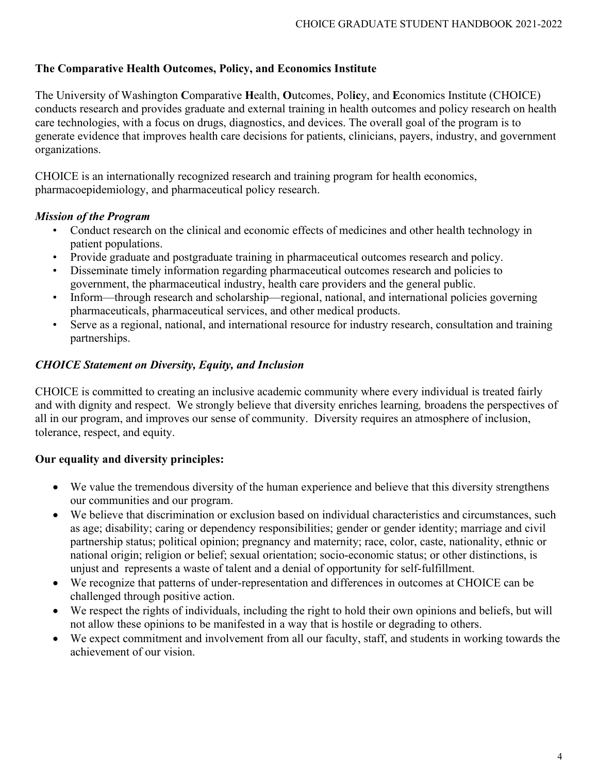## **The Comparative Health Outcomes, Policy, and Economics Institute**

The University of Washington **C**omparative **H**ealth, **O**utcomes, Pol**ic**y, and **E**conomics Institute (CHOICE) conducts research and provides graduate and external training in health outcomes and policy research on health care technologies, with a focus on drugs, diagnostics, and devices. The overall goal of the program is to generate evidence that improves health care decisions for patients, clinicians, payers, industry, and government organizations.

CHOICE is an internationally recognized research and training program for health economics, pharmacoepidemiology, and pharmaceutical policy research.

#### *Mission of the Program*

- Conduct research on the clinical and economic effects of medicines and other health technology in patient populations.
- Provide graduate and postgraduate training in pharmaceutical outcomes research and policy.
- Disseminate timely information regarding pharmaceutical outcomes research and policies to government, the pharmaceutical industry, health care providers and the general public.
- Inform—through research and scholarship—regional, national, and international policies governing pharmaceuticals, pharmaceutical services, and other medical products.
- Serve as a regional, national, and international resource for industry research, consultation and training partnerships.

### *CHOICE Statement on Diversity, Equity, and Inclusion*

CHOICE is committed to creating an inclusive academic community where every individual is treated fairly and with dignity and respect. We strongly believe that diversity enriches learning*,* broadens the perspectives of all in our program, and improves our sense of community. Diversity requires an atmosphere of inclusion, tolerance, respect, and equity.

### **Our equality and diversity principles:**

- We value the tremendous diversity of the human experience and believe that this diversity strengthens our communities and our program.
- We believe that discrimination or exclusion based on individual characteristics and circumstances, such as age; disability; caring or dependency responsibilities; gender or gender identity; marriage and civil partnership status; political opinion; pregnancy and maternity; race, color, caste, nationality, ethnic or national origin; religion or belief; sexual orientation; socio-economic status; or other distinctions, is unjust and represents a waste of talent and a denial of opportunity for self-fulfillment.
- We recognize that patterns of under-representation and differences in outcomes at CHOICE can be challenged through positive action.
- We respect the rights of individuals, including the right to hold their own opinions and beliefs, but will not allow these opinions to be manifested in a way that is hostile or degrading to others.
- We expect commitment and involvement from all our faculty, staff, and students in working towards the achievement of our vision.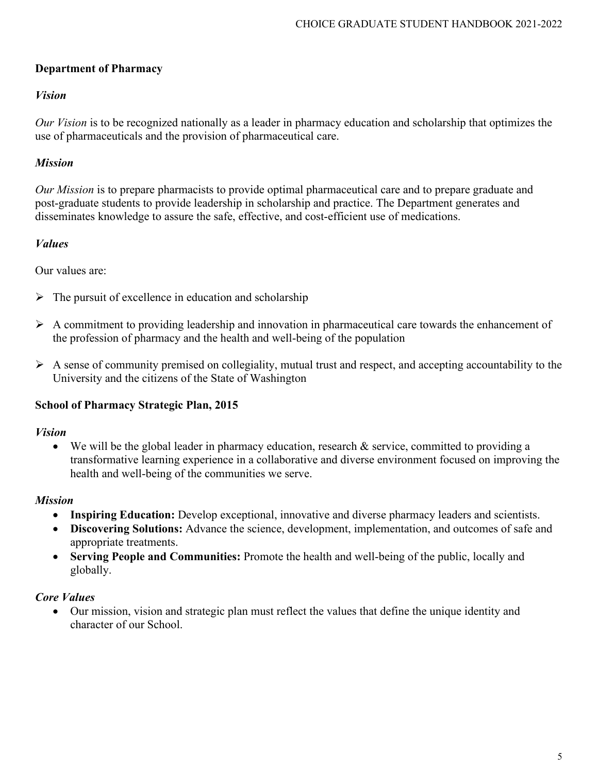# **Department of Pharmacy**

#### *Vision*

*Our Vision* is to be recognized nationally as a leader in pharmacy education and scholarship that optimizes the use of pharmaceuticals and the provision of pharmaceutical care.

## *Mission*

*Our Mission* is to prepare pharmacists to provide optimal pharmaceutical care and to prepare graduate and post-graduate students to provide leadership in scholarship and practice. The Department generates and disseminates knowledge to assure the safe, effective, and cost-efficient use of medications.

### *Values*

Our values are:

- $\triangleright$  The pursuit of excellence in education and scholarship
- $\triangleright$  A commitment to providing leadership and innovation in pharmaceutical care towards the enhancement of the profession of pharmacy and the health and well-being of the population
- $\triangleright$  A sense of community premised on collegiality, mutual trust and respect, and accepting accountability to the University and the citizens of the State of Washington

### **School of Pharmacy Strategic Plan, 2015**

### *Vision*

• We will be the global leader in pharmacy education, research & service, committed to providing a transformative learning experience in a collaborative and diverse environment focused on improving the health and well-being of the communities we serve.

#### *Mission*

- **Inspiring Education:** Develop exceptional, innovative and diverse pharmacy leaders and scientists.
- **Discovering Solutions:** Advance the science, development, implementation, and outcomes of safe and appropriate treatments.
- **Serving People and Communities:** Promote the health and well-being of the public, locally and globally.

### *Core Values*

• Our mission, vision and strategic plan must reflect the values that define the unique identity and character of our School.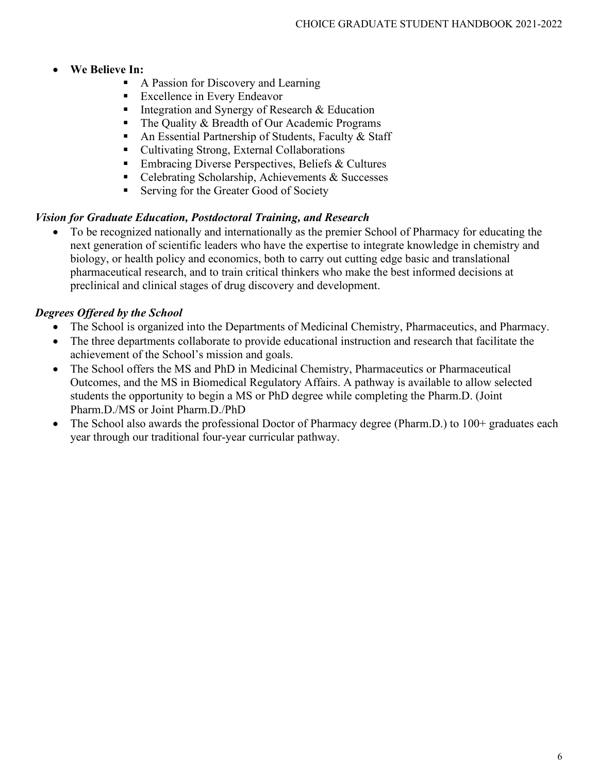#### • **We Believe In:**

- A Passion for Discovery and Learning
- **Excellence in Every Endeavor**
- Integration and Synergy of Research  $& Education$
- The Quality & Breadth of Our Academic Programs
- An Essential Partnership of Students, Faculty & Staff
- Cultivating Strong, External Collaborations
- **Embracing Diverse Perspectives, Beliefs & Cultures**
- Celebrating Scholarship, Achievements & Successes
- Serving for the Greater Good of Society

### *Vision for Graduate Education, Postdoctoral Training, and Research*

• To be recognized nationally and internationally as the premier School of Pharmacy for educating the next generation of scientific leaders who have the expertise to integrate knowledge in chemistry and biology, or health policy and economics, both to carry out cutting edge basic and translational pharmaceutical research, and to train critical thinkers who make the best informed decisions at preclinical and clinical stages of drug discovery and development.

# *Degrees Offered by the School*

- The School is organized into the Departments of Medicinal Chemistry, Pharmaceutics, and Pharmacy.
- The three departments collaborate to provide educational instruction and research that facilitate the achievement of the School's mission and goals.
- The School offers the MS and PhD in Medicinal Chemistry, Pharmaceutics or Pharmaceutical Outcomes, and the MS in Biomedical Regulatory Affairs. A pathway is available to allow selected students the opportunity to begin a MS or PhD degree while completing the Pharm.D. (Joint Pharm.D./MS or Joint Pharm.D./PhD
- The School also awards the professional Doctor of Pharmacy degree (Pharm.D.) to 100+ graduates each year through our traditional four-year curricular pathway.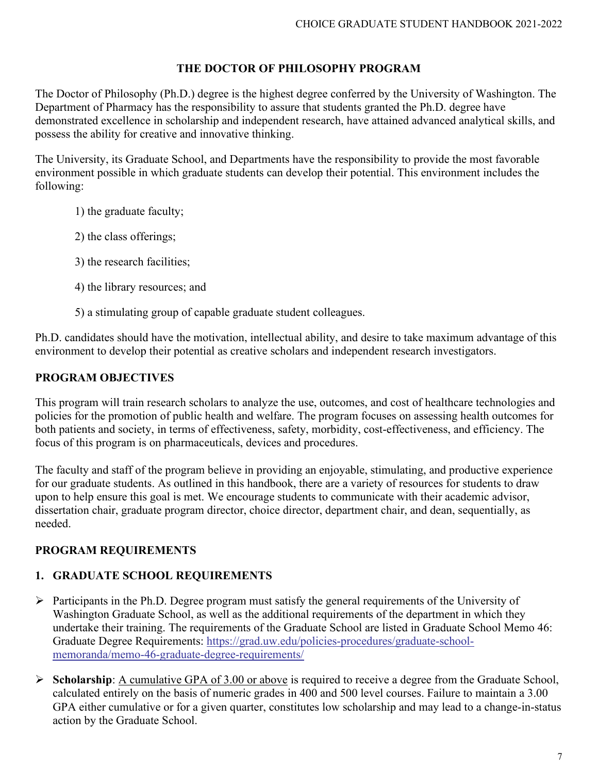## **THE DOCTOR OF PHILOSOPHY PROGRAM**

The Doctor of Philosophy (Ph.D.) degree is the highest degree conferred by the University of Washington. The Department of Pharmacy has the responsibility to assure that students granted the Ph.D. degree have demonstrated excellence in scholarship and independent research, have attained advanced analytical skills, and possess the ability for creative and innovative thinking.

The University, its Graduate School, and Departments have the responsibility to provide the most favorable environment possible in which graduate students can develop their potential. This environment includes the following:

- 1) the graduate faculty;
- 2) the class offerings;
- 3) the research facilities;
- 4) the library resources; and
- 5) a stimulating group of capable graduate student colleagues.

Ph.D. candidates should have the motivation, intellectual ability, and desire to take maximum advantage of this environment to develop their potential as creative scholars and independent research investigators.

### **PROGRAM OBJECTIVES**

This program will train research scholars to analyze the use, outcomes, and cost of healthcare technologies and policies for the promotion of public health and welfare. The program focuses on assessing health outcomes for both patients and society, in terms of effectiveness, safety, morbidity, cost-effectiveness, and efficiency. The focus of this program is on pharmaceuticals, devices and procedures.

The faculty and staff of the program believe in providing an enjoyable, stimulating, and productive experience for our graduate students. As outlined in this handbook, there are a variety of resources for students to draw upon to help ensure this goal is met. We encourage students to communicate with their academic advisor, dissertation chair, graduate program director, choice director, department chair, and dean, sequentially, as needed.

### **PROGRAM REQUIREMENTS**

### **1. GRADUATE SCHOOL REQUIREMENTS**

- $\triangleright$  Participants in the Ph.D. Degree program must satisfy the general requirements of the University of Washington Graduate School, as well as the additional requirements of the department in which they undertake their training. The requirements of the Graduate School are listed in Graduate School Memo 46: Graduate Degree Requirements: [https://grad.uw.edu/policies-procedures/graduate-school](https://grad.uw.edu/policies-procedures/graduate-school-memoranda/memo-46-graduate-degree-requirements/)[memoranda/memo-46-graduate-degree-requirements/](https://grad.uw.edu/policies-procedures/graduate-school-memoranda/memo-46-graduate-degree-requirements/)
- **Scholarship**: <u>A cumulative GPA of 3.00 or above</u> is required to receive a degree from the Graduate School, calculated entirely on the basis of numeric grades in 400 and 500 level courses. Failure to maintain a 3.00 GPA either cumulative or for a given quarter, constitutes low scholarship and may lead to a change-in-status action by the Graduate School.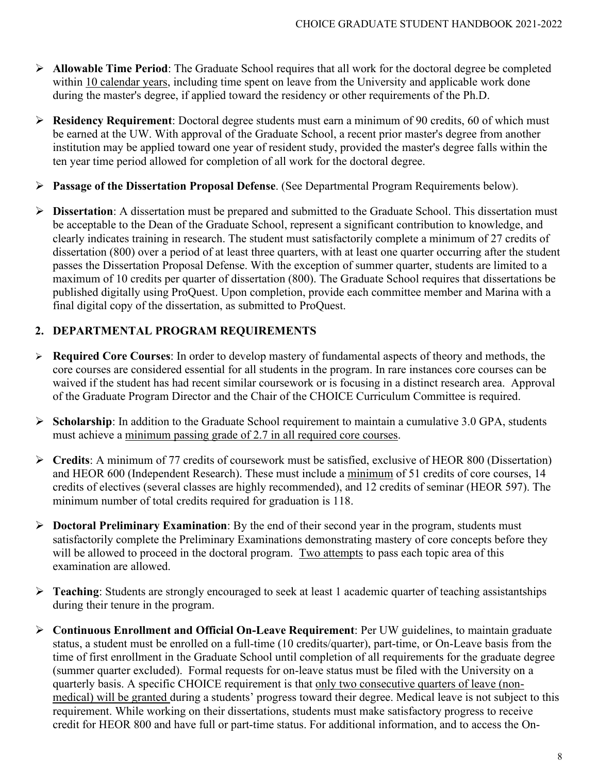- **Allowable Time Period**: The Graduate School requires that all work for the doctoral degree be completed within 10 calendar years, including time spent on leave from the University and applicable work done during the master's degree, if applied toward the residency or other requirements of the Ph.D.
- **Residency Requirement**: Doctoral degree students must earn a minimum of 90 credits, 60 of which must be earned at the UW. With approval of the Graduate School, a recent prior master's degree from another institution may be applied toward one year of resident study, provided the master's degree falls within the ten year time period allowed for completion of all work for the doctoral degree.
- **Passage of the Dissertation Proposal Defense**. (See Departmental Program Requirements below).
- **Dissertation**: A dissertation must be prepared and submitted to the Graduate School. This dissertation must be acceptable to the Dean of the Graduate School, represent a significant contribution to knowledge, and clearly indicates training in research. The student must satisfactorily complete a minimum of 27 credits of dissertation (800) over a period of at least three quarters, with at least one quarter occurring after the student passes the Dissertation Proposal Defense. With the exception of summer quarter, students are limited to a maximum of 10 credits per quarter of dissertation (800). The Graduate School requires that dissertations be published digitally using ProQuest. Upon completion, provide each committee member and Marina with a final digital copy of the dissertation, as submitted to ProQuest.

## **2. DEPARTMENTAL PROGRAM REQUIREMENTS**

- **Required Core Courses**: In order to develop mastery of fundamental aspects of theory and methods, the core courses are considered essential for all students in the program. In rare instances core courses can be waived if the student has had recent similar coursework or is focusing in a distinct research area. Approval of the Graduate Program Director and the Chair of the CHOICE Curriculum Committee is required.
- **Scholarship**: In addition to the Graduate School requirement to maintain a cumulative 3.0 GPA, students must achieve a minimum passing grade of 2.7 in all required core courses.
- **Credits**: A minimum of 77 credits of coursework must be satisfied, exclusive of HEOR 800 (Dissertation) and HEOR 600 (Independent Research). These must include a minimum of 51 credits of core courses, 14 credits of electives (several classes are highly recommended), and 12 credits of seminar (HEOR 597). The minimum number of total credits required for graduation is 118.
- **Doctoral Preliminary Examination**: By the end of their second year in the program, students must satisfactorily complete the Preliminary Examinations demonstrating mastery of core concepts before they will be allowed to proceed in the doctoral program. Two attempts to pass each topic area of this examination are allowed.
- **Teaching:** Students are strongly encouraged to seek at least 1 academic quarter of teaching assistantships during their tenure in the program.
- **Continuous Enrollment and Official On-Leave Requirement**: Per UW guidelines, to maintain graduate status, a student must be enrolled on a full-time (10 credits/quarter), part-time, or On-Leave basis from the time of first enrollment in the Graduate School until completion of all requirements for the graduate degree (summer quarter excluded). Formal requests for on-leave status must be filed with the University on a quarterly basis. A specific CHOICE requirement is that only two consecutive quarters of leave (nonmedical) will be granted during a students' progress toward their degree. Medical leave is not subject to this requirement. While working on their dissertations, students must make satisfactory progress to receive credit for HEOR 800 and have full or part-time status. For additional information, and to access the On-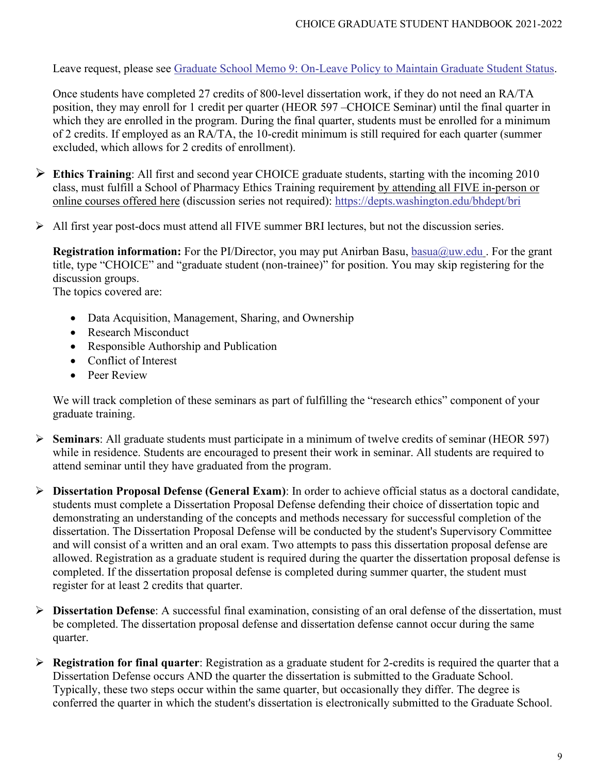Leave request, please see [Graduate School Memo 9: On-Leave Policy to Maintain Graduate Student Status.](http://grad.uw.edu/policies-procedures/graduate-school-memoranda/memo-9-on-leave-policy-to-maintain-graduate-student-status/)

Once students have completed 27 credits of 800-level dissertation work, if they do not need an RA/TA position, they may enroll for 1 credit per quarter (HEOR 597 –CHOICE Seminar) until the final quarter in which they are enrolled in the program. During the final quarter, students must be enrolled for a minimum of 2 credits. If employed as an RA/TA, the 10-credit minimum is still required for each quarter (summer excluded, which allows for 2 credits of enrollment).

- **Ethics Training**: All first and second year CHOICE graduate students, starting with the incoming 2010 class, must fulfill a School of Pharmacy Ethics Training requirement by attending all FIVE in-person or online courses offered here (discussion series not required): <https://depts.washington.edu/bhdept/bri>
- All first year post-docs must attend all FIVE summer BRI lectures, but not the discussion series.

**Registration information:** For the PI/Director, you may put Anirban Basu, [basua@uw.edu](mailto:basua@uw.edu). For the grant title, type "CHOICE" and "graduate student (non-trainee)" for position. You may skip registering for the discussion groups.

The topics covered are:

- Data Acquisition, Management, Sharing, and Ownership
- Research Misconduct
- Responsible Authorship and Publication
- Conflict of Interest
- Peer Review

We will track completion of these seminars as part of fulfilling the "research ethics" component of your graduate training.

- **Seminars**: All graduate students must participate in a minimum of twelve credits of seminar (HEOR 597) while in residence. Students are encouraged to present their work in seminar. All students are required to attend seminar until they have graduated from the program.
- **Dissertation Proposal Defense (General Exam)**: In order to achieve official status as a doctoral candidate, students must complete a Dissertation Proposal Defense defending their choice of dissertation topic and demonstrating an understanding of the concepts and methods necessary for successful completion of the dissertation. The Dissertation Proposal Defense will be conducted by the student's Supervisory Committee and will consist of a written and an oral exam. Two attempts to pass this dissertation proposal defense are allowed. Registration as a graduate student is required during the quarter the dissertation proposal defense is completed. If the dissertation proposal defense is completed during summer quarter, the student must register for at least 2 credits that quarter.
- **Dissertation Defense**: A successful final examination, consisting of an oral defense of the dissertation, must be completed. The dissertation proposal defense and dissertation defense cannot occur during the same quarter.
- **Registration for final quarter**: Registration as a graduate student for 2-credits is required the quarter that a Dissertation Defense occurs AND the quarter the dissertation is submitted to the Graduate School. Typically, these two steps occur within the same quarter, but occasionally they differ. The degree is conferred the quarter in which the student's dissertation is electronically submitted to the Graduate School.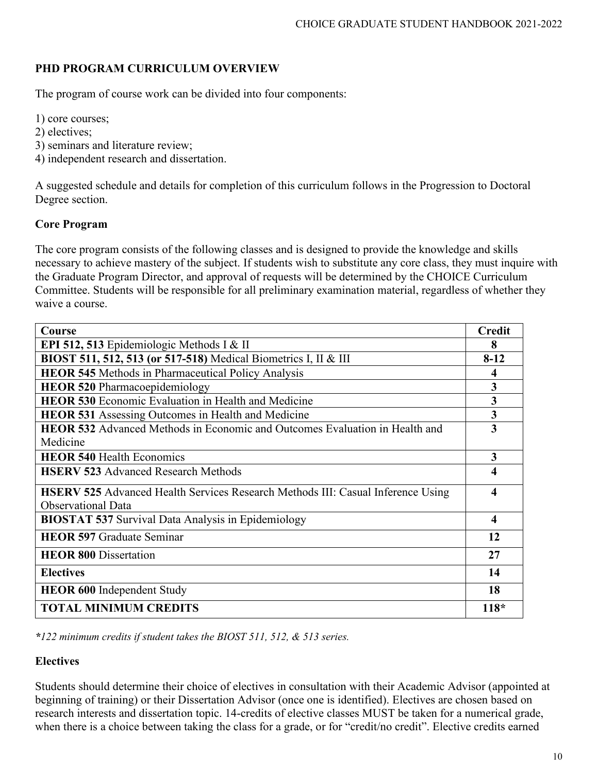# **PHD PROGRAM CURRICULUM OVERVIEW**

The program of course work can be divided into four components:

1) core courses;

- 2) electives;
- 3) seminars and literature review;
- 4) independent research and dissertation.

A suggested schedule and details for completion of this curriculum follows in the Progression to Doctoral Degree section.

#### **Core Program**

The core program consists of the following classes and is designed to provide the knowledge and skills necessary to achieve mastery of the subject. If students wish to substitute any core class, they must inquire with the Graduate Program Director, and approval of requests will be determined by the CHOICE Curriculum Committee. Students will be responsible for all preliminary examination material, regardless of whether they waive a course.

| Course                                                                                 | <b>Credit</b> |
|----------------------------------------------------------------------------------------|---------------|
| EPI 512, 513 Epidemiologic Methods I & II                                              | 8             |
| BIOST 511, 512, 513 (or 517-518) Medical Biometrics I, II & III                        | $8-12$        |
| <b>HEOR 545</b> Methods in Pharmaceutical Policy Analysis                              | 4             |
| <b>HEOR 520 Pharmacoepidemiology</b>                                                   | 3             |
| <b>HEOR 530</b> Economic Evaluation in Health and Medicine                             | 3             |
| <b>HEOR 531</b> Assessing Outcomes in Health and Medicine                              | 3             |
| <b>HEOR 532</b> Advanced Methods in Economic and Outcomes Evaluation in Health and     | 3             |
| Medicine                                                                               |               |
| <b>HEOR 540 Health Economics</b>                                                       | 3             |
| <b>HSERV 523 Advanced Research Methods</b>                                             | 4             |
| <b>HSERV 525</b> Advanced Health Services Research Methods III: Casual Inference Using | 4             |
| <b>Observational Data</b>                                                              |               |
| <b>BIOSTAT 537 Survival Data Analysis in Epidemiology</b>                              | 4             |
| <b>HEOR 597 Graduate Seminar</b>                                                       | 12            |
| <b>HEOR 800 Dissertation</b>                                                           | 27            |
| <b>Electives</b>                                                                       | 14            |
| <b>HEOR 600</b> Independent Study                                                      | 18            |
| <b>TOTAL MINIMUM CREDITS</b>                                                           | $118*$        |

*\*122 minimum credits if student takes the BIOST 511, 512, & 513 series.*

### **Electives**

Students should determine their choice of electives in consultation with their Academic Advisor (appointed at beginning of training) or their Dissertation Advisor (once one is identified). Electives are chosen based on research interests and dissertation topic. 14-credits of elective classes MUST be taken for a numerical grade, when there is a choice between taking the class for a grade, or for "credit/no credit". Elective credits earned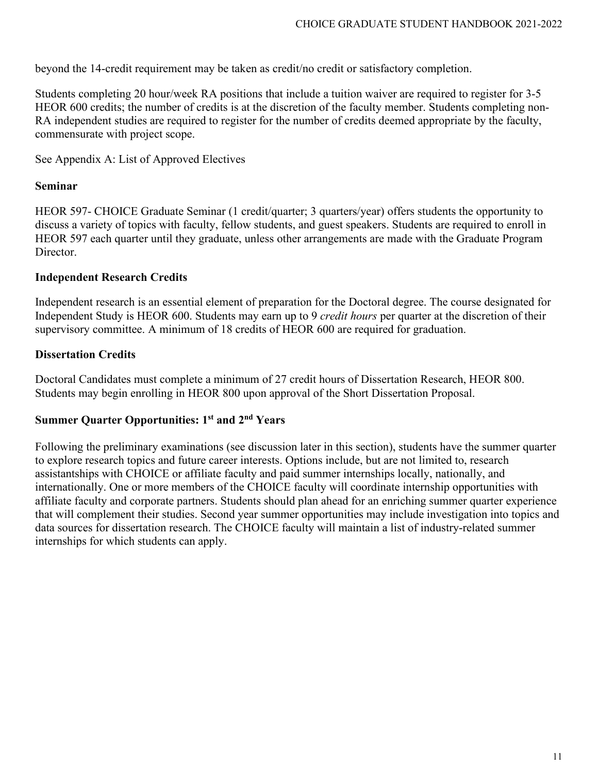beyond the 14-credit requirement may be taken as credit/no credit or satisfactory completion.

Students completing 20 hour/week RA positions that include a tuition waiver are required to register for 3-5 HEOR 600 credits; the number of credits is at the discretion of the faculty member. Students completing non-RA independent studies are required to register for the number of credits deemed appropriate by the faculty, commensurate with project scope.

See Appendix A: List of Approved Electives

#### **Seminar**

HEOR 597- CHOICE Graduate Seminar (1 credit/quarter; 3 quarters/year) offers students the opportunity to discuss a variety of topics with faculty, fellow students, and guest speakers. Students are required to enroll in HEOR 597 each quarter until they graduate, unless other arrangements are made with the Graduate Program Director.

#### **Independent Research Credits**

Independent research is an essential element of preparation for the Doctoral degree. The course designated for Independent Study is HEOR 600. Students may earn up to 9 *credit hours* per quarter at the discretion of their supervisory committee. A minimum of 18 credits of HEOR 600 are required for graduation.

#### **Dissertation Credits**

Doctoral Candidates must complete a minimum of 27 credit hours of Dissertation Research, HEOR 800. Students may begin enrolling in HEOR 800 upon approval of the Short Dissertation Proposal.

#### **Summer Quarter Opportunities: 1st and 2nd Years**

Following the preliminary examinations (see discussion later in this section), students have the summer quarter to explore research topics and future career interests. Options include, but are not limited to, research assistantships with CHOICE or affiliate faculty and paid summer internships locally, nationally, and internationally. One or more members of the CHOICE faculty will coordinate internship opportunities with affiliate faculty and corporate partners. Students should plan ahead for an enriching summer quarter experience that will complement their studies. Second year summer opportunities may include investigation into topics and data sources for dissertation research. The CHOICE faculty will maintain a list of industry-related summer internships for which students can apply.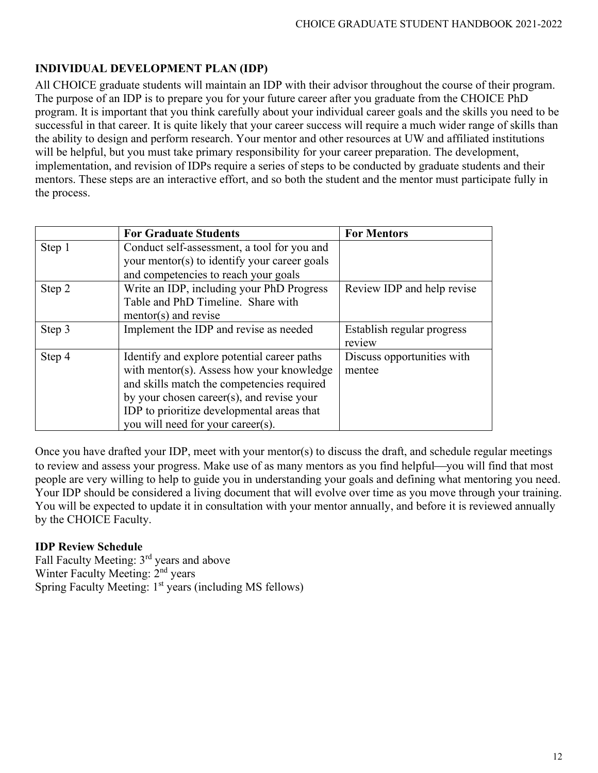# **INDIVIDUAL DEVELOPMENT PLAN (IDP)**

All CHOICE graduate students will maintain an IDP with their advisor throughout the course of their program. The purpose of an IDP is to prepare you for your future career after you graduate from the CHOICE PhD program. It is important that you think carefully about your individual career goals and the skills you need to be successful in that career. It is quite likely that your career success will require a much wider range of skills than the ability to design and perform research. Your mentor and other resources at UW and affiliated institutions will be helpful, but you must take primary responsibility for your career preparation. The development, implementation, and revision of IDPs require a series of steps to be conducted by graduate students and their mentors. These steps are an interactive effort, and so both the student and the mentor must participate fully in the process.

|        | <b>For Graduate Students</b>                                                                                                                                                                                                                                           | <b>For Mentors</b>                   |
|--------|------------------------------------------------------------------------------------------------------------------------------------------------------------------------------------------------------------------------------------------------------------------------|--------------------------------------|
| Step 1 | Conduct self-assessment, a tool for you and<br>your mentor(s) to identify your career goals<br>and competencies to reach your goals                                                                                                                                    |                                      |
| Step 2 | Write an IDP, including your PhD Progress<br>Table and PhD Timeline. Share with<br>$mentor(s)$ and revise                                                                                                                                                              | Review IDP and help revise           |
| Step 3 | Implement the IDP and revise as needed                                                                                                                                                                                                                                 | Establish regular progress<br>review |
| Step 4 | Identify and explore potential career paths<br>with mentor(s). Assess how your knowledge<br>and skills match the competencies required<br>by your chosen career(s), and revise your<br>IDP to prioritize developmental areas that<br>you will need for your career(s). | Discuss opportunities with<br>mentee |

Once you have drafted your IDP, meet with your mentor(s) to discuss the draft, and schedule regular meetings to review and assess your progress. Make use of as many mentors as you find helpful—you will find that most people are very willing to help to guide you in understanding your goals and defining what mentoring you need. Your IDP should be considered a living document that will evolve over time as you move through your training. You will be expected to update it in consultation with your mentor annually, and before it is reviewed annually by the CHOICE Faculty.

### **IDP Review Schedule**

Fall Faculty Meeting: 3rd years and above Winter Faculty Meeting: 2<sup>nd</sup> years Spring Faculty Meeting: 1<sup>st</sup> years (including MS fellows)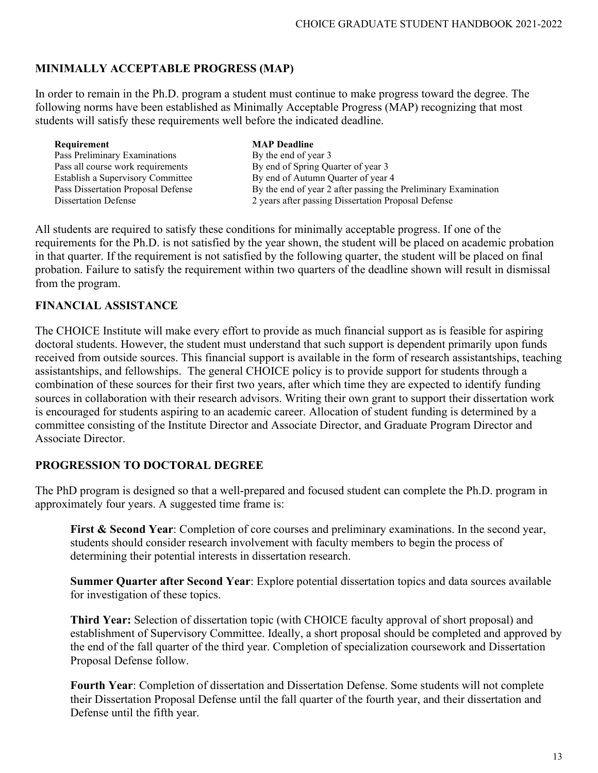# **MINIMALLY ACCEPTABLE PROGRESS (MAP)**

In order to remain in the Ph.D. program a student must continue to make progress toward the degree. The following norms have been established as Minimally Acceptable Progress (MAP) recognizing that most students will satisfy these requirements well before the indicated deadline.

| Requirement                        | <b>MAP</b> Deadline                                            |
|------------------------------------|----------------------------------------------------------------|
| Pass Preliminary Examinations      | By the end of year 3                                           |
| Pass all course work requirements  | By end of Spring Quarter of year 3                             |
| Establish a Supervisory Committee  | By end of Autumn Quarter of year 4                             |
| Pass Dissertation Proposal Defense | By the end of year 2 after passing the Preliminary Examination |
| <b>Dissertation Defense</b>        | 2 years after passing Dissertation Proposal Defense            |

All students are required to satisfy these conditions for minimally acceptable progress. If one of the requirements for the Ph.D. is not satisfied by the year shown, the student will be placed on academic probation in that quarter. If the requirement is not satisfied by the following quarter, the student will be placed on final probation. Failure to satisfy the requirement within two quarters of the deadline shown will result in dismissal from the program.

#### **FINANCIAL ASSISTANCE**

The CHOICE Institute will make every effort to provide as much financial support as is feasible for aspiring doctoral students. However, the student must understand that such support is dependent primarily upon funds received from outside sources. This financial support is available in the form of research assistantships, teaching assistantships, and fellowships. The general CHOICE policy is to provide support for students through a combination of these sources for their first two years, after which time they are expected to identify funding sources in collaboration with their research advisors. Writing their own grant to support their dissertation work is encouraged for students aspiring to an academic career. Allocation of student funding is determined by a committee consisting of the Institute Director and Associate Director, and Graduate Program Director and Associate Director.

#### **PROGRESSION TO DOCTORAL DEGREE**

The PhD program is designed so that a well-prepared and focused student can complete the Ph.D. program in approximately four years. A suggested time frame is:

**First & Second Year:** Completion of core courses and preliminary examinations. In the second year, students should consider research involvement with faculty members to begin the process of determining their potential interests in dissertation research.

**Summer Quarter after Second Year**: Explore potential dissertation topics and data sources available for investigation of these topics.

**Third Year:** Selection of dissertation topic (with CHOICE faculty approval of short proposal) and establishment of Supervisory Committee. Ideally, a short proposal should be completed and approved by the end of the fall quarter of the third year. Completion of specialization coursework and Dissertation Proposal Defense follow.

**Fourth Year**: Completion of dissertation and Dissertation Defense. Some students will not complete their Dissertation Proposal Defense until the fall quarter of the fourth year, and their dissertation and Defense until the fifth year.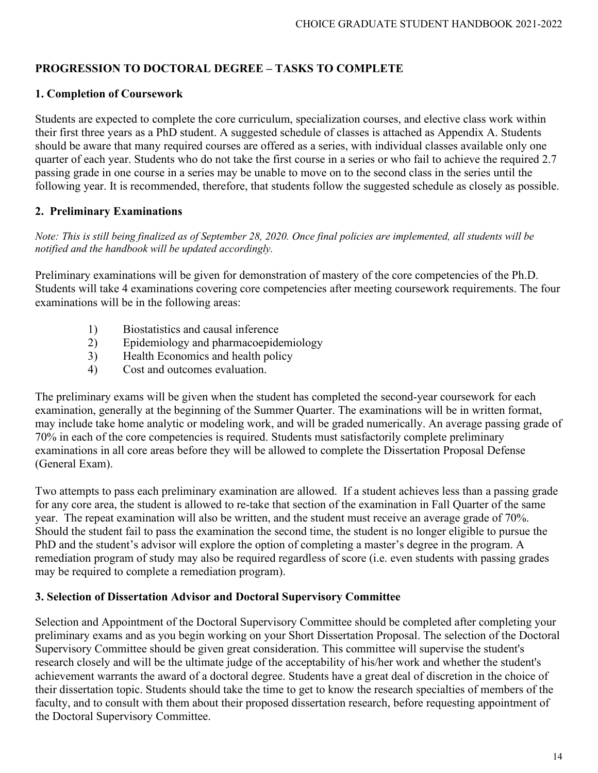# **PROGRESSION TO DOCTORAL DEGREE – TASKS TO COMPLETE**

## **1. Completion of Coursework**

Students are expected to complete the core curriculum, specialization courses, and elective class work within their first three years as a PhD student. A suggested schedule of classes is attached as Appendix A. Students should be aware that many required courses are offered as a series, with individual classes available only one quarter of each year. Students who do not take the first course in a series or who fail to achieve the required 2.7 passing grade in one course in a series may be unable to move on to the second class in the series until the following year. It is recommended, therefore, that students follow the suggested schedule as closely as possible.

## **2. Preliminary Examinations**

*Note: This is still being finalized as of September 28, 2020. Once final policies are implemented, all students will be notified and the handbook will be updated accordingly.* 

Preliminary examinations will be given for demonstration of mastery of the core competencies of the Ph.D. Students will take 4 examinations covering core competencies after meeting coursework requirements. The four examinations will be in the following areas:

- 1) Biostatistics and causal inference
- 2) Epidemiology and pharmacoepidemiology
- 3) Health Economics and health policy
- 4) Cost and outcomes evaluation.

The preliminary exams will be given when the student has completed the second-year coursework for each examination, generally at the beginning of the Summer Quarter. The examinations will be in written format, may include take home analytic or modeling work, and will be graded numerically. An average passing grade of 70% in each of the core competencies is required. Students must satisfactorily complete preliminary examinations in all core areas before they will be allowed to complete the Dissertation Proposal Defense (General Exam).

Two attempts to pass each preliminary examination are allowed. If a student achieves less than a passing grade for any core area, the student is allowed to re-take that section of the examination in Fall Quarter of the same year. The repeat examination will also be written, and the student must receive an average grade of 70%. Should the student fail to pass the examination the second time, the student is no longer eligible to pursue the PhD and the student's advisor will explore the option of completing a master's degree in the program. A remediation program of study may also be required regardless of score (i.e. even students with passing grades may be required to complete a remediation program).

#### **3. Selection of Dissertation Advisor and Doctoral Supervisory Committee**

Selection and Appointment of the Doctoral Supervisory Committee should be completed after completing your preliminary exams and as you begin working on your Short Dissertation Proposal. The selection of the Doctoral Supervisory Committee should be given great consideration. This committee will supervise the student's research closely and will be the ultimate judge of the acceptability of his/her work and whether the student's achievement warrants the award of a doctoral degree. Students have a great deal of discretion in the choice of their dissertation topic. Students should take the time to get to know the research specialties of members of the faculty, and to consult with them about their proposed dissertation research, before requesting appointment of the Doctoral Supervisory Committee.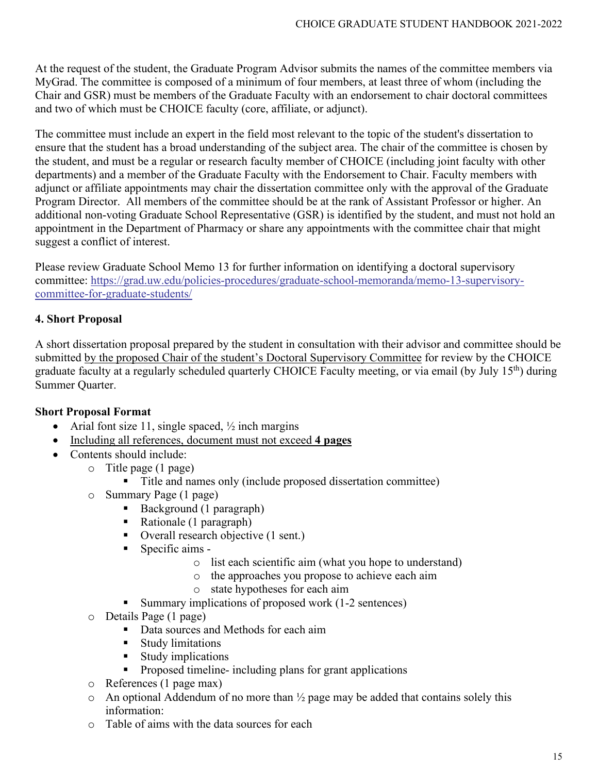At the request of the student, the Graduate Program Advisor submits the names of the committee members via MyGrad. The committee is composed of a minimum of four members, at least three of whom (including the Chair and GSR) must be members of the Graduate Faculty with an endorsement to chair doctoral committees and two of which must be CHOICE faculty (core, affiliate, or adjunct).

The committee must include an expert in the field most relevant to the topic of the student's dissertation to ensure that the student has a broad understanding of the subject area. The chair of the committee is chosen by the student, and must be a regular or research faculty member of CHOICE (including joint faculty with other departments) and a member of the Graduate Faculty with the Endorsement to Chair. Faculty members with adjunct or affiliate appointments may chair the dissertation committee only with the approval of the Graduate Program Director. All members of the committee should be at the rank of Assistant Professor or higher. An additional non-voting Graduate School Representative (GSR) is identified by the student, and must not hold an appointment in the Department of Pharmacy or share any appointments with the committee chair that might suggest a conflict of interest.

Please review Graduate School Memo 13 for further information on identifying a doctoral supervisory committee: [https://grad.uw.edu/policies-procedures/graduate-school-memoranda/memo-13-supervisory](https://grad.uw.edu/policies-procedures/graduate-school-memoranda/memo-13-supervisory-committee-for-graduate-students/)[committee-for-graduate-students/](https://grad.uw.edu/policies-procedures/graduate-school-memoranda/memo-13-supervisory-committee-for-graduate-students/)

### **4. Short Proposal**

A short dissertation proposal prepared by the student in consultation with their advisor and committee should be submitted by the proposed Chair of the student's Doctoral Supervisory Committee for review by the CHOICE graduate faculty at a regularly scheduled quarterly CHOICE Faculty meeting, or via email (by July 15th) during Summer Quarter.

#### **Short Proposal Format**

- Arial font size 11, single spaced,  $\frac{1}{2}$  inch margins
- Including all references, document must not exceed **4 pages**
- Contents should include:
	- o Title page (1 page)
		- Title and names only (include proposed dissertation committee)
	- o Summary Page (1 page)
		- Background (1 paragraph)
		- Rationale (1 paragraph)
		- Overall research objective (1 sent.)
		- Specific aims
			- o list each scientific aim (what you hope to understand)
			- o the approaches you propose to achieve each aim
			- o state hypotheses for each aim
		- Summary implications of proposed work (1-2 sentences)
	- o Details Page (1 page)
		- Data sources and Methods for each aim
		- **Study limitations**
		- Study implications
		- **Proposed timeline- including plans for grant applications**
	- o References (1 page max)
	- $\circ$  An optional Addendum of no more than  $\frac{1}{2}$  page may be added that contains solely this information:
	- o Table of aims with the data sources for each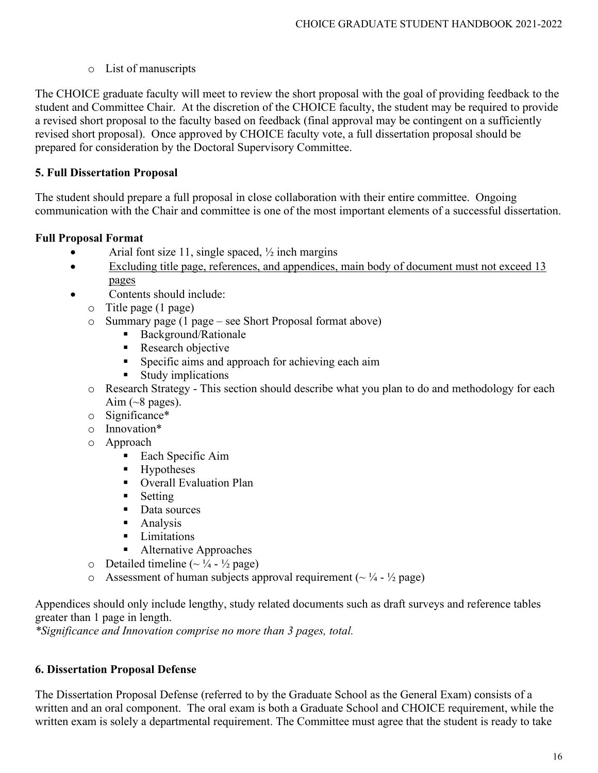## o List of manuscripts

The CHOICE graduate faculty will meet to review the short proposal with the goal of providing feedback to the student and Committee Chair. At the discretion of the CHOICE faculty, the student may be required to provide a revised short proposal to the faculty based on feedback (final approval may be contingent on a sufficiently revised short proposal). Once approved by CHOICE faculty vote, a full dissertation proposal should be prepared for consideration by the Doctoral Supervisory Committee.

# **5. Full Dissertation Proposal**

The student should prepare a full proposal in close collaboration with their entire committee. Ongoing communication with the Chair and committee is one of the most important elements of a successful dissertation.

## **Full Proposal Format**

- Arial font size 11, single spaced,  $\frac{1}{2}$  inch margins
- Excluding title page, references, and appendices, main body of document must not exceed 13 pages
- Contents should include:
	- o Title page (1 page)
	- o Summary page (1 page see Short Proposal format above)
		- Background/Rationale
		- Research objective
		- **Specific aims and approach for achieving each aim**
		- **Study implications**
	- o Research Strategy This section should describe what you plan to do and methodology for each Aim  $({\sim}8$  pages).
	- o Significance\*
	- o Innovation\*
	- o Approach
		- Each Specific Aim
		- Hypotheses
		- **•** Overall Evaluation Plan
		- $\blacksquare$  Setting
		- Data sources
		- **Analysis**
		- **I** Limitations
		- Alternative Approaches
	- $\circ$  Detailed timeline (~  $\frac{1}{4}$   $\frac{1}{2}$  page)
	- $\circ$  Assessment of human subjects approval requirement ( $\sim \frac{1}{4}$   $\frac{1}{2}$  page)

Appendices should only include lengthy, study related documents such as draft surveys and reference tables greater than 1 page in length.

*\*Significance and Innovation comprise no more than 3 pages, total.*

# **6. Dissertation Proposal Defense**

The Dissertation Proposal Defense (referred to by the Graduate School as the General Exam) consists of a written and an oral component. The oral exam is both a Graduate School and CHOICE requirement, while the written exam is solely a departmental requirement. The Committee must agree that the student is ready to take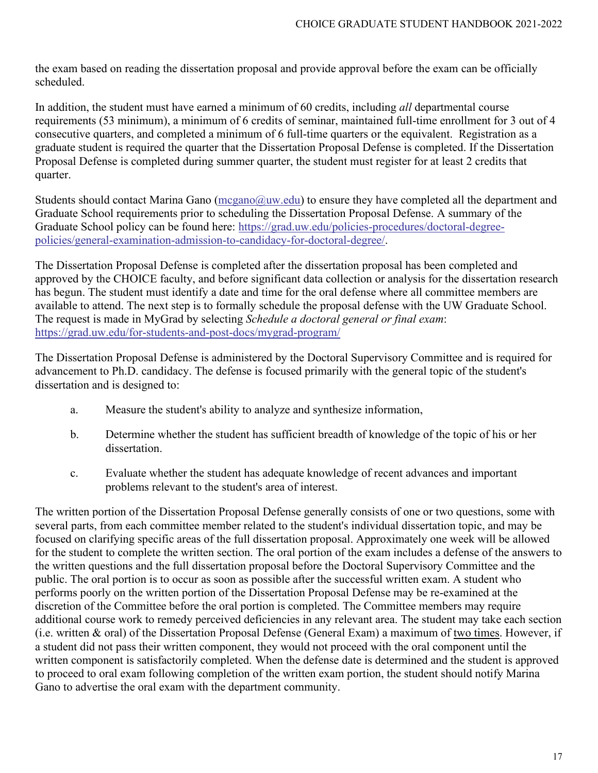the exam based on reading the dissertation proposal and provide approval before the exam can be officially scheduled.

In addition, the student must have earned a minimum of 60 credits, including *all* departmental course requirements (53 minimum), a minimum of 6 credits of seminar, maintained full-time enrollment for 3 out of 4 consecutive quarters, and completed a minimum of 6 full-time quarters or the equivalent. Registration as a graduate student is required the quarter that the Dissertation Proposal Defense is completed. If the Dissertation Proposal Defense is completed during summer quarter, the student must register for at least 2 credits that quarter.

Students should contact Marina Gano ( $\text{mcgan}(\partial_\mu w \cdot \text{edu})$  to ensure they have completed all the department and Graduate School requirements prior to scheduling the Dissertation Proposal Defense. A summary of the Graduate School policy can be found here: [https://grad.uw.edu/policies-procedures/doctoral-degree](https://grad.uw.edu/policies-procedures/doctoral-degree-policies/general-examination-admission-to-candidacy-for-doctoral-degree/)[policies/general-examination-admission-to-candidacy-for-doctoral-degree/.](https://grad.uw.edu/policies-procedures/doctoral-degree-policies/general-examination-admission-to-candidacy-for-doctoral-degree/)

The Dissertation Proposal Defense is completed after the dissertation proposal has been completed and approved by the CHOICE faculty, and before significant data collection or analysis for the dissertation research has begun. The student must identify a date and time for the oral defense where all committee members are available to attend. The next step is to formally schedule the proposal defense with the UW Graduate School. The request is made in MyGrad by selecting *Schedule a doctoral general or final exam*: <https://grad.uw.edu/for-students-and-post-docs/mygrad-program/>

The Dissertation Proposal Defense is administered by the Doctoral Supervisory Committee and is required for advancement to Ph.D. candidacy. The defense is focused primarily with the general topic of the student's dissertation and is designed to:

- a. Measure the student's ability to analyze and synthesize information,
- b. Determine whether the student has sufficient breadth of knowledge of the topic of his or her dissertation.
- c. Evaluate whether the student has adequate knowledge of recent advances and important problems relevant to the student's area of interest.

The written portion of the Dissertation Proposal Defense generally consists of one or two questions, some with several parts, from each committee member related to the student's individual dissertation topic, and may be focused on clarifying specific areas of the full dissertation proposal. Approximately one week will be allowed for the student to complete the written section. The oral portion of the exam includes a defense of the answers to the written questions and the full dissertation proposal before the Doctoral Supervisory Committee and the public. The oral portion is to occur as soon as possible after the successful written exam. A student who performs poorly on the written portion of the Dissertation Proposal Defense may be re-examined at the discretion of the Committee before the oral portion is completed. The Committee members may require additional course work to remedy perceived deficiencies in any relevant area. The student may take each section (i.e. written & oral) of the Dissertation Proposal Defense (General Exam) a maximum of two times. However, if a student did not pass their written component, they would not proceed with the oral component until the written component is satisfactorily completed. When the defense date is determined and the student is approved to proceed to oral exam following completion of the written exam portion, the student should notify Marina Gano to advertise the oral exam with the department community.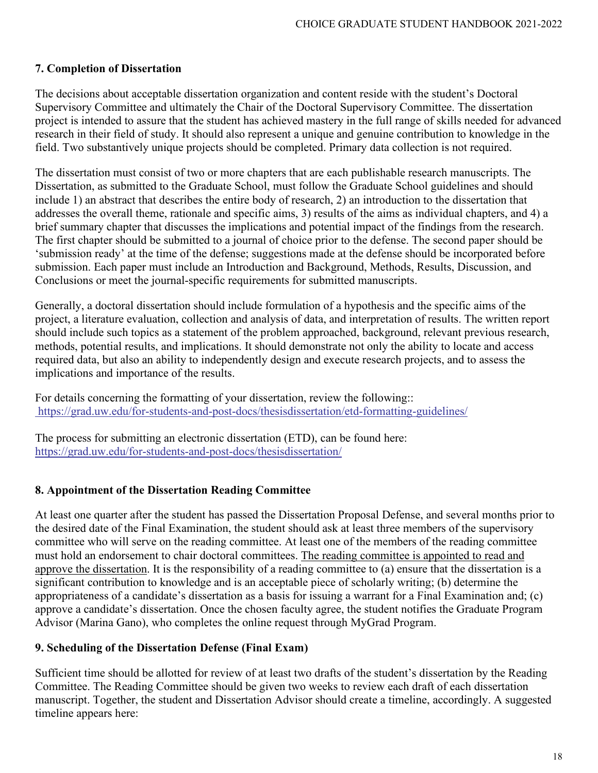#### **7. Completion of Dissertation**

The decisions about acceptable dissertation organization and content reside with the student's Doctoral Supervisory Committee and ultimately the Chair of the Doctoral Supervisory Committee. The dissertation project is intended to assure that the student has achieved mastery in the full range of skills needed for advanced research in their field of study. It should also represent a unique and genuine contribution to knowledge in the field. Two substantively unique projects should be completed. Primary data collection is not required.

The dissertation must consist of two or more chapters that are each publishable research manuscripts. The Dissertation, as submitted to the Graduate School, must follow the Graduate School guidelines and should include 1) an abstract that describes the entire body of research, 2) an introduction to the dissertation that addresses the overall theme, rationale and specific aims, 3) results of the aims as individual chapters, and 4) a brief summary chapter that discusses the implications and potential impact of the findings from the research. The first chapter should be submitted to a journal of choice prior to the defense. The second paper should be 'submission ready' at the time of the defense; suggestions made at the defense should be incorporated before submission. Each paper must include an Introduction and Background, Methods, Results, Discussion, and Conclusions or meet the journal-specific requirements for submitted manuscripts.

Generally, a doctoral dissertation should include formulation of a hypothesis and the specific aims of the project, a literature evaluation, collection and analysis of data, and interpretation of results. The written report should include such topics as a statement of the problem approached, background, relevant previous research, methods, potential results, and implications. It should demonstrate not only the ability to locate and access required data, but also an ability to independently design and execute research projects, and to assess the implications and importance of the results.

For details concerning the formatting of your dissertation, review the following:: <https://grad.uw.edu/for-students-and-post-docs/thesisdissertation/etd-formatting-guidelines/>

The process for submitting an electronic dissertation (ETD), can be found here: <https://grad.uw.edu/for-students-and-post-docs/thesisdissertation/>

#### **8. Appointment of the Dissertation Reading Committee**

At least one quarter after the student has passed the Dissertation Proposal Defense, and several months prior to the desired date of the Final Examination, the student should ask at least three members of the supervisory committee who will serve on the reading committee. At least one of the members of the reading committee must hold an endorsement to chair doctoral committees. The reading committee is appointed to read and approve the dissertation. It is the responsibility of a reading committee to (a) ensure that the dissertation is a significant contribution to knowledge and is an acceptable piece of scholarly writing; (b) determine the appropriateness of a candidate's dissertation as a basis for issuing a warrant for a Final Examination and; (c) approve a candidate's dissertation. Once the chosen faculty agree, the student notifies the Graduate Program Advisor (Marina Gano), who completes the online request through MyGrad Program.

#### **9. Scheduling of the Dissertation Defense (Final Exam)**

Sufficient time should be allotted for review of at least two drafts of the student's dissertation by the Reading Committee. The Reading Committee should be given two weeks to review each draft of each dissertation manuscript. Together, the student and Dissertation Advisor should create a timeline, accordingly. A suggested timeline appears here: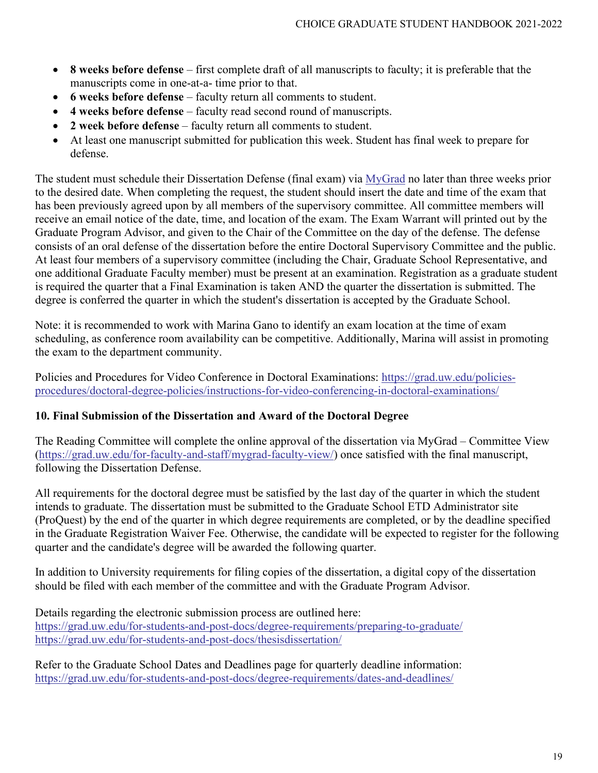- **8 weeks before defense** first complete draft of all manuscripts to faculty; it is preferable that the manuscripts come in one-at-a- time prior to that.
- **6 weeks before defense** faculty return all comments to student.
- **4 weeks before defense** faculty read second round of manuscripts.
- **2 week before defense** faculty return all comments to student.
- At least one manuscript submitted for publication this week. Student has final week to prepare for defense.

The student must schedule their Dissertation Defense (final exam) via [MyGrad](https://grad.uw.edu/for-students-and-post-docs/mygrad-program/) no later than three weeks prior to the desired date. When completing the request, the student should insert the date and time of the exam that has been previously agreed upon by all members of the supervisory committee. All committee members will receive an email notice of the date, time, and location of the exam. The Exam Warrant will printed out by the Graduate Program Advisor, and given to the Chair of the Committee on the day of the defense. The defense consists of an oral defense of the dissertation before the entire Doctoral Supervisory Committee and the public. At least four members of a supervisory committee (including the Chair, Graduate School Representative, and one additional Graduate Faculty member) must be present at an examination. Registration as a graduate student is required the quarter that a Final Examination is taken AND the quarter the dissertation is submitted. The degree is conferred the quarter in which the student's dissertation is accepted by the Graduate School.

Note: it is recommended to work with Marina Gano to identify an exam location at the time of exam scheduling, as conference room availability can be competitive. Additionally, Marina will assist in promoting the exam to the department community.

Policies and Procedures for Video Conference in Doctoral Examinations: [https://grad.uw.edu/policies](https://grad.uw.edu/policies-procedures/doctoral-degree-policies/instructions-for-video-conferencing-in-doctoral-examinations/)[procedures/doctoral-degree-policies/instructions-for-video-conferencing-in-doctoral-examinations/](https://grad.uw.edu/policies-procedures/doctoral-degree-policies/instructions-for-video-conferencing-in-doctoral-examinations/)

### **10. Final Submission of the Dissertation and Award of the Doctoral Degree**

The Reading Committee will complete the online approval of the dissertation via MyGrad – Committee View [\(https://grad.uw.edu/for-faculty-and-staff/mygrad-faculty-view/\)](https://grad.uw.edu/for-faculty-and-staff/mygrad-faculty-view/) once satisfied with the final manuscript, following the Dissertation Defense.

All requirements for the doctoral degree must be satisfied by the last day of the quarter in which the student intends to graduate. The dissertation must be submitted to the Graduate School ETD Administrator site (ProQuest) by the end of the quarter in which degree requirements are completed, or by the deadline specified in the Graduate Registration Waiver Fee. Otherwise, the candidate will be expected to register for the following quarter and the candidate's degree will be awarded the following quarter.

In addition to University requirements for filing copies of the dissertation, a digital copy of the dissertation should be filed with each member of the committee and with the Graduate Program Advisor.

Details regarding the electronic submission process are outlined here: <https://grad.uw.edu/for-students-and-post-docs/degree-requirements/preparing-to-graduate/> <https://grad.uw.edu/for-students-and-post-docs/thesisdissertation/>

Refer to the Graduate School Dates and Deadlines page for quarterly deadline information: <https://grad.uw.edu/for-students-and-post-docs/degree-requirements/dates-and-deadlines/>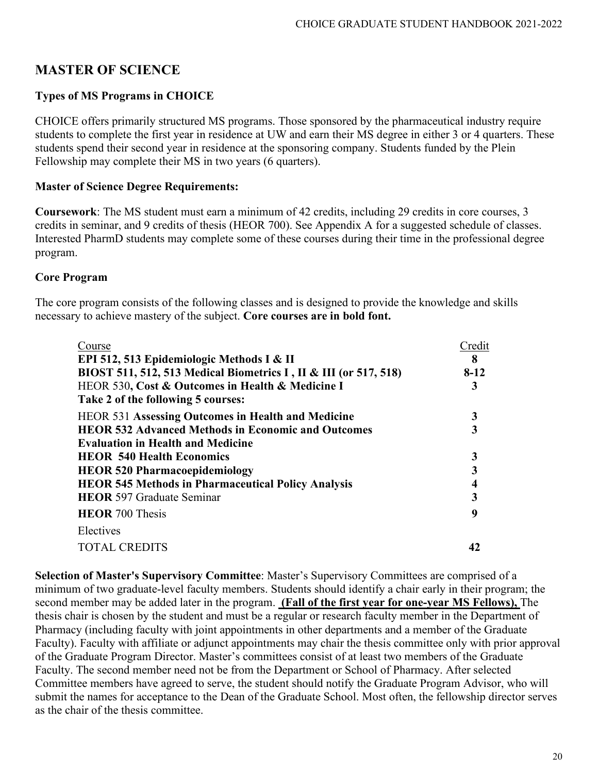# **MASTER OF SCIENCE**

# **Types of MS Programs in CHOICE**

CHOICE offers primarily structured MS programs. Those sponsored by the pharmaceutical industry require students to complete the first year in residence at UW and earn their MS degree in either 3 or 4 quarters. These students spend their second year in residence at the sponsoring company. Students funded by the Plein Fellowship may complete their MS in two years (6 quarters).

#### **Master of Science Degree Requirements:**

**Coursework**: The MS student must earn a minimum of 42 credits, including 29 credits in core courses, 3 credits in seminar, and 9 credits of thesis (HEOR 700). See Appendix A for a suggested schedule of classes. Interested PharmD students may complete some of these courses during their time in the professional degree program.

#### **Core Program**

The core program consists of the following classes and is designed to provide the knowledge and skills necessary to achieve mastery of the subject. **Core courses are in bold font.**

| Course<br>EPI 512, 513 Epidemiologic Methods I & II<br>BIOST 511, 512, 513 Medical Biometrics I, II & III (or 517, 518)<br>HEOR 530, Cost & Outcomes in Health & Medicine I<br>Take 2 of the following 5 courses: | Credit<br>8<br>$8-12$<br>3 |
|-------------------------------------------------------------------------------------------------------------------------------------------------------------------------------------------------------------------|----------------------------|
| <b>HEOR 531 Assessing Outcomes in Health and Medicine</b>                                                                                                                                                         |                            |
| <b>HEOR 532 Advanced Methods in Economic and Outcomes</b>                                                                                                                                                         |                            |
| <b>Evaluation in Health and Medicine</b>                                                                                                                                                                          |                            |
| <b>HEOR 540 Health Economics</b>                                                                                                                                                                                  |                            |
| <b>HEOR 520 Pharmacoepidemiology</b>                                                                                                                                                                              |                            |
| <b>HEOR 545 Methods in Pharmaceutical Policy Analysis</b>                                                                                                                                                         | 4                          |
| <b>HEOR</b> 597 Graduate Seminar                                                                                                                                                                                  |                            |
| <b>HEOR</b> 700 Thesis                                                                                                                                                                                            | q                          |
| Electives                                                                                                                                                                                                         |                            |
| <b>TOTAL CREDITS</b>                                                                                                                                                                                              |                            |

**Selection of Master's Supervisory Committee**: Master's Supervisory Committees are comprised of a minimum of two graduate-level faculty members. Students should identify a chair early in their program; the second member may be added later in the program. **(Fall of the first year for one-year MS Fellows),** The thesis chair is chosen by the student and must be a regular or research faculty member in the Department of Pharmacy (including faculty with joint appointments in other departments and a member of the Graduate Faculty). Faculty with affiliate or adjunct appointments may chair the thesis committee only with prior approval of the Graduate Program Director. Master's committees consist of at least two members of the Graduate Faculty. The second member need not be from the Department or School of Pharmacy. After selected Committee members have agreed to serve, the student should notify the Graduate Program Advisor, who will submit the names for acceptance to the Dean of the Graduate School. Most often, the fellowship director serves as the chair of the thesis committee.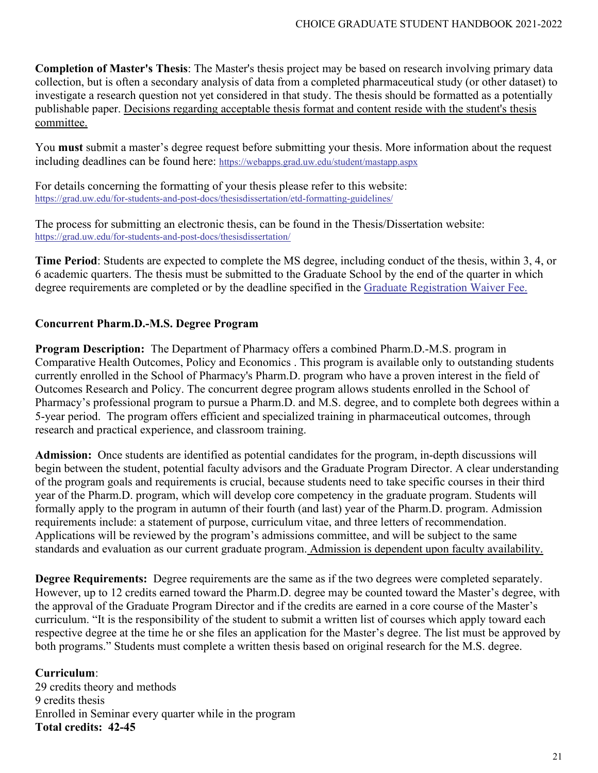**Completion of Master's Thesis**: The Master's thesis project may be based on research involving primary data collection, but is often a secondary analysis of data from a completed pharmaceutical study (or other dataset) to investigate a research question not yet considered in that study. The thesis should be formatted as a potentially publishable paper. Decisions regarding acceptable thesis format and content reside with the student's thesis committee.

You **must** submit a master's degree request before submitting your thesis. More information about the request including deadlines can be found here:<https://webapps.grad.uw.edu/student/mastapp.aspx>

For details concerning the formatting of your thesis please refer to this website: <https://grad.uw.edu/for-students-and-post-docs/thesisdissertation/etd-formatting-guidelines/>

The process for submitting an electronic thesis, can be found in the Thesis/Dissertation website: <https://grad.uw.edu/for-students-and-post-docs/thesisdissertation/>

**Time Period**: Students are expected to complete the MS degree, including conduct of the thesis, within 3, 4, or 6 academic quarters. The thesis must be submitted to the Graduate School by the end of the quarter in which degree requirements are completed or by the deadline specified in the [Graduate Registration Waiver Fee.](https://grad.uw.edu/policies-procedures/general-graduate-student-policies/graduate-registration-waiver-fee/)

### **Concurrent Pharm.D.-M.S. Degree Program**

**Program Description:** The Department of Pharmacy offers a combined Pharm.D.-M.S. program in Comparative Health Outcomes, Policy and Economics . This program is available only to outstanding students currently enrolled in the School of Pharmacy's Pharm.D. program who have a proven interest in the field of Outcomes Research and Policy. The concurrent degree program allows students enrolled in the School of Pharmacy's professional program to pursue a Pharm.D. and M.S. degree, and to complete both degrees within a 5-year period. The program offers efficient and specialized training in pharmaceutical outcomes, through research and practical experience, and classroom training.

**Admission:** Once students are identified as potential candidates for the program, in-depth discussions will begin between the student, potential faculty advisors and the Graduate Program Director. A clear understanding of the program goals and requirements is crucial, because students need to take specific courses in their third year of the Pharm.D. program, which will develop core competency in the graduate program. Students will formally apply to the program in autumn of their fourth (and last) year of the Pharm.D. program. Admission requirements include: a statement of purpose, curriculum vitae, and three letters of recommendation. Applications will be reviewed by the program's admissions committee, and will be subject to the same standards and evaluation as our current graduate program. Admission is dependent upon faculty availability.

**Degree Requirements:** Degree requirements are the same as if the two degrees were completed separately. However, up to 12 credits earned toward the Pharm.D. degree may be counted toward the Master's degree, with the approval of the Graduate Program Director and if the credits are earned in a core course of the Master's curriculum. "It is the responsibility of the student to submit a written list of courses which apply toward each respective degree at the time he or she files an application for the Master's degree. The list must be approved by both programs." Students must complete a written thesis based on original research for the M.S. degree.

### **Curriculum**:

29 credits theory and methods 9 credits thesis Enrolled in Seminar every quarter while in the program **Total credits: 42-45**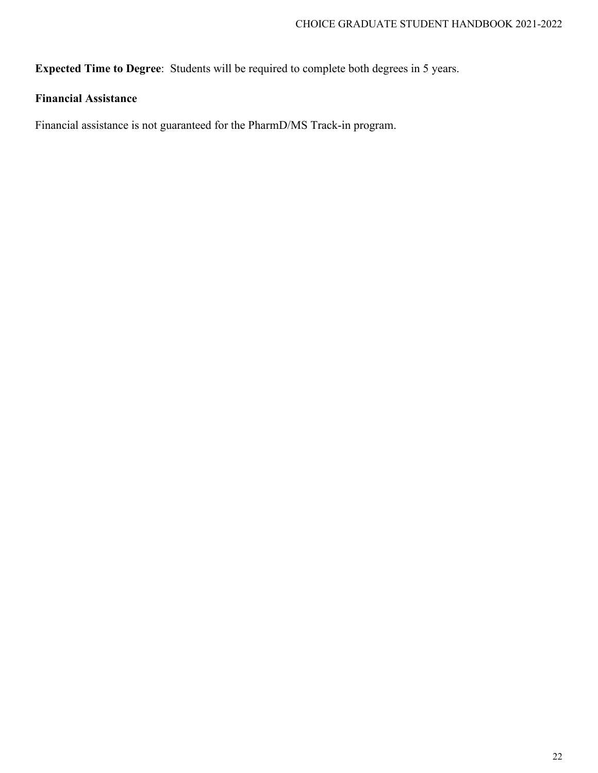**Expected Time to Degree**: Students will be required to complete both degrees in 5 years.

# **Financial Assistance**

Financial assistance is not guaranteed for the PharmD/MS Track-in program.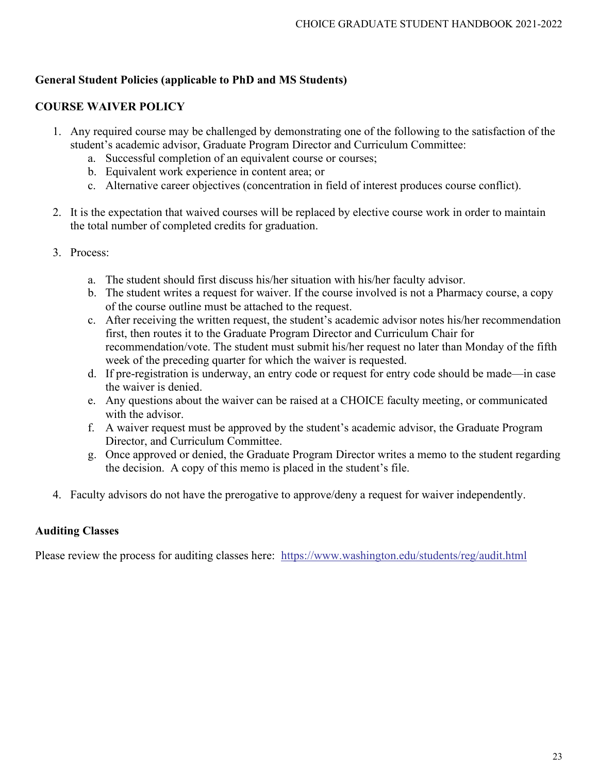## **General Student Policies (applicable to PhD and MS Students)**

## **COURSE WAIVER POLICY**

- 1. Any required course may be challenged by demonstrating one of the following to the satisfaction of the student's academic advisor, Graduate Program Director and Curriculum Committee:
	- a. Successful completion of an equivalent course or courses;
	- b. Equivalent work experience in content area; or
	- c. Alternative career objectives (concentration in field of interest produces course conflict).
- 2. It is the expectation that waived courses will be replaced by elective course work in order to maintain the total number of completed credits for graduation.
- 3. Process:
	- a. The student should first discuss his/her situation with his/her faculty advisor.
	- b. The student writes a request for waiver. If the course involved is not a Pharmacy course, a copy of the course outline must be attached to the request.
	- c. After receiving the written request, the student's academic advisor notes his/her recommendation first, then routes it to the Graduate Program Director and Curriculum Chair for recommendation/vote. The student must submit his/her request no later than Monday of the fifth week of the preceding quarter for which the waiver is requested.
	- d. If pre-registration is underway, an entry code or request for entry code should be made—in case the waiver is denied.
	- e. Any questions about the waiver can be raised at a CHOICE faculty meeting, or communicated with the advisor.
	- f. A waiver request must be approved by the student's academic advisor, the Graduate Program Director, and Curriculum Committee.
	- g. Once approved or denied, the Graduate Program Director writes a memo to the student regarding the decision. A copy of this memo is placed in the student's file.
- 4. Faculty advisors do not have the prerogative to approve/deny a request for waiver independently.

# **Auditing Classes**

Please review the process for auditing classes here: <https://www.washington.edu/students/reg/audit.html>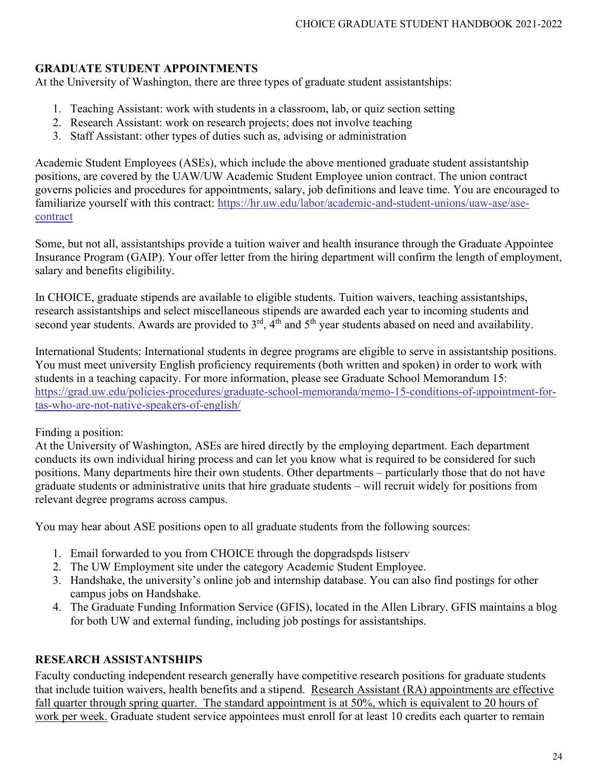## **GRADUATE STUDENT APPOINTMENTS**

At the University of Washington, there are three types of graduate student assistantships:

- 1. Teaching Assistant: work with students in a classroom, lab, or quiz section setting
- 2. Research Assistant: work on research projects; does not involve teaching
- 3. Staff Assistant: other types of duties such as, advising or administration

Academic Student Employees (ASEs), which include the above mentioned graduate student assistantship positions, are covered by the UAW/UW Academic Student Employee union contract. The union contract governs policies and procedures for appointments, salary, job definitions and leave time. You are encouraged to familiarize yourself with this contract: [https://hr.uw.edu/labor/academic-and-student-unions/uaw-ase/ase](https://hr.uw.edu/labor/academic-and-student-unions/uaw-ase/ase-contract)[contract](https://hr.uw.edu/labor/academic-and-student-unions/uaw-ase/ase-contract)

Some, but not all, assistantships provide a tuition waiver and health insurance through the Graduate Appointee Insurance Program (GAIP). Your offer letter from the hiring department will confirm the length of employment, salary and benefits eligibility.

In CHOICE, graduate stipends are available to eligible students. Tuition waivers, teaching assistantships, research assistantships and select miscellaneous stipends are awarded each year to incoming students and second year students. Awards are provided to  $3<sup>rd</sup>$ ,  $4<sup>th</sup>$  and  $5<sup>th</sup>$  year students abased on need and availability.

International Students: International students in degree programs are eligible to serve in assistantship positions. You must meet university English proficiency requirements (both written and spoken) in order to work with students in a teaching capacity. For more information, please see Graduate School Memorandum 15: [https://grad.uw.edu/policies-procedures/graduate-school-memoranda/memo-15-conditions-of-appointment-for](https://grad.uw.edu/policies-procedures/graduate-school-memoranda/memo-15-conditions-of-appointment-for-tas-who-are-not-native-speakers-of-english/)[tas-who-are-not-native-speakers-of-english/](https://grad.uw.edu/policies-procedures/graduate-school-memoranda/memo-15-conditions-of-appointment-for-tas-who-are-not-native-speakers-of-english/)

### Finding a position:

At the University of Washington, ASEs are hired directly by the employing department. Each department conducts its own individual hiring process and can let you know what is required to be considered for such positions. Many departments hire their own students. Other departments – particularly those that do not have graduate students or administrative units that hire graduate students – will recruit widely for positions from relevant degree programs across campus.

You may hear about ASE positions open to all graduate students from the following sources:

- 1. Email forwarded to you from CHOICE through the dopgradspds listserv
- 2. The UW Employment site under the category Academic Student Employee.
- 3. Handshake, the university's online job and internship database. You can also find postings for other campus jobs on Handshake.
- 4. The Graduate Funding Information Service (GFIS), located in the Allen Library. GFIS maintains a blog for both UW and external funding, including job postings for assistantships.

### **RESEARCH ASSISTANTSHIPS**

Faculty conducting independent research generally have competitive research positions for graduate students that include tuition waivers, health benefits and a stipend. Research Assistant (RA) appointments are effective fall quarter through spring quarter. The standard appointment is at 50%, which is equivalent to 20 hours of work per week. Graduate student service appointees must enroll for at least 10 credits each quarter to remain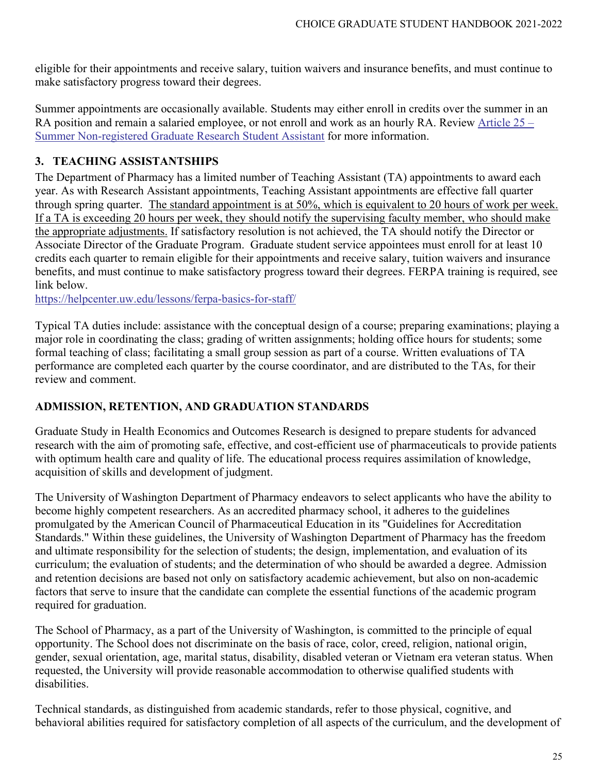eligible for their appointments and receive salary, tuition waivers and insurance benefits, and must continue to make satisfactory progress toward their degrees.

Summer appointments are occasionally available. Students may either enroll in credits over the summer in an RA position and remain a salaried employee, or not enroll and work as an hourly RA. Review [Article 25 –](https://hr.uw.edu/labor/academic-and-student-unions/uaw-ase/ase-contract) [Summer Non-registered Graduate Research Student Assistant](https://hr.uw.edu/labor/academic-and-student-unions/uaw-ase/ase-contract) for more information.

# **3. TEACHING ASSISTANTSHIPS**

The Department of Pharmacy has a limited number of Teaching Assistant (TA) appointments to award each year. As with Research Assistant appointments, Teaching Assistant appointments are effective fall quarter through spring quarter. The standard appointment is at 50%, which is equivalent to 20 hours of work per week. If a TA is exceeding 20 hours per week, they should notify the supervising faculty member, who should make the appropriate adjustments. If satisfactory resolution is not achieved, the TA should notify the Director or Associate Director of the Graduate Program. Graduate student service appointees must enroll for at least 10 credits each quarter to remain eligible for their appointments and receive salary, tuition waivers and insurance benefits, and must continue to make satisfactory progress toward their degrees. FERPA training is required, see link below.

<https://helpcenter.uw.edu/lessons/ferpa-basics-for-staff/>

Typical TA duties include: assistance with the conceptual design of a course; preparing examinations; playing a major role in coordinating the class; grading of written assignments; holding office hours for students; some formal teaching of class; facilitating a small group session as part of a course. Written evaluations of TA performance are completed each quarter by the course coordinator, and are distributed to the TAs, for their review and comment.

### **ADMISSION, RETENTION, AND GRADUATION STANDARDS**

Graduate Study in Health Economics and Outcomes Research is designed to prepare students for advanced research with the aim of promoting safe, effective, and cost-efficient use of pharmaceuticals to provide patients with optimum health care and quality of life. The educational process requires assimilation of knowledge, acquisition of skills and development of judgment.

The University of Washington Department of Pharmacy endeavors to select applicants who have the ability to become highly competent researchers. As an accredited pharmacy school, it adheres to the guidelines promulgated by the American Council of Pharmaceutical Education in its "Guidelines for Accreditation Standards." Within these guidelines, the University of Washington Department of Pharmacy has the freedom and ultimate responsibility for the selection of students; the design, implementation, and evaluation of its curriculum; the evaluation of students; and the determination of who should be awarded a degree. Admission and retention decisions are based not only on satisfactory academic achievement, but also on non-academic factors that serve to insure that the candidate can complete the essential functions of the academic program required for graduation.

The School of Pharmacy, as a part of the University of Washington, is committed to the principle of equal opportunity. The School does not discriminate on the basis of race, color, creed, religion, national origin, gender, sexual orientation, age, marital status, disability, disabled veteran or Vietnam era veteran status. When requested, the University will provide reasonable accommodation to otherwise qualified students with disabilities.

Technical standards, as distinguished from academic standards, refer to those physical, cognitive, and behavioral abilities required for satisfactory completion of all aspects of the curriculum, and the development of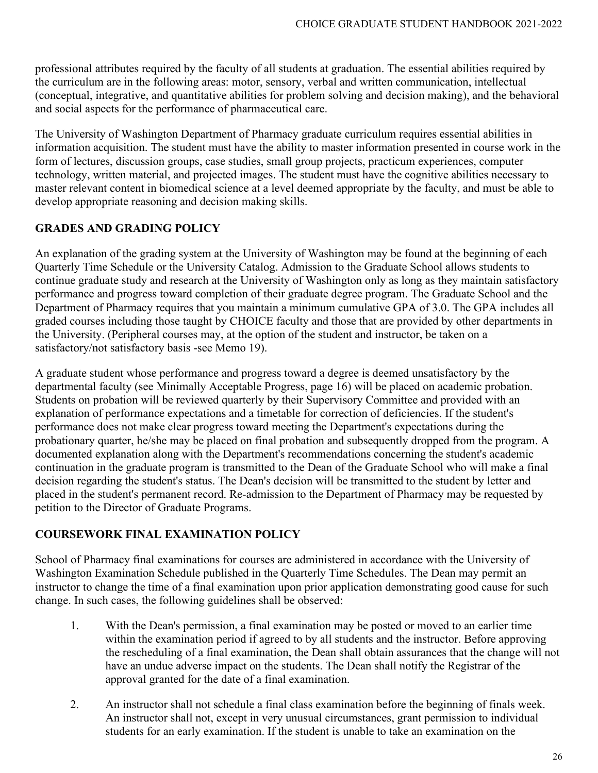professional attributes required by the faculty of all students at graduation. The essential abilities required by the curriculum are in the following areas: motor, sensory, verbal and written communication, intellectual (conceptual, integrative, and quantitative abilities for problem solving and decision making), and the behavioral and social aspects for the performance of pharmaceutical care.

The University of Washington Department of Pharmacy graduate curriculum requires essential abilities in information acquisition. The student must have the ability to master information presented in course work in the form of lectures, discussion groups, case studies, small group projects, practicum experiences, computer technology, written material, and projected images. The student must have the cognitive abilities necessary to master relevant content in biomedical science at a level deemed appropriate by the faculty, and must be able to develop appropriate reasoning and decision making skills.

### **GRADES AND GRADING POLICY**

An explanation of the grading system at the University of Washington may be found at the beginning of each Quarterly Time Schedule or the University Catalog. Admission to the Graduate School allows students to continue graduate study and research at the University of Washington only as long as they maintain satisfactory performance and progress toward completion of their graduate degree program. The Graduate School and the Department of Pharmacy requires that you maintain a minimum cumulative GPA of 3.0. The GPA includes all graded courses including those taught by CHOICE faculty and those that are provided by other departments in the University. (Peripheral courses may, at the option of the student and instructor, be taken on a satisfactory/not satisfactory basis -see Memo 19).

A graduate student whose performance and progress toward a degree is deemed unsatisfactory by the departmental faculty (see Minimally Acceptable Progress, page 16) will be placed on academic probation. Students on probation will be reviewed quarterly by their Supervisory Committee and provided with an explanation of performance expectations and a timetable for correction of deficiencies. If the student's performance does not make clear progress toward meeting the Department's expectations during the probationary quarter, he/she may be placed on final probation and subsequently dropped from the program. A documented explanation along with the Department's recommendations concerning the student's academic continuation in the graduate program is transmitted to the Dean of the Graduate School who will make a final decision regarding the student's status. The Dean's decision will be transmitted to the student by letter and placed in the student's permanent record. Re-admission to the Department of Pharmacy may be requested by petition to the Director of Graduate Programs.

#### **COURSEWORK FINAL EXAMINATION POLICY**

School of Pharmacy final examinations for courses are administered in accordance with the University of Washington Examination Schedule published in the Quarterly Time Schedules. The Dean may permit an instructor to change the time of a final examination upon prior application demonstrating good cause for such change. In such cases, the following guidelines shall be observed:

- 1. With the Dean's permission, a final examination may be posted or moved to an earlier time within the examination period if agreed to by all students and the instructor. Before approving the rescheduling of a final examination, the Dean shall obtain assurances that the change will not have an undue adverse impact on the students. The Dean shall notify the Registrar of the approval granted for the date of a final examination.
- 2. An instructor shall not schedule a final class examination before the beginning of finals week. An instructor shall not, except in very unusual circumstances, grant permission to individual students for an early examination. If the student is unable to take an examination on the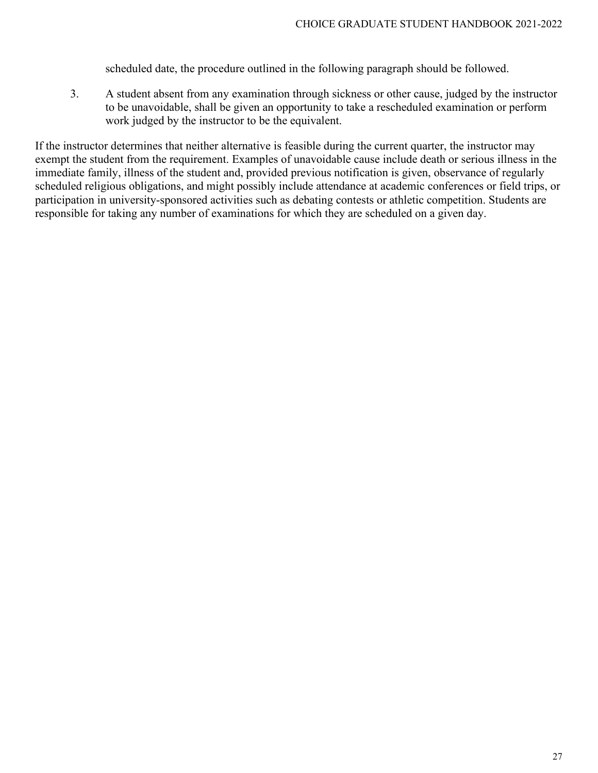scheduled date, the procedure outlined in the following paragraph should be followed.

3. A student absent from any examination through sickness or other cause, judged by the instructor to be unavoidable, shall be given an opportunity to take a rescheduled examination or perform work judged by the instructor to be the equivalent.

If the instructor determines that neither alternative is feasible during the current quarter, the instructor may exempt the student from the requirement. Examples of unavoidable cause include death or serious illness in the immediate family, illness of the student and, provided previous notification is given, observance of regularly scheduled religious obligations, and might possibly include attendance at academic conferences or field trips, or participation in university-sponsored activities such as debating contests or athletic competition. Students are responsible for taking any number of examinations for which they are scheduled on a given day.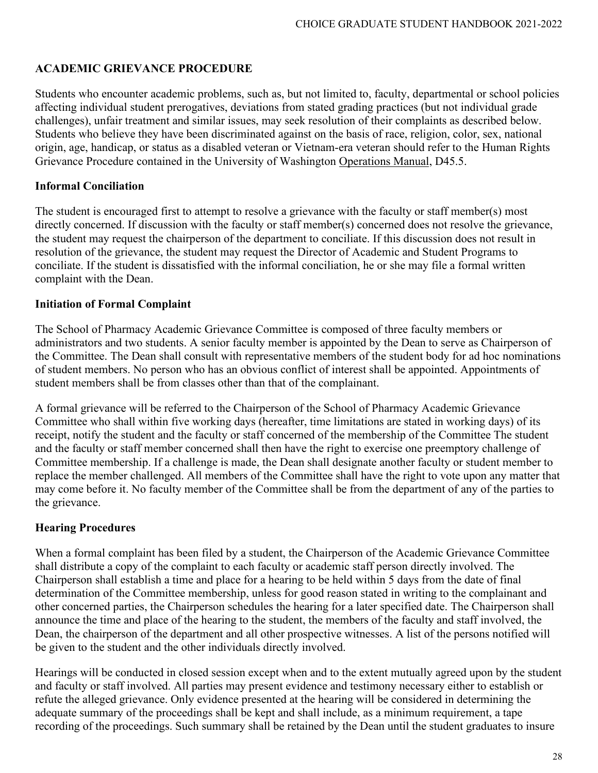## **ACADEMIC GRIEVANCE PROCEDURE**

Students who encounter academic problems, such as, but not limited to, faculty, departmental or school policies affecting individual student prerogatives, deviations from stated grading practices (but not individual grade challenges), unfair treatment and similar issues, may seek resolution of their complaints as described below. Students who believe they have been discriminated against on the basis of race, religion, color, sex, national origin, age, handicap, or status as a disabled veteran or Vietnam-era veteran should refer to the Human Rights Grievance Procedure contained in the University of Washington Operations Manual, D45.5.

#### **Informal Conciliation**

The student is encouraged first to attempt to resolve a grievance with the faculty or staff member(s) most directly concerned. If discussion with the faculty or staff member(s) concerned does not resolve the grievance, the student may request the chairperson of the department to conciliate. If this discussion does not result in resolution of the grievance, the student may request the Director of Academic and Student Programs to conciliate. If the student is dissatisfied with the informal conciliation, he or she may file a formal written complaint with the Dean.

### **Initiation of Formal Complaint**

The School of Pharmacy Academic Grievance Committee is composed of three faculty members or administrators and two students. A senior faculty member is appointed by the Dean to serve as Chairperson of the Committee. The Dean shall consult with representative members of the student body for ad hoc nominations of student members. No person who has an obvious conflict of interest shall be appointed. Appointments of student members shall be from classes other than that of the complainant.

A formal grievance will be referred to the Chairperson of the School of Pharmacy Academic Grievance Committee who shall within five working days (hereafter, time limitations are stated in working days) of its receipt, notify the student and the faculty or staff concerned of the membership of the Committee The student and the faculty or staff member concerned shall then have the right to exercise one preemptory challenge of Committee membership. If a challenge is made, the Dean shall designate another faculty or student member to replace the member challenged. All members of the Committee shall have the right to vote upon any matter that may come before it. No faculty member of the Committee shall be from the department of any of the parties to the grievance.

### **Hearing Procedures**

When a formal complaint has been filed by a student, the Chairperson of the Academic Grievance Committee shall distribute a copy of the complaint to each faculty or academic staff person directly involved. The Chairperson shall establish a time and place for a hearing to be held within 5 days from the date of final determination of the Committee membership, unless for good reason stated in writing to the complainant and other concerned parties, the Chairperson schedules the hearing for a later specified date. The Chairperson shall announce the time and place of the hearing to the student, the members of the faculty and staff involved, the Dean, the chairperson of the department and all other prospective witnesses. A list of the persons notified will be given to the student and the other individuals directly involved.

Hearings will be conducted in closed session except when and to the extent mutually agreed upon by the student and faculty or staff involved. All parties may present evidence and testimony necessary either to establish or refute the alleged grievance. Only evidence presented at the hearing will be considered in determining the adequate summary of the proceedings shall be kept and shall include, as a minimum requirement, a tape recording of the proceedings. Such summary shall be retained by the Dean until the student graduates to insure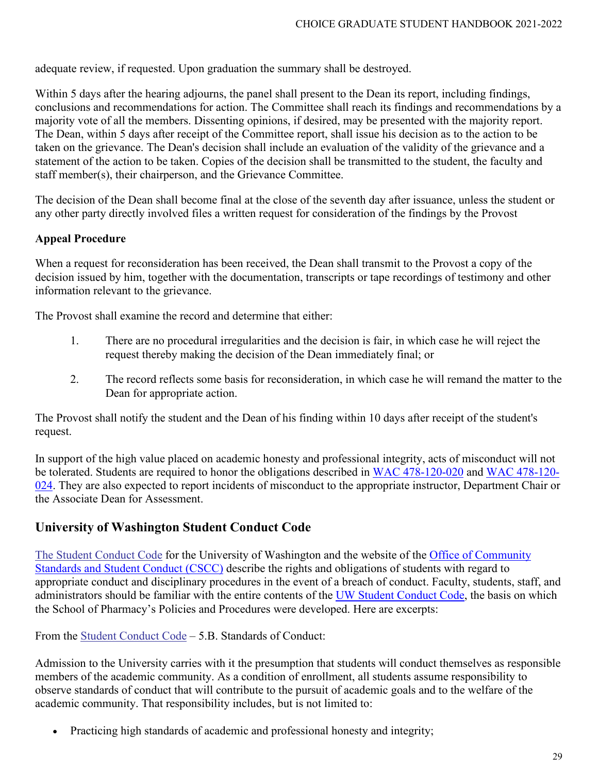adequate review, if requested. Upon graduation the summary shall be destroyed.

Within 5 days after the hearing adjourns, the panel shall present to the Dean its report, including findings, conclusions and recommendations for action. The Committee shall reach its findings and recommendations by a majority vote of all the members. Dissenting opinions, if desired, may be presented with the majority report. The Dean, within 5 days after receipt of the Committee report, shall issue his decision as to the action to be taken on the grievance. The Dean's decision shall include an evaluation of the validity of the grievance and a statement of the action to be taken. Copies of the decision shall be transmitted to the student, the faculty and staff member(s), their chairperson, and the Grievance Committee.

The decision of the Dean shall become final at the close of the seventh day after issuance, unless the student or any other party directly involved files a written request for consideration of the findings by the Provost

#### **Appeal Procedure**

When a request for reconsideration has been received, the Dean shall transmit to the Provost a copy of the decision issued by him, together with the documentation, transcripts or tape recordings of testimony and other information relevant to the grievance.

The Provost shall examine the record and determine that either:

- 1. There are no procedural irregularities and the decision is fair, in which case he will reject the request thereby making the decision of the Dean immediately final; or
- 2. The record reflects some basis for reconsideration, in which case he will remand the matter to the Dean for appropriate action.

The Provost shall notify the student and the Dean of his finding within 10 days after receipt of the student's request.

In support of the high value placed on academic honesty and professional integrity, acts of misconduct will not be tolerated. Students are required to honor the obligations described in [WAC 478-120-020](http://apps.leg.wa.gov/WAC/default.aspx?cite=478-120-020) and [WAC 478-120-](http://apps.leg.wa.gov/WAC/default.aspx?cite=478-120-024) [024.](http://apps.leg.wa.gov/WAC/default.aspx?cite=478-120-024) They are also expected to report incidents of misconduct to the appropriate instructor, Department Chair or the Associate Dean for Assessment.

### **University of Washington Student Conduct Code**

[The Student Conduct Code](https://www.washington.edu/cssc/for-students/student-code-of-conduct/) for the University of Washington and the website of the [Office of Community](http://www.washington.edu/cssc/) [Standards and Student Conduct \(CSCC\)](https://www.washington.edu/cssc/) describe the rights and obligations of students with regard to appropriate conduct and disciplinary procedures in the event of a breach of conduct. Faculty, students, staff, and administrators should be familiar with the entire contents of the [UW Student Conduct Code,](https://www.washington.edu/cssc/for-students/student-code-of-conduct/) the basis on which the School of Pharmacy's Policies and Procedures were developed. Here are excerpts:

From the [Student Conduct Code](https://www.washington.edu/cssc/for-students/student-code-of-conduct/) – 5.B. Standards of Conduct:

Admission to the University carries with it the presumption that students will conduct themselves as responsible members of the academic community. As a condition of enrollment, all students assume responsibility to observe standards of conduct that will contribute to the pursuit of academic goals and to the welfare of the academic community. That responsibility includes, but is not limited to:

• Practicing high standards of academic and professional honesty and integrity;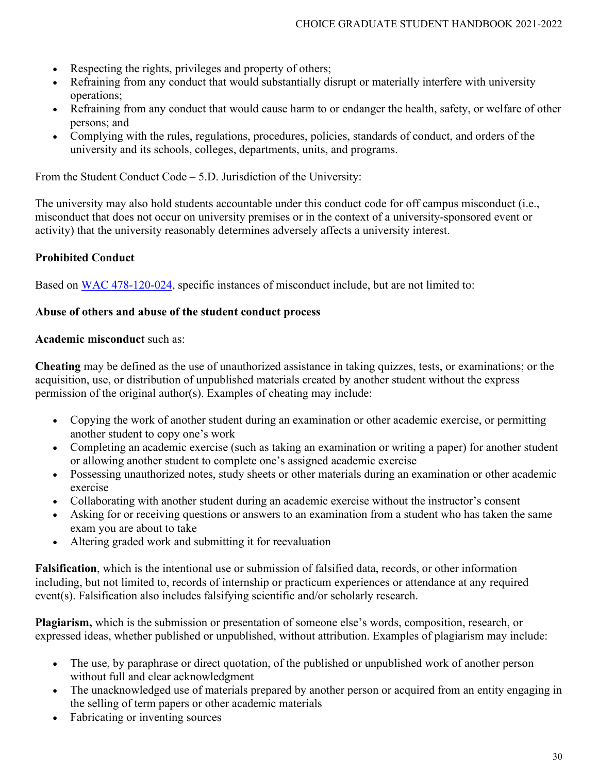- Respecting the rights, privileges and property of others;
- Refraining from any conduct that would substantially disrupt or materially interfere with university operations;
- Refraining from any conduct that would cause harm to or endanger the health, safety, or welfare of other persons; and
- Complying with the rules, regulations, procedures, policies, standards of conduct, and orders of the university and its schools, colleges, departments, units, and programs.

From the Student Conduct Code – 5.D. Jurisdiction of the University:

The university may also hold students accountable under this conduct code for off campus misconduct (i.e., misconduct that does not occur on university premises or in the context of a university-sponsored event or activity) that the university reasonably determines adversely affects a university interest.

#### **Prohibited Conduct**

Based on [WAC 478-120-024,](http://apps.leg.wa.gov/WAC/default.aspx?cite=478-120-024) specific instances of misconduct include, but are not limited to:

#### **Abuse of others and abuse of the student conduct process**

#### **Academic misconduct** such as:

**Cheating** may be defined as the use of unauthorized assistance in taking quizzes, tests, or examinations; or the acquisition, use, or distribution of unpublished materials created by another student without the express permission of the original author(s). Examples of cheating may include:

- Copying the work of another student during an examination or other academic exercise, or permitting another student to copy one's work
- Completing an academic exercise (such as taking an examination or writing a paper) for another student or allowing another student to complete one's assigned academic exercise
- Possessing unauthorized notes, study sheets or other materials during an examination or other academic exercise
- Collaborating with another student during an academic exercise without the instructor's consent
- Asking for or receiving questions or answers to an examination from a student who has taken the same exam you are about to take
- Altering graded work and submitting it for reevaluation

**Falsification**, which is the intentional use or submission of falsified data, records, or other information including, but not limited to, records of internship or practicum experiences or attendance at any required event(s). Falsification also includes falsifying scientific and/or scholarly research.

**Plagiarism,** which is the submission or presentation of someone else's words, composition, research, or expressed ideas, whether published or unpublished, without attribution. Examples of plagiarism may include:

- The use, by paraphrase or direct quotation, of the published or unpublished work of another person without full and clear acknowledgment
- The unacknowledged use of materials prepared by another person or acquired from an entity engaging in the selling of term papers or other academic materials
- Fabricating or inventing sources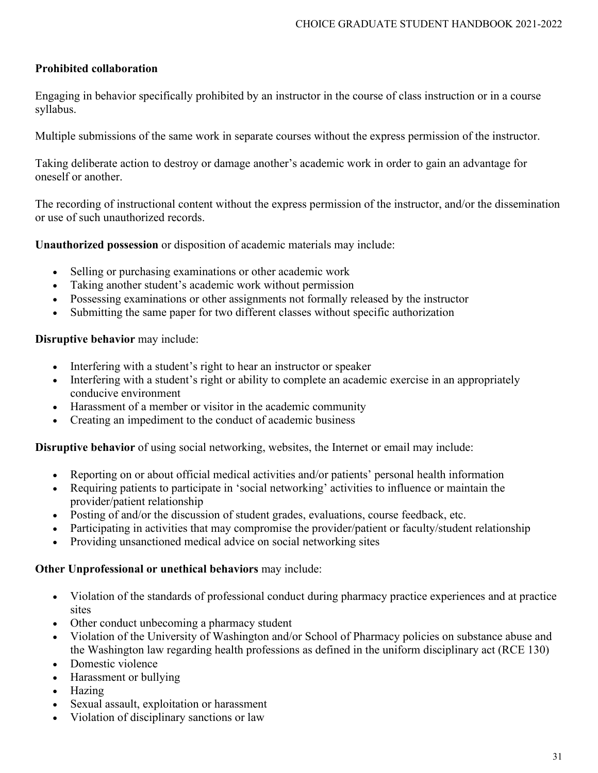### **Prohibited collaboration**

Engaging in behavior specifically prohibited by an instructor in the course of class instruction or in a course syllabus.

Multiple submissions of the same work in separate courses without the express permission of the instructor.

Taking deliberate action to destroy or damage another's academic work in order to gain an advantage for oneself or another.

The recording of instructional content without the express permission of the instructor, and/or the dissemination or use of such unauthorized records.

**Unauthorized possession** or disposition of academic materials may include:

- Selling or purchasing examinations or other academic work
- Taking another student's academic work without permission
- Possessing examinations or other assignments not formally released by the instructor
- Submitting the same paper for two different classes without specific authorization

#### **Disruptive behavior** may include:

- Interfering with a student's right to hear an instructor or speaker
- Interfering with a student's right or ability to complete an academic exercise in an appropriately conducive environment
- Harassment of a member or visitor in the academic community
- Creating an impediment to the conduct of academic business

**Disruptive behavior** of using social networking, websites, the Internet or email may include:

- Reporting on or about official medical activities and/or patients' personal health information
- Requiring patients to participate in 'social networking' activities to influence or maintain the provider/patient relationship
- Posting of and/or the discussion of student grades, evaluations, course feedback, etc.
- Participating in activities that may compromise the provider/patient or faculty/student relationship
- Providing unsanctioned medical advice on social networking sites

### **Other Unprofessional or unethical behaviors** may include:

- Violation of the standards of professional conduct during pharmacy practice experiences and at practice sites
- Other conduct unbecoming a pharmacy student
- Violation of the University of Washington and/or School of Pharmacy policies on substance abuse and the Washington law regarding health professions as defined in the uniform disciplinary act (RCE 130)
- Domestic violence
- Harassment or bullying
- Hazing
- Sexual assault, exploitation or harassment
- Violation of disciplinary sanctions or law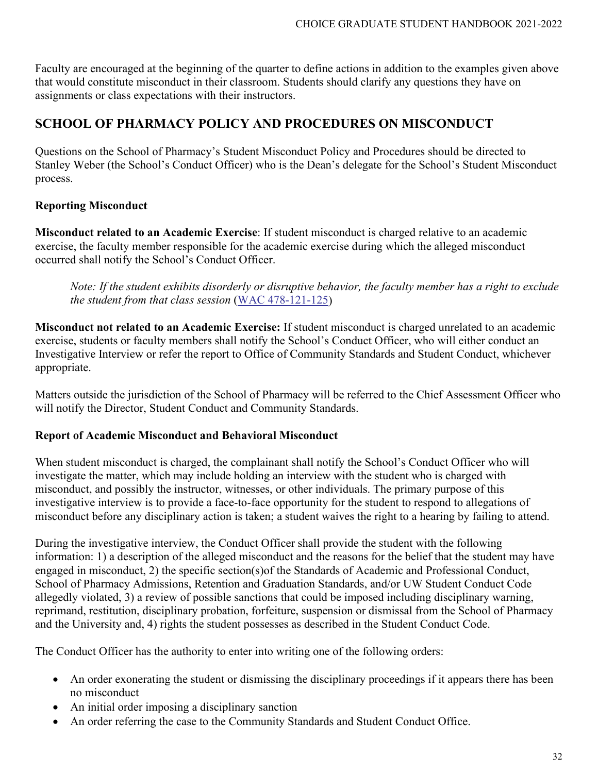Faculty are encouraged at the beginning of the quarter to define actions in addition to the examples given above that would constitute misconduct in their classroom. Students should clarify any questions they have on assignments or class expectations with their instructors.

# **SCHOOL OF PHARMACY POLICY AND PROCEDURES ON MISCONDUCT**

Questions on the School of Pharmacy's Student Misconduct Policy and Procedures should be directed to Stanley Weber (the School's Conduct Officer) who is the Dean's delegate for the School's Student Misconduct process.

### **Reporting Misconduct**

**Misconduct related to an Academic Exercise**: If student misconduct is charged relative to an academic exercise, the faculty member responsible for the academic exercise during which the alleged misconduct occurred shall notify the School's Conduct Officer.

*Note: If the student exhibits disorderly or disruptive behavior, the faculty member has a right to exclude the student from that class session* [\(WAC 478-121-125\)](http://apps.leg.wa.gov/WAC/default.aspx?cite=478-121&full=true)

**Misconduct not related to an Academic Exercise:** If student misconduct is charged unrelated to an academic exercise, students or faculty members shall notify the School's Conduct Officer, who will either conduct an Investigative Interview or refer the report to Office of Community Standards and Student Conduct, whichever appropriate.

Matters outside the jurisdiction of the School of Pharmacy will be referred to the Chief Assessment Officer who will notify the Director, Student Conduct and Community Standards.

#### **Report of Academic Misconduct and Behavioral Misconduct**

When student misconduct is charged, the complainant shall notify the School's Conduct Officer who will investigate the matter, which may include holding an interview with the student who is charged with misconduct, and possibly the instructor, witnesses, or other individuals. The primary purpose of this investigative interview is to provide a face-to-face opportunity for the student to respond to allegations of misconduct before any disciplinary action is taken; a student waives the right to a hearing by failing to attend.

During the investigative interview, the Conduct Officer shall provide the student with the following information: 1) a description of the alleged misconduct and the reasons for the belief that the student may have engaged in misconduct, 2) the specific section(s)of the Standards of Academic and Professional Conduct, School of Pharmacy Admissions, Retention and Graduation Standards, and/or UW Student Conduct Code allegedly violated, 3) a review of possible sanctions that could be imposed including disciplinary warning, reprimand, restitution, disciplinary probation, forfeiture, suspension or dismissal from the School of Pharmacy and the University and, 4) rights the student possesses as described in the Student Conduct Code.

The Conduct Officer has the authority to enter into writing one of the following orders:

- An order exonerating the student or dismissing the disciplinary proceedings if it appears there has been no misconduct
- An initial order imposing a disciplinary sanction
- An order referring the case to the Community Standards and Student Conduct Office.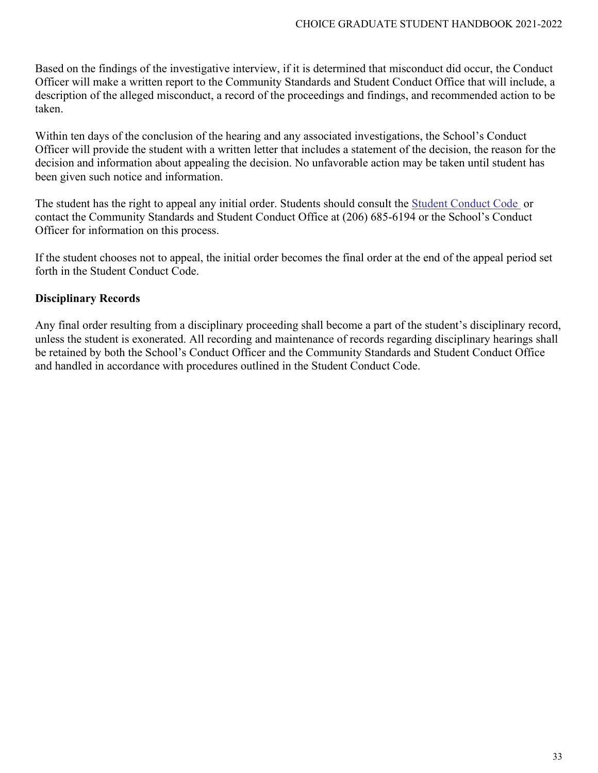Based on the findings of the investigative interview, if it is determined that misconduct did occur, the Conduct Officer will make a written report to the Community Standards and Student Conduct Office that will include, a description of the alleged misconduct, a record of the proceedings and findings, and recommended action to be taken.

Within ten days of the conclusion of the hearing and any associated investigations, the School's Conduct Officer will provide the student with a written letter that includes a statement of the decision, the reason for the decision and information about appealing the decision. No unfavorable action may be taken until student has been given such notice and information.

The student has the right to appeal any initial order. Students should consult the [Student Conduct Code](http://www.washington.edu/admin/rules/policies/SGP/SPCH209.html) or contact the Community Standards and Student Conduct Office at (206) 685-6194 or the School's Conduct Officer for information on this process.

If the student chooses not to appeal, the initial order becomes the final order at the end of the appeal period set forth in the Student Conduct Code.

## **Disciplinary Records**

Any final order resulting from a disciplinary proceeding shall become a part of the student's disciplinary record, unless the student is exonerated. All recording and maintenance of records regarding disciplinary hearings shall be retained by both the School's Conduct Officer and the Community Standards and Student Conduct Office and handled in accordance with procedures outlined in the Student Conduct Code.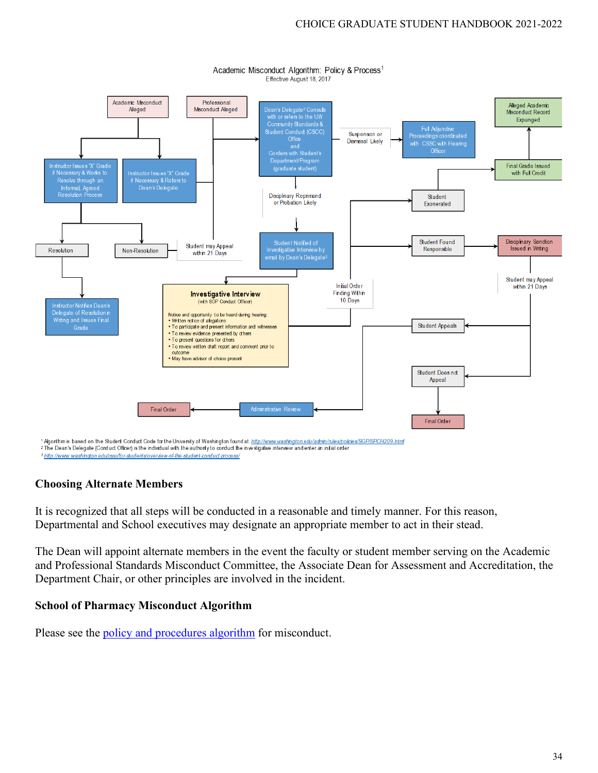

Academic Misconduct Algorithm: Policy & Process<sup>1</sup> Effective August 18, 2017

**Choosing Alternate Members**

It is recognized that all steps will be conducted in a reasonable and timely manner. For this reason, Departmental and School executives may designate an appropriate member to act in their stead.

The Dean will appoint alternate members in the event the faculty or student member serving on the Academic and Professional Standards Misconduct Committee, the Associate Dean for Assessment and Accreditation, the Department Chair, or other principles are involved in the incident.

### **School of Pharmacy Misconduct Algorithm**

Please see the <u>policy and procedures algorithm</u> for misconduct.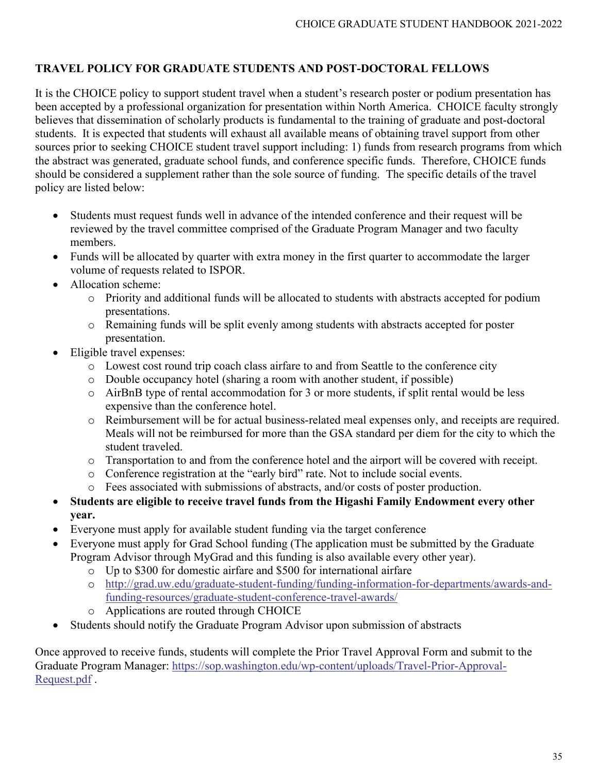## **TRAVEL POLICY FOR GRADUATE STUDENTS AND POST-DOCTORAL FELLOWS**

It is the CHOICE policy to support student travel when a student's research poster or podium presentation has been accepted by a professional organization for presentation within North America. CHOICE faculty strongly believes that dissemination of scholarly products is fundamental to the training of graduate and post-doctoral students. It is expected that students will exhaust all available means of obtaining travel support from other sources prior to seeking CHOICE student travel support including: 1) funds from research programs from which the abstract was generated, graduate school funds, and conference specific funds. Therefore, CHOICE funds should be considered a supplement rather than the sole source of funding. The specific details of the travel policy are listed below:

- Students must request funds well in advance of the intended conference and their request will be reviewed by the travel committee comprised of the Graduate Program Manager and two faculty members.
- Funds will be allocated by quarter with extra money in the first quarter to accommodate the larger volume of requests related to ISPOR.
- Allocation scheme:
	- o Priority and additional funds will be allocated to students with abstracts accepted for podium presentations.
	- o Remaining funds will be split evenly among students with abstracts accepted for poster presentation.
- Eligible travel expenses:
	- o Lowest cost round trip coach class airfare to and from Seattle to the conference city
	- o Double occupancy hotel (sharing a room with another student, if possible)
	- o AirBnB type of rental accommodation for 3 or more students, if split rental would be less expensive than the conference hotel.
	- o Reimbursement will be for actual business-related meal expenses only, and receipts are required. Meals will not be reimbursed for more than the GSA standard per diem for the city to which the student traveled.
	- o Transportation to and from the conference hotel and the airport will be covered with receipt.
	- o Conference registration at the "early bird" rate. Not to include social events.
	- o Fees associated with submissions of abstracts, and/or costs of poster production.
- **Students are eligible to receive travel funds from the Higashi Family Endowment every other year.**
- Everyone must apply for available student funding via the target conference
- Everyone must apply for Grad School funding (The application must be submitted by the Graduate Program Advisor through MyGrad and this funding is also available every other year).
	- o Up to \$300 for domestic airfare and \$500 for international airfare
	- o http://grad.uw.edu/graduate-student-funding/funding-information-for-departments/awards-andfunding-resources/graduate-student-conference-travel-awards/
	- o Applications are routed through CHOICE
- Students should notify the Graduate Program Advisor upon submission of abstracts

Once approved to receive funds, students will complete the Prior Travel Approval Form and submit to the Graduate Program Manager: [https://sop.washington.edu/wp-content/uploads/Travel-Prior-Approval-](https://sop.washington.edu/wp-content/uploads/Travel-Prior-Approval-Request.pdf)[Request.pdf](https://sop.washington.edu/wp-content/uploads/Travel-Prior-Approval-Request.pdf) .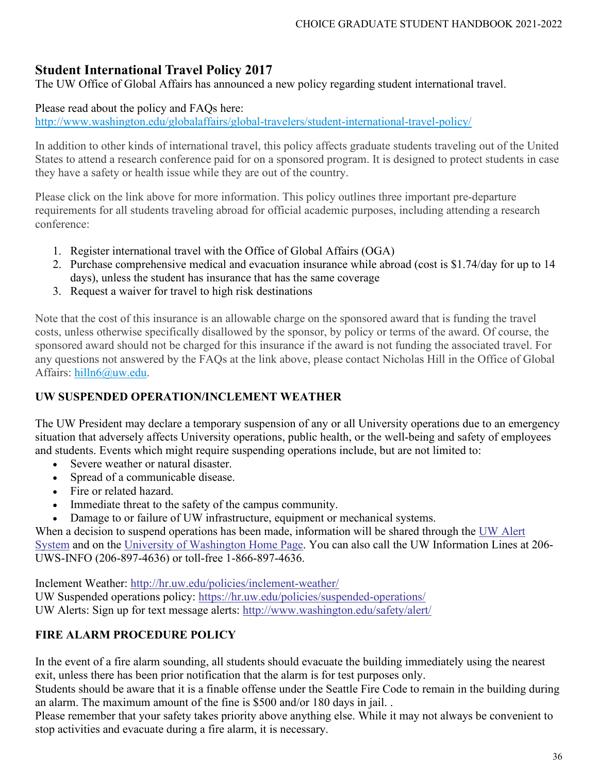# **Student International Travel Policy 2017**

The UW Office of Global Affairs has announced a new policy regarding student international travel.

#### Please read about the policy and FAQs here:

<http://www.washington.edu/globalaffairs/global-travelers/student-international-travel-policy/>

In addition to other kinds of international travel, this policy affects graduate students traveling out of the United States to attend a research conference paid for on a sponsored program. It is designed to protect students in case they have a safety or health issue while they are out of the country.

Please click on the link above for more information. This policy outlines three important pre-departure requirements for all students traveling abroad for official academic purposes, including attending a research conference:

- 1. Register international travel with the Office of Global Affairs (OGA)
- 2. Purchase comprehensive medical and evacuation insurance while abroad (cost is \$1.74/day for up to 14 days), unless the student has insurance that has the same coverage
- 3. Request a waiver for travel to high risk destinations

Note that the cost of this insurance is an allowable charge on the sponsored award that is funding the travel costs, unless otherwise specifically disallowed by the sponsor, by policy or terms of the award. Of course, the sponsored award should not be charged for this insurance if the award is not funding the associated travel. For any questions not answered by the FAQs at the link above, please contact Nicholas Hill in the Office of Global Affairs: [hilln6@uw.edu.](mailto:hilln6@uw.edu)

### **UW SUSPENDED OPERATION/INCLEMENT WEATHER**

The UW President may declare a temporary suspension of any or all University operations due to an emergency situation that adversely affects University operations, public health, or the well-being and safety of employees and students. Events which might require suspending operations include, but are not limited to:

- Severe weather or natural disaster.
- Spread of a communicable disease.
- Fire or related hazard.
- Immediate threat to the safety of the campus community.
- Damage to or failure of UW infrastructure, equipment or mechanical systems.

When a decision to suspend operations has been made, information will be shared through the UW Alert [System](https://www.washington.edu/alert/index.php) and on the [University of Washington Home Page.](https://www.washington.edu/) You can also call the UW Information Lines at 206- UWS-INFO (206-897-4636) or toll-free 1-866-897-4636.

Inclement Weather:<http://hr.uw.edu/policies/inclement-weather/> UW Suspended operations policy: <https://hr.uw.edu/policies/suspended-operations/> UW Alerts: Sign up for text message alerts:<http://www.washington.edu/safety/alert/>

### **FIRE ALARM PROCEDURE POLICY**

In the event of a fire alarm sounding, all students should evacuate the building immediately using the nearest exit, unless there has been prior notification that the alarm is for test purposes only.

Students should be aware that it is a finable offense under the Seattle Fire Code to remain in the building during an alarm. The maximum amount of the fine is \$500 and/or 180 days in jail. .

Please remember that your safety takes priority above anything else. While it may not always be convenient to stop activities and evacuate during a fire alarm, it is necessary.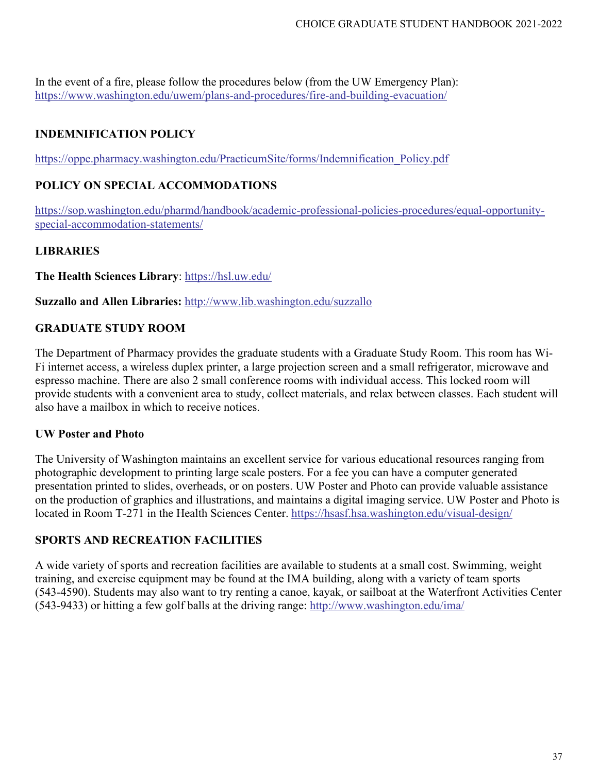In the event of a fire, please follow the procedures below (from the UW Emergency Plan): <https://www.washington.edu/uwem/plans-and-procedures/fire-and-building-evacuation/>

# **INDEMNIFICATION POLICY**

[https://oppe.pharmacy.washington.edu/PracticumSite/forms/Indemnification\\_Policy.pdf](https://oppe.pharmacy.washington.edu/PracticumSite/forms/Indemnification_Policy.pdf)

# **POLICY ON SPECIAL ACCOMMODATIONS**

[https://sop.washington.edu/pharmd/handbook/academic-professional-policies-procedures/equal-opportunity](https://sop.washington.edu/pharmd/handbook/academic-professional-policies-procedures/equal-opportunity-special-accommodation-statements/)[special-accommodation-statements/](https://sop.washington.edu/pharmd/handbook/academic-professional-policies-procedures/equal-opportunity-special-accommodation-statements/)

# **LIBRARIES**

#### **The Health Sciences Library**:<https://hsl.uw.edu/>

**Suzzallo and Allen Libraries:** <http://www.lib.washington.edu/suzzallo>

# **GRADUATE STUDY ROOM**

The Department of Pharmacy provides the graduate students with a Graduate Study Room. This room has Wi-Fi internet access, a wireless duplex printer, a large projection screen and a small refrigerator, microwave and espresso machine. There are also 2 small conference rooms with individual access. This locked room will provide students with a convenient area to study, collect materials, and relax between classes. Each student will also have a mailbox in which to receive notices.

# **UW Poster and Photo**

The University of Washington maintains an excellent service for various educational resources ranging from photographic development to printing large scale posters. For a fee you can have a computer generated presentation printed to slides, overheads, or on posters. UW Poster and Photo can provide valuable assistance on the production of graphics and illustrations, and maintains a digital imaging service. UW Poster and Photo is located in Room T-271 in the Health Sciences Center. <https://hsasf.hsa.washington.edu/visual-design/>

# **SPORTS AND RECREATION FACILITIES**

A wide variety of sports and recreation facilities are available to students at a small cost. Swimming, weight training, and exercise equipment may be found at the IMA building, along with a variety of team sports (543-4590). Students may also want to try renting a canoe, kayak, or sailboat at the Waterfront Activities Center (543-9433) or hitting a few golf balls at the driving range:<http://www.washington.edu/ima/>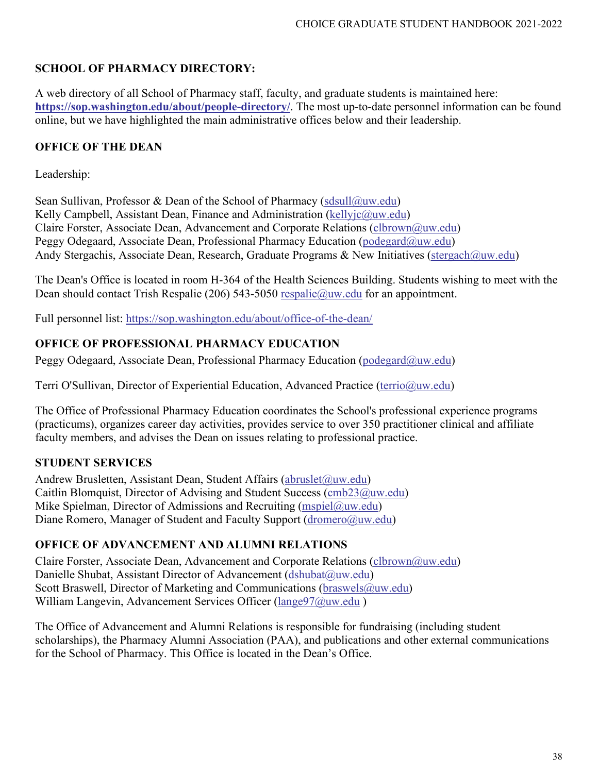# **SCHOOL OF PHARMACY DIRECTORY:**

A web directory of all School of Pharmacy staff, faculty, and graduate students is maintained here: **<https://sop.washington.edu/about/people-directory/>**. The most up-to-date personnel information can be found online, but we have highlighted the main administrative offices below and their leadership.

# **OFFICE OF THE DEAN**

Leadership:

Sean Sullivan, Professor & Dean of the School of Pharmacy (sdsull $(\partial_{\mu}uw.edu)$ ) Kelly Campbell, Assistant Dean, Finance and Administration [\(kellyjc@uw.edu\)](mailto:kellyjc@uw.edu) Claire Forster, Associate Dean, Advancement and Corporate Relations [\(clbrown@uw.edu\)](mailto:clbrown@uw.edu) Peggy Odegaard, Associate Dean, Professional Pharmacy Education [\(podegard@uw.edu\)](mailto:podegard@uw.edu) Andy Stergachis, Associate Dean, Research, Graduate Programs & New Initiatives [\(stergach@uw.edu\)](mailto:stergach@uw.edu)

The Dean's Office is located in room H-364 of the Health Sciences Building. Students wishing to meet with the Dean should contact Trish Respalie (206) 543-5050 respalie @uw.edu for an appointment.

Full personnel list:<https://sop.washington.edu/about/office-of-the-dean/>

# **OFFICE OF PROFESSIONAL PHARMACY EDUCATION**

Peggy Odegaard, Associate Dean, Professional Pharmacy Education [\(podegard@uw.edu\)](mailto:podegard@uw.edu)

Terri O'Sullivan, Director of Experiential Education, Advanced Practice [\(terrio@uw.edu\)](mailto:terrio@uw.edu)

The Office of Professional Pharmacy Education coordinates the School's professional experience programs (practicums), organizes career day activities, provides service to over 350 practitioner clinical and affiliate faculty members, and advises the Dean on issues relating to professional practice.

# **STUDENT SERVICES**

Andrew Brusletten, Assistant Dean, Student Affairs [\(abruslet@uw.edu\)](mailto:abruslet@uw.edu) Caitlin Blomquist, Director of Advising and Student Success [\(cmb23@uw.edu\)](mailto:cmb23@uw.edu) Mike Spielman, Director of Admissions and Recruiting (mspiel $@$ uw.edu) Diane Romero, Manager of Student and Faculty Support [\(dromero@uw.edu\)](mailto:dromero@uw.edu)

# **OFFICE OF ADVANCEMENT AND ALUMNI RELATIONS**

Claire Forster, Associate Dean, Advancement and Corporate Relations [\(clbrown@uw.edu\)](mailto:clbrown@uw.edu) Danielle Shubat, Assistant Director of Advancement [\(dshubat@uw.edu\)](mailto:dshubat@uw.edu) Scott Braswell, Director of Marketing and Communications [\(braswels@uw.edu\)](mailto:braswels@uw.edu) William Langevin, Advancement Services Officer [\(lange97@uw.edu](mailto:lange97@uw.edu))

The Office of Advancement and Alumni Relations is responsible for fundraising (including student scholarships), the Pharmacy Alumni Association (PAA), and publications and other external communications for the School of Pharmacy. This Office is located in the Dean's Office.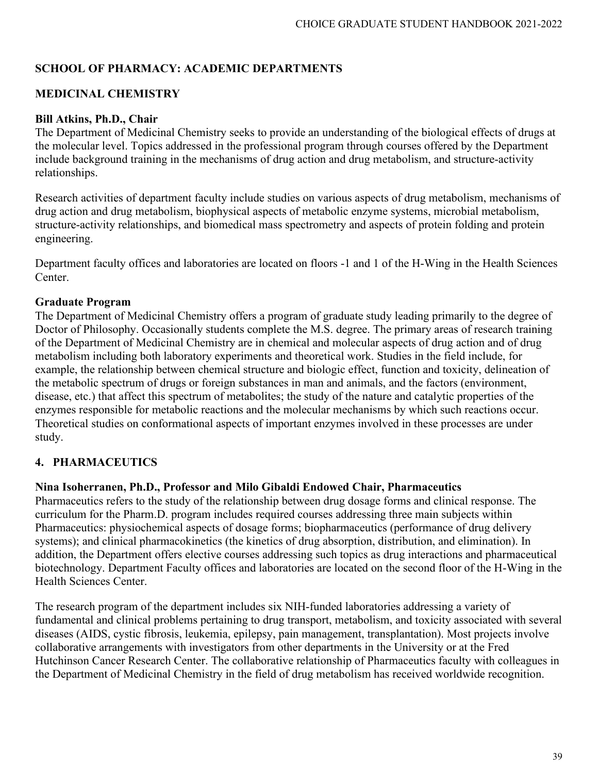# **SCHOOL OF PHARMACY: ACADEMIC DEPARTMENTS**

# **MEDICINAL CHEMISTRY**

#### **Bill Atkins, Ph.D., Chair**

The Department of Medicinal Chemistry seeks to provide an understanding of the biological effects of drugs at the molecular level. Topics addressed in the professional program through courses offered by the Department include background training in the mechanisms of drug action and drug metabolism, and structure-activity relationships.

Research activities of department faculty include studies on various aspects of drug metabolism, mechanisms of drug action and drug metabolism, biophysical aspects of metabolic enzyme systems, microbial metabolism, structure-activity relationships, and biomedical mass spectrometry and aspects of protein folding and protein engineering.

Department faculty offices and laboratories are located on floors -1 and 1 of the H-Wing in the Health Sciences Center.

#### **Graduate Program**

The Department of Medicinal Chemistry offers a program of graduate study leading primarily to the degree of Doctor of Philosophy. Occasionally students complete the M.S. degree. The primary areas of research training of the Department of Medicinal Chemistry are in chemical and molecular aspects of drug action and of drug metabolism including both laboratory experiments and theoretical work. Studies in the field include, for example, the relationship between chemical structure and biologic effect, function and toxicity, delineation of the metabolic spectrum of drugs or foreign substances in man and animals, and the factors (environment, disease, etc.) that affect this spectrum of metabolites; the study of the nature and catalytic properties of the enzymes responsible for metabolic reactions and the molecular mechanisms by which such reactions occur. Theoretical studies on conformational aspects of important enzymes involved in these processes are under study.

# **4. PHARMACEUTICS**

#### **Nina Isoherranen, Ph.D., Professor and Milo Gibaldi Endowed Chair, Pharmaceutics**

Pharmaceutics refers to the study of the relationship between drug dosage forms and clinical response. The curriculum for the Pharm.D. program includes required courses addressing three main subjects within Pharmaceutics: physiochemical aspects of dosage forms; biopharmaceutics (performance of drug delivery systems); and clinical pharmacokinetics (the kinetics of drug absorption, distribution, and elimination). In addition, the Department offers elective courses addressing such topics as drug interactions and pharmaceutical biotechnology. Department Faculty offices and laboratories are located on the second floor of the H-Wing in the Health Sciences Center.

The research program of the department includes six NIH-funded laboratories addressing a variety of fundamental and clinical problems pertaining to drug transport, metabolism, and toxicity associated with several diseases (AIDS, cystic fibrosis, leukemia, epilepsy, pain management, transplantation). Most projects involve collaborative arrangements with investigators from other departments in the University or at the Fred Hutchinson Cancer Research Center. The collaborative relationship of Pharmaceutics faculty with colleagues in the Department of Medicinal Chemistry in the field of drug metabolism has received worldwide recognition.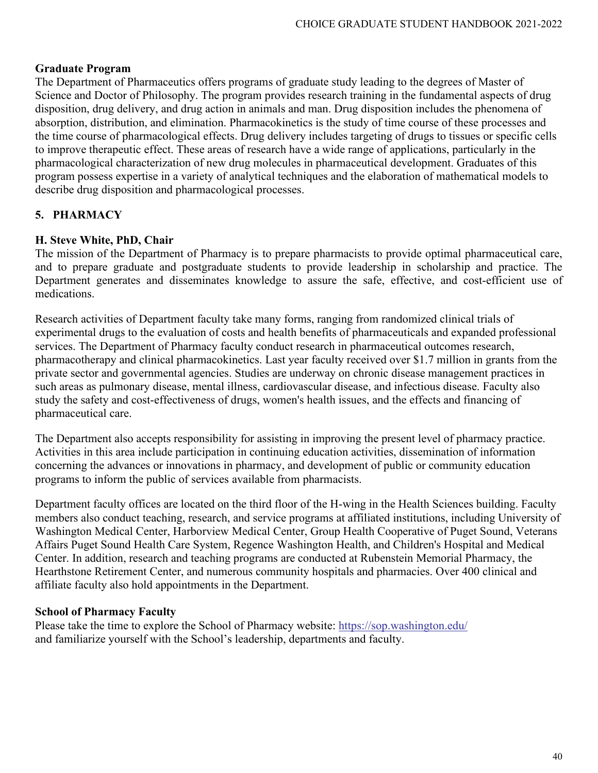#### **Graduate Program**

The Department of Pharmaceutics offers programs of graduate study leading to the degrees of Master of Science and Doctor of Philosophy. The program provides research training in the fundamental aspects of drug disposition, drug delivery, and drug action in animals and man. Drug disposition includes the phenomena of absorption, distribution, and elimination. Pharmacokinetics is the study of time course of these processes and the time course of pharmacological effects. Drug delivery includes targeting of drugs to tissues or specific cells to improve therapeutic effect. These areas of research have a wide range of applications, particularly in the pharmacological characterization of new drug molecules in pharmaceutical development. Graduates of this program possess expertise in a variety of analytical techniques and the elaboration of mathematical models to describe drug disposition and pharmacological processes.

# **5. PHARMACY**

#### **H. Steve White, PhD, Chair**

The mission of the Department of Pharmacy is to prepare pharmacists to provide optimal pharmaceutical care, and to prepare graduate and postgraduate students to provide leadership in scholarship and practice. The Department generates and disseminates knowledge to assure the safe, effective, and cost-efficient use of medications.

Research activities of Department faculty take many forms, ranging from randomized clinical trials of experimental drugs to the evaluation of costs and health benefits of pharmaceuticals and expanded professional services. The Department of Pharmacy faculty conduct research in pharmaceutical outcomes research, pharmacotherapy and clinical pharmacokinetics. Last year faculty received over \$1.7 million in grants from the private sector and governmental agencies. Studies are underway on chronic disease management practices in such areas as pulmonary disease, mental illness, cardiovascular disease, and infectious disease. Faculty also study the safety and cost-effectiveness of drugs, women's health issues, and the effects and financing of pharmaceutical care.

The Department also accepts responsibility for assisting in improving the present level of pharmacy practice. Activities in this area include participation in continuing education activities, dissemination of information concerning the advances or innovations in pharmacy, and development of public or community education programs to inform the public of services available from pharmacists.

Department faculty offices are located on the third floor of the H-wing in the Health Sciences building. Faculty members also conduct teaching, research, and service programs at affiliated institutions, including University of Washington Medical Center, Harborview Medical Center, Group Health Cooperative of Puget Sound, Veterans Affairs Puget Sound Health Care System, Regence Washington Health, and Children's Hospital and Medical Center. In addition, research and teaching programs are conducted at Rubenstein Memorial Pharmacy, the Hearthstone Retirement Center, and numerous community hospitals and pharmacies. Over 400 clinical and affiliate faculty also hold appointments in the Department.

#### **School of Pharmacy Faculty**

Please take the time to explore the School of Pharmacy website:<https://sop.washington.edu/> and familiarize yourself with the School's leadership, departments and faculty.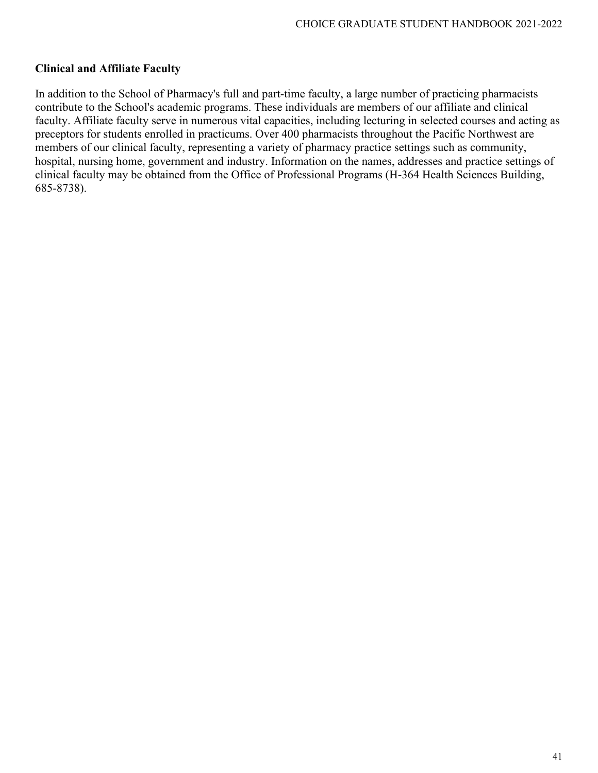#### **Clinical and Affiliate Faculty**

In addition to the School of Pharmacy's full and part-time faculty, a large number of practicing pharmacists contribute to the School's academic programs. These individuals are members of our affiliate and clinical faculty. Affiliate faculty serve in numerous vital capacities, including lecturing in selected courses and acting as preceptors for students enrolled in practicums. Over 400 pharmacists throughout the Pacific Northwest are members of our clinical faculty, representing a variety of pharmacy practice settings such as community, hospital, nursing home, government and industry. Information on the names, addresses and practice settings of clinical faculty may be obtained from the Office of Professional Programs (H-364 Health Sciences Building, 685-8738).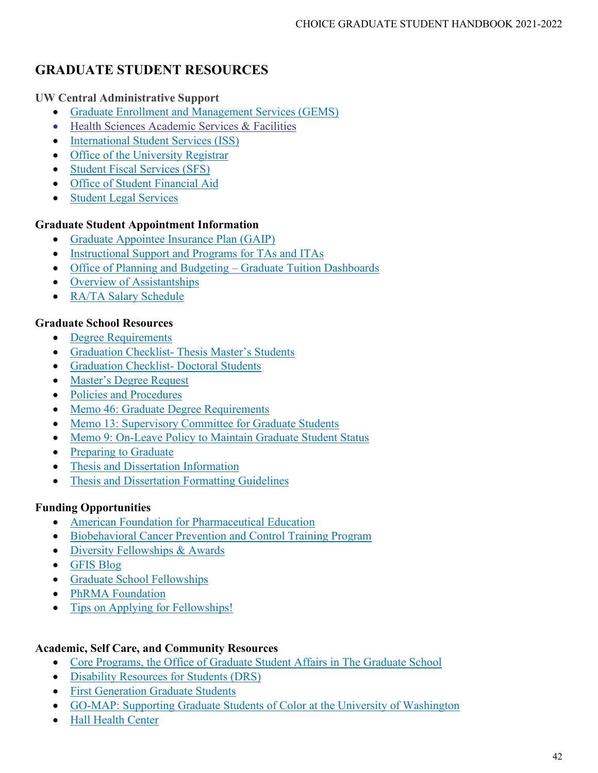# **GRADUATE STUDENT RESOURCES**

# **UW Central Administrative Support**

- [Graduate Enrollment and Management Services \(GEMS\)](https://grad.uw.edu/about-the-graduate-school/directory/#students)
- [Health Sciences Academic Services & Facilities](https://hsasf.hsa.washington.edu/)
- [International Student Services \(ISS\)](https://iss.washington.edu/)
- [Office of the University Registrar](https://registrar.washington.edu/)
- [Student Fiscal Services \(SFS\)](https://finance.uw.edu/sfs/home)
- [Office of Student Financial Aid](https://www.washington.edu/financialaid/)
- [Student Legal Services](http://depts.washington.edu/slsuw/)

# **Graduate Student Appointment Information**

- [Graduate Appointee Insurance Plan \(GAIP\)](http://www.washington.edu/admin/hr/benefits/insure/gaip/index.html)
- [Instructional Support and Programs for TAs and ITAs](http://www.washington.edu/teaching/)
- [Office of Planning and Budgeting –](http://www.washington.edu/opb/tuition-fees/current-tuition-and-fees-dashboards/graduate-tuition-dashboard/) Graduate Tuition Dashboards
- [Overview of Assistantships](https://grad.uw.edu/graduate-student-funding/funding-information-for-students/assistantships/)
- [RA/TA Salary Schedule](https://grad.uw.edu/graduate-student-funding/funding-information-for-departments/administering-assistantships/ta-ra-salaries/)

# **Graduate School Resources**

- [Degree Requirements](http://grad.uw.edu/for-students-and-post-docs/degree-requirements/)
- Graduation Checklist- [Thesis Master's Students](https://grad.uw.edu/wp-content/uploads/2019/06/Thesis-Masters-Graduation-Checklist.pdf)
- [Graduation Checklist-](https://grad.uw.edu/wp-content/uploads/2019/06/Doctoral-Graduation-Checklist.pdf) Doctoral Students
- [Master's Degree Request](https://webapps.grad.uw.edu/student/mastapp.aspx)
- [Policies and Procedures](http://grad.uw.edu/policies-procedures/)
- [Memo 46: Graduate Degree Requirements](http://grad.uw.edu/policies-procedures/graduate-school-memoranda/memo-46-graduate-degree-requirements/)
- [Memo 13: Supervisory Committee for Graduate Students](http://grad.uw.edu/policies-procedures/graduate-school-memoranda/memo-13-supervisory-committee-for-graduate-students/)
- [Memo 9: On-Leave Policy to Maintain Graduate Student Status](http://grad.uw.edu/policies-procedures/graduate-school-memoranda/memo-9-on-leave-policy-to-maintain-graduate-student-status/)
- [Preparing to Graduate](http://grad.uw.edu/for-students-and-post-docs/degree-requirements/preparing-to-graduate/)
- [Thesis and Dissertation Information](https://grad.uw.edu/for-students-and-post-docs/thesisdissertation/)
- [Thesis and Dissertation Formatting Guidelines](https://grad.uw.edu/for-students-and-post-docs/thesisdissertation/etd-formatting-guidelines/)

# **Funding Opportunities**

- [American Foundation for Pharmaceutical Education](http://afpepharm.org/index.php/grants-scholarships-and-awards/)
- [Biobehavioral Cancer Prevention and Control Training Program](http://depts.washington.edu/bcpt/)
- [Diversity Fellowships & Awards](https://grad.uw.edu/graduate-student-funding/funding-information-for-students/fellowships/diversity-fellowships/)
- [GFIS Blog](https://blogs.uw.edu/gfis/)
- [Graduate School Fellowships](https://grad.uw.edu/graduate-student-funding/funding-information-for-students/fellowships/list-of-fellowships/)
- [PhRMA Foundation](http://www.phrmafoundation.org/awards/)
- [Tips on Applying for Fellowships!](https://grad.uw.edu/graduate-student-funding/funding-information-for-students/fellowships/applying-for-fellowships/)

# **Academic, Self Care, and Community Resources**

- Core Programs, [the Office of Graduate Student Affairs in The Graduate School](http://grad.uw.edu/for-students-and-post-docs/core-programs/)
- [Disability Resources for Students \(DRS\)](http://depts.washington.edu/uwdrs/)
- [First Generation Graduate Students](http://grad.uw.edu/for-students-and-post-docs/core-programs/first-generation-graduate-students/)
- [GO-MAP: Supporting Graduate Students of Color at the University of Washington](http://grad.uw.edu/diversity/go-map/)
- [Hall Health Center](http://depts.washington.edu/hhpccweb/)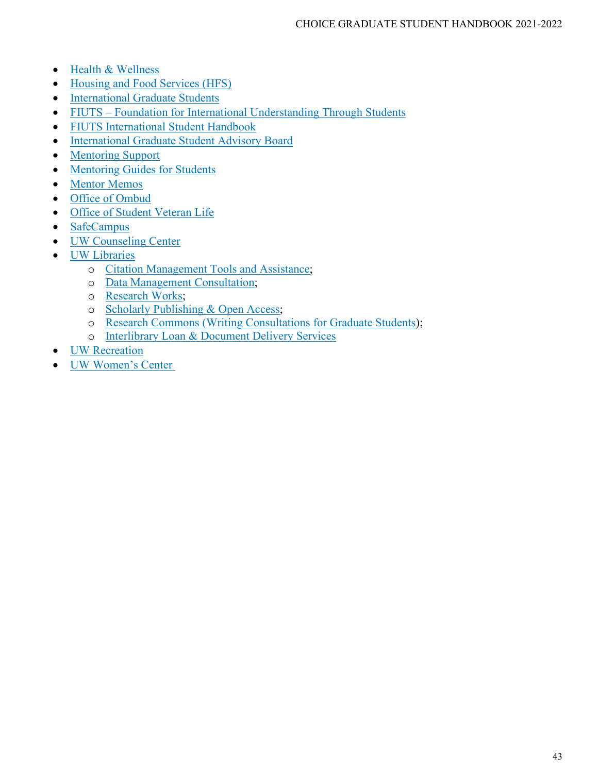- [Health & Wellness](http://depts.washington.edu/livewell/student-care/)
- [Housing and Food Services \(HFS\)](https://www.hfs.washington.edu/)
- [International Graduate Students](http://grad.uw.edu/for-students-and-post-docs/core-programs/international-graduate-students/)
- FIUTS [Foundation for International Understanding Through Students](https://www.fiuts.org/)
- [FIUTS International Student Handbook](https://fiutshandbook.wordpress.com/)
- [International Graduate Student Advisory Board](http://grad.uw.edu/for-students-and-post-docs/core-programs/international-graduate-students/international-graduate-student-advisory-board/)
- [Mentoring Support](http://grad.uw.edu/for-students-and-post-docs/core-programs/mentoring/)
- [Mentoring Guides for Students](http://grad.uw.edu/for-students-and-post-docs/core-programs/mentoring/mentoring-guides-for-students/)
- [Mentor Memos](http://grad.uw.edu/for-students-and-post-docs/core-programs/mentoring/mentor-memos/)
- [Office of Ombud](https://www.washington.edu/ombud/)
- [Office of Student Veteran Life](https://depts.washington.edu/vetlife/)
- [SafeCampus](https://depts.washington.edu/safecamp/)
- [UW Counseling Center](https://www.washington.edu/counseling/)
- [UW Libraries](https://www.lib.washington.edu/)
	- o [Citation Management Tools and Assistance;](https://guides.lib.uw.edu/research/citations)
	- o [Data Management Consultation;](https://guides.lib.uw.edu/research/data)
	- o [Research Works;](http://researchworks.lib.washington.edu/)
	- o [Scholarly Publishing & Open Access;](http://www.lib.washington.edu/scholpub)
	- o [Research Commons](http://commons.lib.washington.edu/) [\(Writing Consultations for Graduate Students\)](http://commons.lib.washington.edu/services/dropin/writing);
	- o [Interlibrary Loan & Document Delivery Services](http://www.lib.washington.edu/ill)
- [UW Recreation](http://www.washington.edu/ima/)
- [UW Women's Center](http://www.washington.edu/womenscenter/)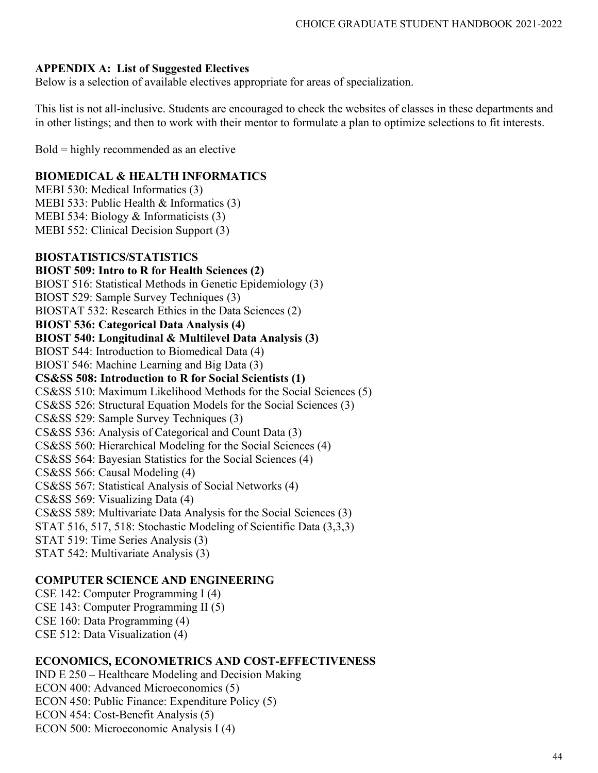#### **APPENDIX A: List of Suggested Electives**

Below is a selection of available electives appropriate for areas of specialization.

This list is not all-inclusive. Students are encouraged to check the websites of classes in these departments and in other listings; and then to work with their mentor to formulate a plan to optimize selections to fit interests.

Bold = highly recommended as an elective

#### **BIOMEDICAL & HEALTH INFORMATICS**

MEBI 530: Medical Informatics (3) MEBI 533: Public Health & Informatics (3) MEBI 534: Biology & Informaticists (3) MEBI 552: Clinical Decision Support (3)

#### **BIOSTATISTICS/STATISTICS**

**BIOST 509: Intro to R for Health Sciences (2)** BIOST 516: Statistical Methods in Genetic Epidemiology (3) BIOST 529: Sample Survey Techniques (3) BIOSTAT 532: Research Ethics in the Data Sciences (2) **BIOST 536: Categorical Data Analysis (4) BIOST 540: Longitudinal & Multilevel Data Analysis (3)**  BIOST 544: Introduction to Biomedical Data (4) BIOST 546: Machine Learning and Big Data (3) **CS&SS 508: Introduction to R for Social Scientists (1)** CS&SS 510: Maximum Likelihood Methods for the Social Sciences (5) CS&SS 526: Structural Equation Models for the Social Sciences (3) CS&SS 529: Sample Survey Techniques (3) CS&SS 536: Analysis of Categorical and Count Data (3) CS&SS 560: Hierarchical Modeling for the Social Sciences (4) CS&SS 564: Bayesian Statistics for the Social Sciences (4) CS&SS 566: Causal Modeling (4) CS&SS 567: Statistical Analysis of Social Networks (4) CS&SS 569: Visualizing Data (4) CS&SS 589: Multivariate Data Analysis for the Social Sciences (3) STAT 516, 517, 518: Stochastic Modeling of Scientific Data (3,3,3) STAT 519: Time Series Analysis (3) STAT 542: Multivariate Analysis (3)

#### **COMPUTER SCIENCE AND ENGINEERING**

CSE 142: Computer Programming I (4) CSE 143: Computer Programming II (5) CSE 160: Data Programming (4) CSE 512: Data Visualization (4)

### **ECONOMICS, ECONOMETRICS AND COST-EFFECTIVENESS**

IND E 250 – Healthcare Modeling and Decision Making ECON 400: Advanced Microeconomics (5) ECON 450: Public Finance: Expenditure Policy (5) ECON 454: Cost-Benefit Analysis (5) ECON 500: Microeconomic Analysis I (4)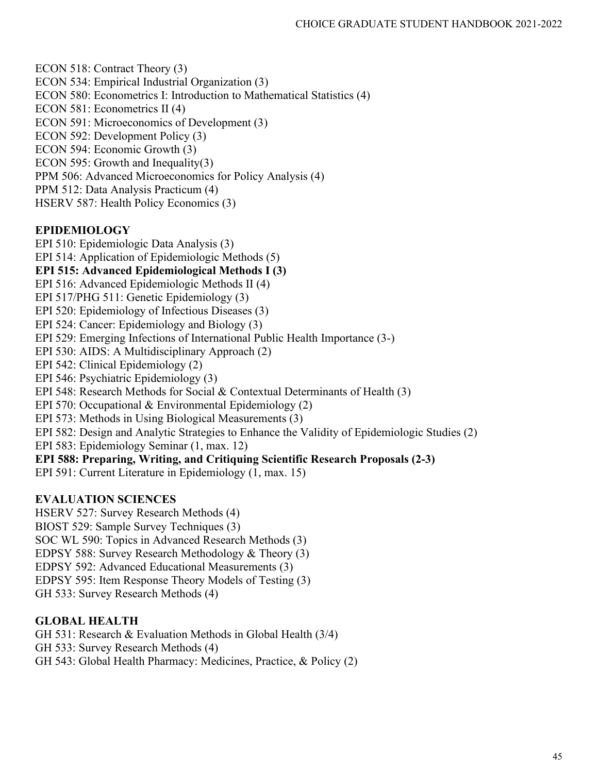ECON 518: Contract Theory (3) ECON 534: Empirical Industrial Organization (3) ECON 580: Econometrics I: Introduction to Mathematical Statistics (4) ECON 581: Econometrics II (4) ECON 591: Microeconomics of Development (3) ECON 592: Development Policy (3) ECON 594: Economic Growth (3) ECON 595: Growth and Inequality(3) PPM 506: Advanced Microeconomics for Policy Analysis (4) PPM 512: Data Analysis Practicum (4) HSERV 587: Health Policy Economics (3)

# **EPIDEMIOLOGY**

EPI 510: Epidemiologic Data Analysis (3) EPI 514: Application of Epidemiologic Methods (5) **EPI 515: Advanced Epidemiological Methods I (3)** EPI 516: Advanced Epidemiologic Methods II (4) EPI 517/PHG 511: Genetic Epidemiology (3) EPI 520: Epidemiology of Infectious Diseases (3) EPI 524: Cancer: Epidemiology and Biology (3) EPI 529: Emerging Infections of International Public Health Importance (3-) EPI 530: AIDS: A Multidisciplinary Approach (2) EPI 542: Clinical Epidemiology (2) EPI 546: Psychiatric Epidemiology (3) EPI 548: Research Methods for Social & Contextual Determinants of Health (3) EPI 570: Occupational & Environmental Epidemiology (2) EPI 573: Methods in Using Biological Measurements (3) EPI 582: Design and Analytic Strategies to Enhance the Validity of Epidemiologic Studies (2) EPI 583: Epidemiology Seminar (1, max. 12) **EPI 588: Preparing, Writing, and Critiquing Scientific Research Proposals (2-3)** EPI 591: Current Literature in Epidemiology (1, max. 15)

# **EVALUATION SCIENCES**

HSERV 527: Survey Research Methods (4) BIOST 529: Sample Survey Techniques (3) SOC WL 590: Topics in Advanced Research Methods (3) EDPSY 588: Survey Research Methodology & Theory (3) EDPSY 592: Advanced Educational Measurements (3) EDPSY 595: Item Response Theory Models of Testing (3) GH 533: Survey Research Methods (4)

# **GLOBAL HEALTH**

GH 531: Research & Evaluation Methods in Global Health (3/4) GH 533: Survey Research Methods (4) GH 543: Global Health Pharmacy: Medicines, Practice, & Policy (2)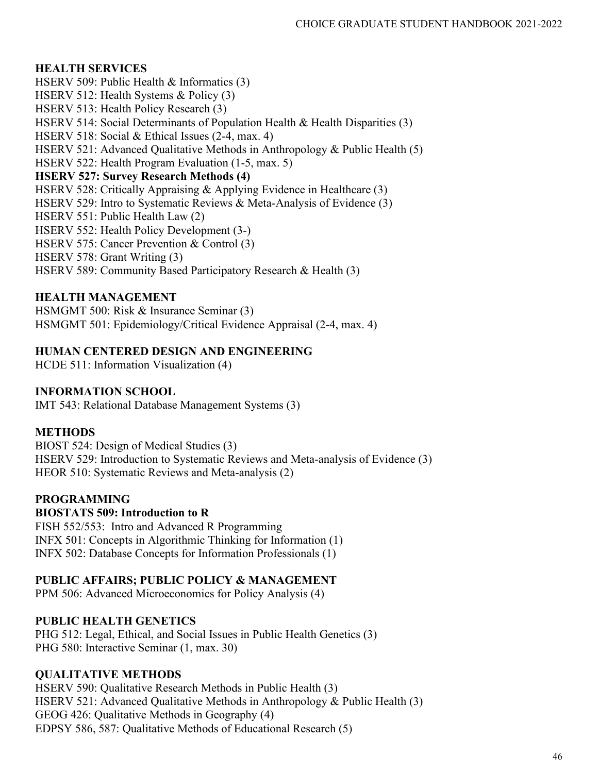# **HEALTH SERVICES**

HSERV 509: Public Health & Informatics (3) HSERV 512: Health Systems & Policy (3) HSERV 513: Health Policy Research (3) HSERV 514: Social Determinants of Population Health & Health Disparities (3) HSERV 518: Social & Ethical Issues (2-4, max. 4) HSERV 521: Advanced Qualitative Methods in Anthropology & Public Health (5) HSERV 522: Health Program Evaluation (1-5, max. 5) **HSERV 527: Survey Research Methods (4)** HSERV 528: Critically Appraising & Applying Evidence in Healthcare (3) HSERV 529: Intro to Systematic Reviews & Meta-Analysis of Evidence (3) HSERV 551: Public Health Law (2) HSERV 552: Health Policy Development (3-) HSERV 575: Cancer Prevention & Control (3) HSERV 578: Grant Writing (3) HSERV 589: Community Based Participatory Research & Health (3)

# **HEALTH MANAGEMENT**

HSMGMT 500: Risk & Insurance Seminar (3) HSMGMT 501: Epidemiology/Critical Evidence Appraisal (2-4, max. 4)

# **HUMAN CENTERED DESIGN AND ENGINEERING**

HCDE 511: Information Visualization (4)

# **INFORMATION SCHOOL**

IMT 543: Relational Database Management Systems (3)

# **METHODS**

BIOST 524: Design of Medical Studies (3) HSERV 529: Introduction to Systematic Reviews and Meta-analysis of Evidence (3) HEOR 510: Systematic Reviews and Meta-analysis (2)

# **PROGRAMMING**

#### **BIOSTATS 509: Introduction to R**

FISH 552/553: Intro and Advanced R Programming INFX 501: Concepts in Algorithmic Thinking for Information (1) INFX 502: Database Concepts for Information Professionals (1)

# **PUBLIC AFFAIRS; PUBLIC POLICY & MANAGEMENT**

PPM 506: Advanced Microeconomics for Policy Analysis (4)

# **PUBLIC HEALTH GENETICS**

PHG 512: Legal, Ethical, and Social Issues in Public Health Genetics (3) PHG 580: Interactive Seminar (1, max. 30)

# **QUALITATIVE METHODS**

HSERV 590: Qualitative Research Methods in Public Health (3) HSERV 521: Advanced Qualitative Methods in Anthropology & Public Health (3) GEOG 426: Qualitative Methods in Geography (4) EDPSY 586, 587: Qualitative Methods of Educational Research (5)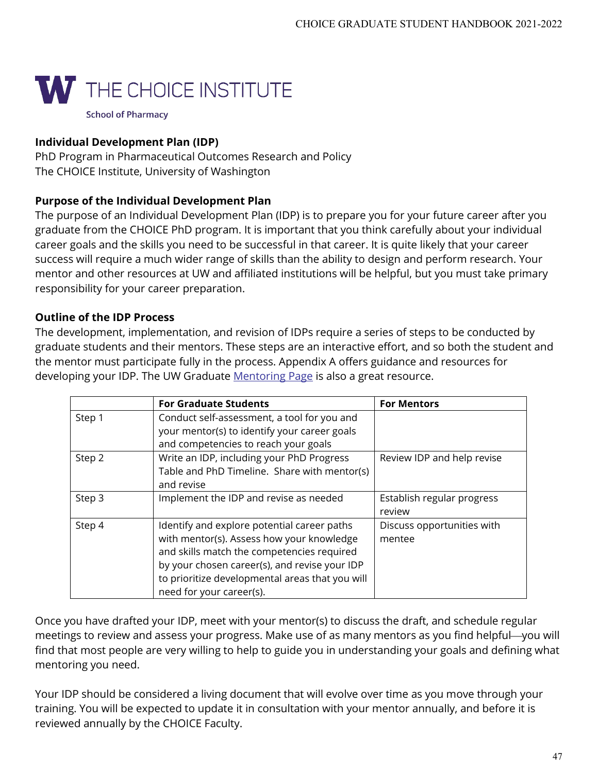

PhD Program in Pharmaceutical Outcomes Research and Policy The CHOICE Institute, University of Washington

# **Purpose of the Individual Development Plan**

The purpose of an Individual Development Plan (IDP) is to prepare you for your future career after you graduate from the CHOICE PhD program. It is important that you think carefully about your individual career goals and the skills you need to be successful in that career. It is quite likely that your career success will require a much wider range of skills than the ability to design and perform research. Your mentor and other resources at UW and affiliated institutions will be helpful, but you must take primary responsibility for your career preparation.

# **Outline of the IDP Process**

The development, implementation, and revision of IDPs require a series of steps to be conducted by graduate students and their mentors. These steps are an interactive effort, and so both the student and the mentor must participate fully in the process. Appendix A offers guidance and resources for developing your IDP. The UW Graduate [Mentoring Page](http://www.grad.washington.edu/mentoring/) is also a great resource.

|        | <b>For Graduate Students</b>                    | <b>For Mentors</b>         |
|--------|-------------------------------------------------|----------------------------|
| Step 1 | Conduct self-assessment, a tool for you and     |                            |
|        | your mentor(s) to identify your career goals    |                            |
|        | and competencies to reach your goals            |                            |
| Step 2 | Write an IDP, including your PhD Progress       | Review IDP and help revise |
|        | Table and PhD Timeline. Share with mentor(s)    |                            |
|        | and revise                                      |                            |
| Step 3 | Implement the IDP and revise as needed          | Establish regular progress |
|        |                                                 | review                     |
| Step 4 | Identify and explore potential career paths     | Discuss opportunities with |
|        | with mentor(s). Assess how your knowledge       | mentee                     |
|        | and skills match the competencies required      |                            |
|        | by your chosen career(s), and revise your IDP   |                            |
|        | to prioritize developmental areas that you will |                            |
|        | need for your career(s).                        |                            |

Once you have drafted your IDP, meet with your mentor(s) to discuss the draft, and schedule regular meetings to review and assess your progress. Make use of as many mentors as you find helpful—you will find that most people are very willing to help to guide you in understanding your goals and defining what mentoring you need.

Your IDP should be considered a living document that will evolve over time as you move through your training. You will be expected to update it in consultation with your mentor annually, and before it is reviewed annually by the CHOICE Faculty.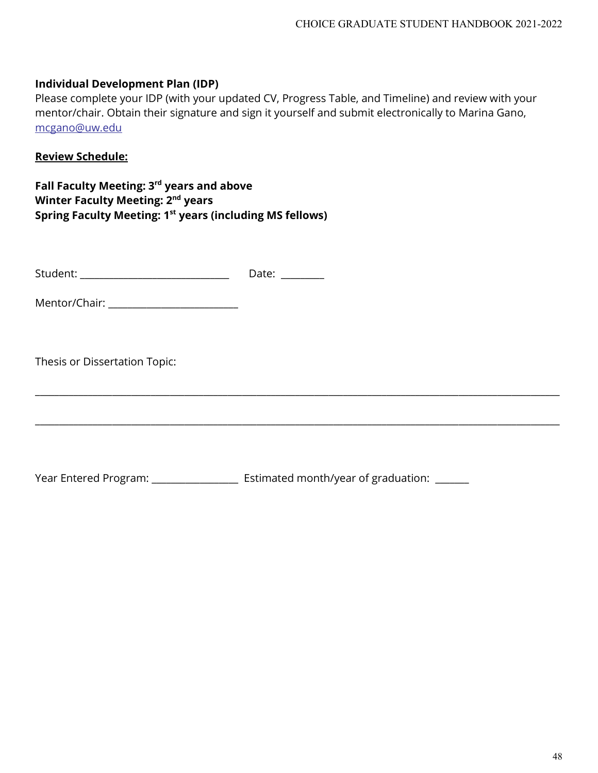Please complete your IDP (with your updated CV, Progress Table, and Timeline) and review with your mentor/chair. Obtain their signature and sign it yourself and submit electronically to Marina Gano, [mcgano@uw.edu](mailto:mcgano@uw.edu) 

\_\_\_\_\_\_\_\_\_\_\_\_\_\_\_\_\_\_\_\_\_\_\_\_\_\_\_\_\_\_\_\_\_\_\_\_\_\_\_\_\_\_\_\_\_\_\_\_\_\_\_\_\_\_\_\_\_\_\_\_\_\_\_\_\_\_\_\_\_\_\_\_\_\_\_\_\_\_\_\_\_\_\_\_\_\_\_\_\_\_\_\_\_\_\_\_\_\_\_\_\_\_\_\_\_\_\_\_\_

\_\_\_\_\_\_\_\_\_\_\_\_\_\_\_\_\_\_\_\_\_\_\_\_\_\_\_\_\_\_\_\_\_\_\_\_\_\_\_\_\_\_\_\_\_\_\_\_\_\_\_\_\_\_\_\_\_\_\_\_\_\_\_\_\_\_\_\_\_\_\_\_\_\_\_\_\_\_\_\_\_\_\_\_\_\_\_\_\_\_\_\_\_\_\_\_\_\_\_\_\_\_\_\_\_\_\_\_\_

#### **Review Schedule:**

**Fall Faculty Meeting: 3rd years and above Winter Faculty Meeting: 2nd years Spring Faculty Meeting: 1st years (including MS fellows)**

Mentor/Chair: \_\_\_\_\_\_\_\_\_\_\_\_\_\_\_\_\_\_\_\_\_\_\_\_\_\_\_

Thesis or Dissertation Topic:

Year Entered Program: \_\_\_\_\_\_\_\_\_\_\_\_\_\_\_\_\_\_\_\_\_ Estimated month/year of graduation: \_\_\_\_\_\_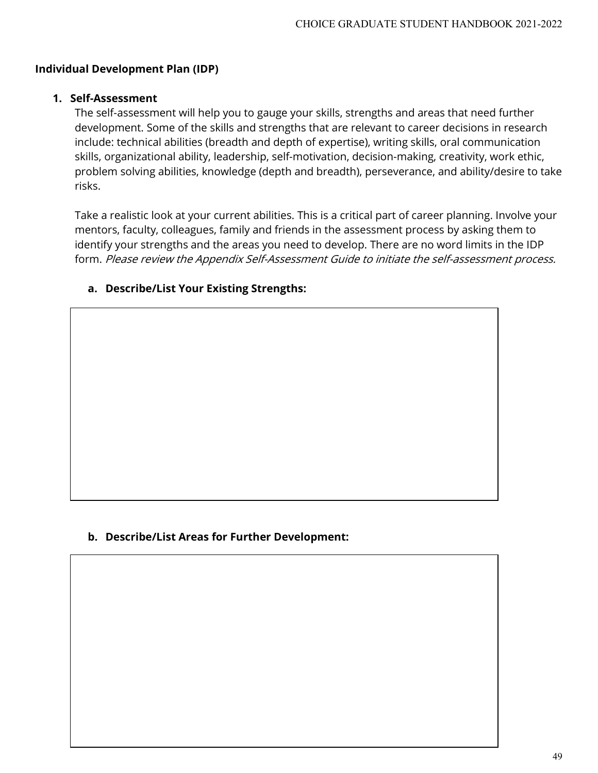#### **1. Self-Assessment**

The self-assessment will help you to gauge your skills, strengths and areas that need further development. Some of the skills and strengths that are relevant to career decisions in research include: technical abilities (breadth and depth of expertise), writing skills, oral communication skills, organizational ability, leadership, self-motivation, decision-making, creativity, work ethic, problem solving abilities, knowledge (depth and breadth), perseverance, and ability/desire to take risks.

Take a realistic look at your current abilities. This is a critical part of career planning. Involve your mentors, faculty, colleagues, family and friends in the assessment process by asking them to identify your strengths and the areas you need to develop. There are no word limits in the IDP form. Please review the Appendix Self-Assessment Guide to initiate the self-assessment process.

# **a. Describe/List Your Existing Strengths:**

#### **b. Describe/List Areas for Further Development:**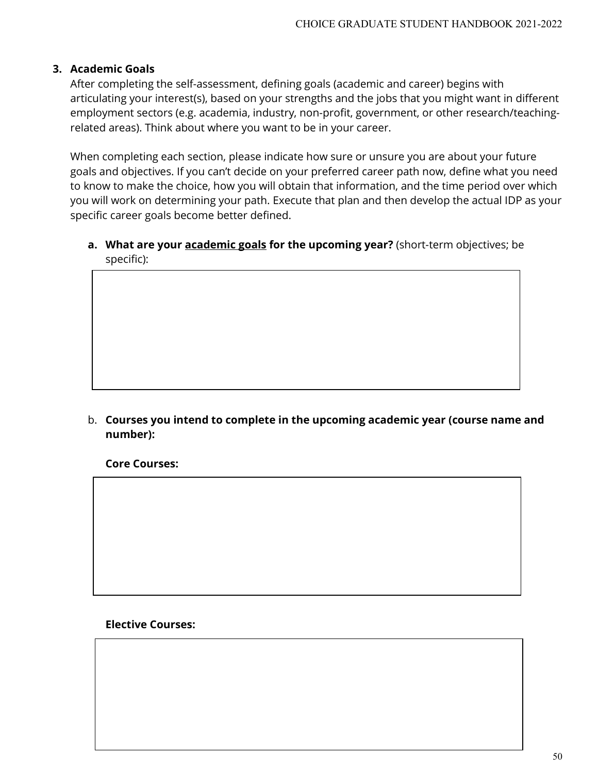# **3. Academic Goals**

After completing the self-assessment, defining goals (academic and career) begins with articulating your interest(s), based on your strengths and the jobs that you might want in different employment sectors (e.g. academia, industry, non-profit, government, or other research/teachingrelated areas). Think about where you want to be in your career.

When completing each section, please indicate how sure or unsure you are about your future goals and objectives. If you can't decide on your preferred career path now, define what you need to know to make the choice, how you will obtain that information, and the time period over which you will work on determining your path. Execute that plan and then develop the actual IDP as your specific career goals become better defined.

**a. What are your academic goals for the upcoming year?** (short-term objectives; be specific):

b. **Courses you intend to complete in the upcoming academic year (course name and number):**

**Core Courses:**

**Elective Courses:**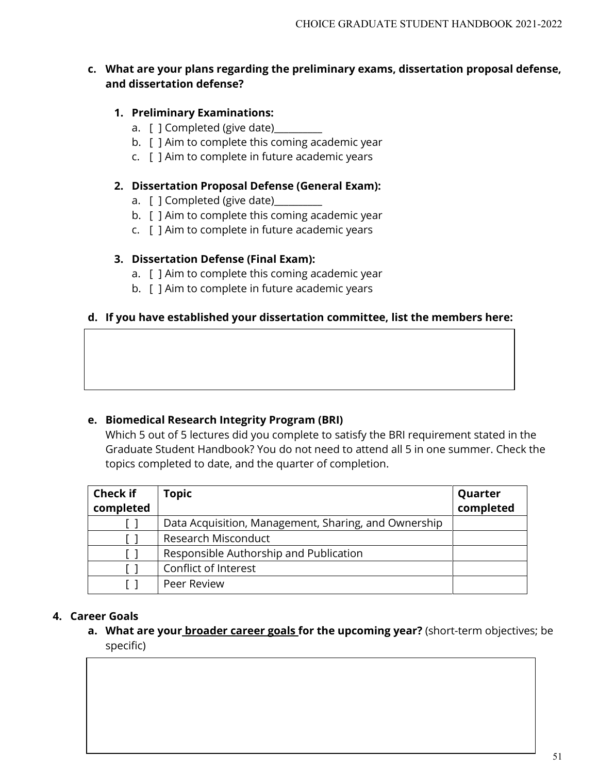# **c. What are your plans regarding the preliminary exams, dissertation proposal defense, and dissertation defense?**

# **1. Preliminary Examinations:**

- a. [ ] Completed (give date)\_\_\_\_\_\_
- b. [ ] Aim to complete this coming academic year
- c. [ ] Aim to complete in future academic years

#### **2. Dissertation Proposal Defense (General Exam):**

- a. [ ] Completed (give date)
- b. [ ] Aim to complete this coming academic year
- c. [ ] Aim to complete in future academic years

#### **3. Dissertation Defense (Final Exam):**

- a. [ ] Aim to complete this coming academic year
- b. [ ] Aim to complete in future academic years

#### **d. If you have established your dissertation committee, list the members here:**

#### **e. Biomedical Research Integrity Program (BRI)**

Which 5 out of 5 lectures did you complete to satisfy the BRI requirement stated in the Graduate Student Handbook? You do not need to attend all 5 in one summer. Check the topics completed to date, and the quarter of completion.

| <b>Check if</b> | <b>Topic</b>                                         | Quarter   |
|-----------------|------------------------------------------------------|-----------|
| completed       |                                                      | completed |
|                 | Data Acquisition, Management, Sharing, and Ownership |           |
|                 | Research Misconduct                                  |           |
|                 | Responsible Authorship and Publication               |           |
|                 | Conflict of Interest                                 |           |
|                 | Peer Review                                          |           |

# **4. Career Goals**

**a. What are your broader career goals for the upcoming year?** (short-term objectives; be specific)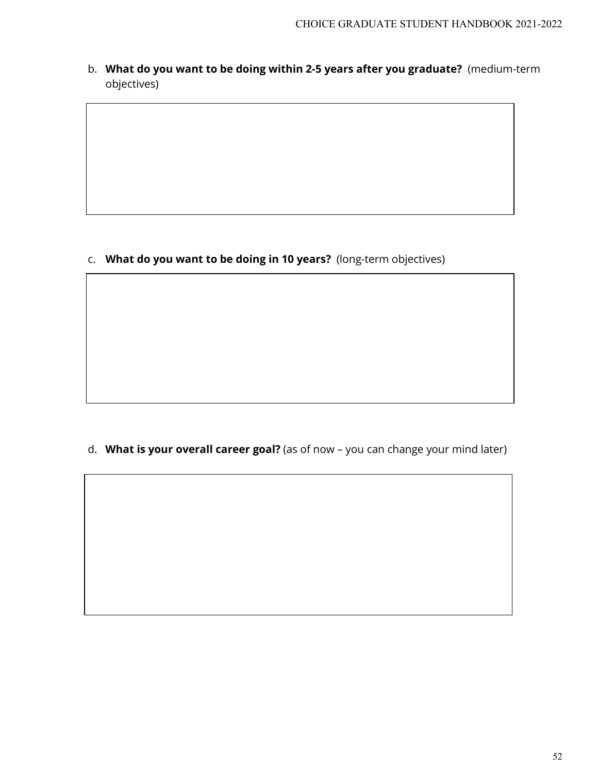b. **What do you want to be doing within 2-5 years after you graduate?** (medium-term objectives)

c. **What do you want to be doing in 10 years?** (long-term objectives)

d. **What is your overall career goal?** (as of now – you can change your mind later)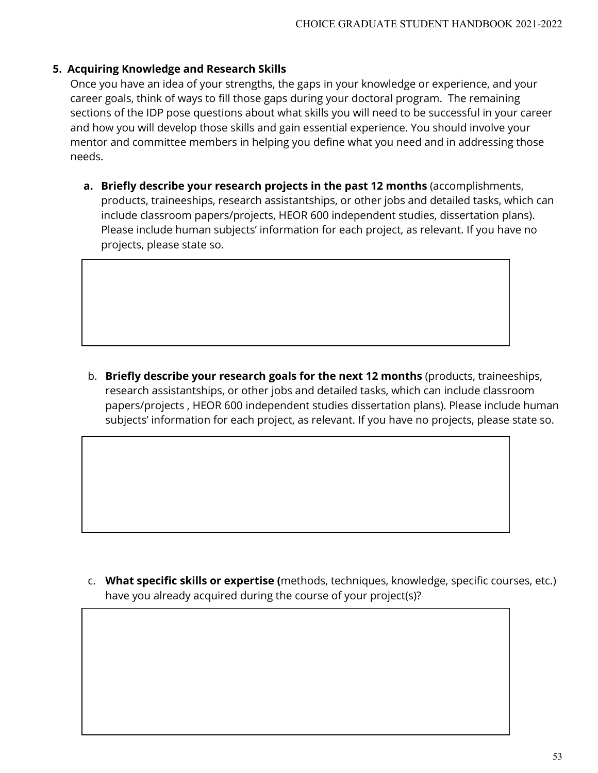# **5. Acquiring Knowledge and Research Skills**

Once you have an idea of your strengths, the gaps in your knowledge or experience, and your career goals, think of ways to fill those gaps during your doctoral program. The remaining sections of the IDP pose questions about what skills you will need to be successful in your career and how you will develop those skills and gain essential experience. You should involve your mentor and committee members in helping you define what you need and in addressing those needs.

**a. Briefly describe your research projects in the past 12 months** (accomplishments, products, traineeships, research assistantships, or other jobs and detailed tasks, which can include classroom papers/projects, HEOR 600 independent studies, dissertation plans). Please include human subjects' information for each project, as relevant. If you have no projects, please state so.

b. **Briefly describe your research goals for the next 12 months** (products, traineeships, research assistantships, or other jobs and detailed tasks, which can include classroom papers/projects , HEOR 600 independent studies dissertation plans). Please include human subjects' information for each project, as relevant. If you have no projects, please state so.

c. **What specific skills or expertise (**methods, techniques, knowledge, specific courses, etc.) have you already acquired during the course of your project(s)?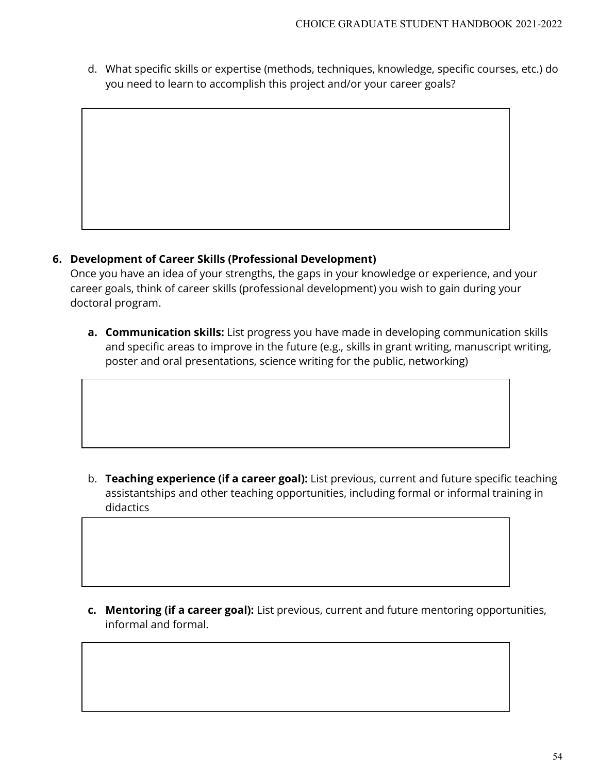d. What specific skills or expertise (methods, techniques, knowledge, specific courses, etc.) do you need to learn to accomplish this project and/or your career goals?



# **6. Development of Career Skills (Professional Development)**

Once you have an idea of your strengths, the gaps in your knowledge or experience, and your career goals, think of career skills (professional development) you wish to gain during your doctoral program.

**a. Communication skills:** List progress you have made in developing communication skills and specific areas to improve in the future (e.g., skills in grant writing, manuscript writing, poster and oral presentations, science writing for the public, networking)

b. **Teaching experience (if a career goal):** List previous, current and future specific teaching assistantships and other teaching opportunities, including formal or informal training in didactics

**c. Mentoring (if a career goal):** List previous, current and future mentoring opportunities, informal and formal.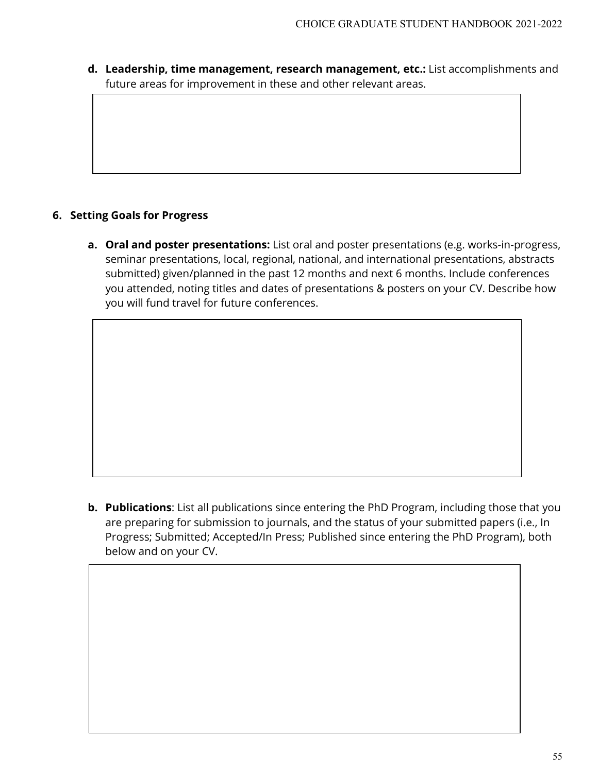**d. Leadership, time management, research management, etc.:** List accomplishments and future areas for improvement in these and other relevant areas.

# **6. Setting Goals for Progress**

**a. Oral and poster presentations:** List oral and poster presentations (e.g. works-in-progress, seminar presentations, local, regional, national, and international presentations, abstracts submitted) given/planned in the past 12 months and next 6 months. Include conferences you attended, noting titles and dates of presentations & posters on your CV. Describe how you will fund travel for future conferences.

**b. Publications**: List all publications since entering the PhD Program, including those that you are preparing for submission to journals, and the status of your submitted papers (i.e., In Progress; Submitted; Accepted/In Press; Published since entering the PhD Program), both below and on your CV.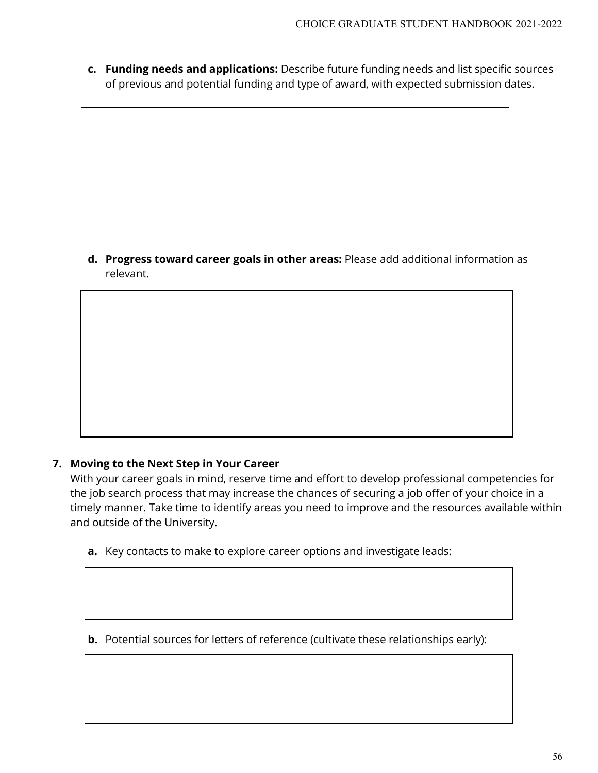**c. Funding needs and applications:** Describe future funding needs and list specific sources of previous and potential funding and type of award, with expected submission dates.

**d. Progress toward career goals in other areas:** Please add additional information as relevant.

# **7. Moving to the Next Step in Your Career**

With your career goals in mind, reserve time and effort to develop professional competencies for the job search process that may increase the chances of securing a job offer of your choice in a timely manner. Take time to identify areas you need to improve and the resources available within and outside of the University.

- **a.** Key contacts to make to explore career options and investigate leads:
- **b.** Potential sources for letters of reference (cultivate these relationships early):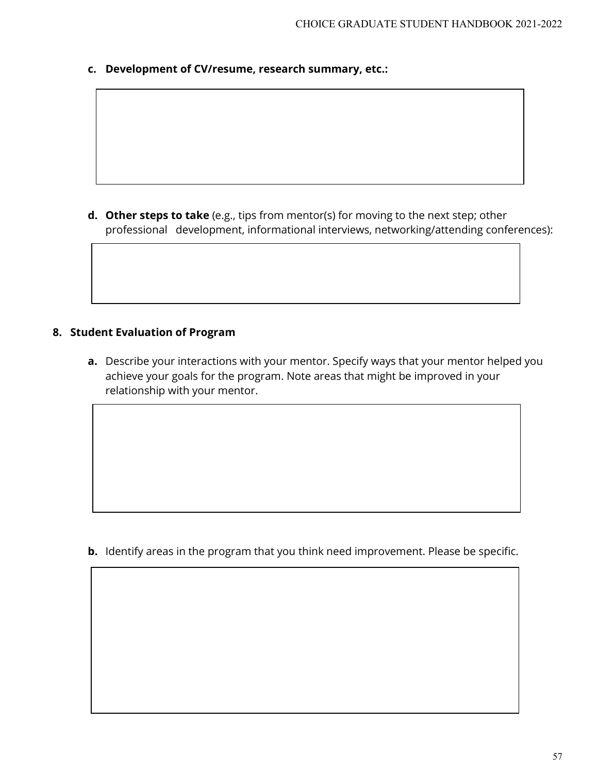**c. Development of CV/resume, research summary, etc.:**

**d. Other steps to take** (e.g., tips from mentor(s) for moving to the next step; other professional development, informational interviews, networking/attending conferences):

# **8. Student Evaluation of Program**

**a.** Describe your interactions with your mentor. Specify ways that your mentor helped you achieve your goals for the program. Note areas that might be improved in your relationship with your mentor.

**b.** Identify areas in the program that you think need improvement. Please be specific.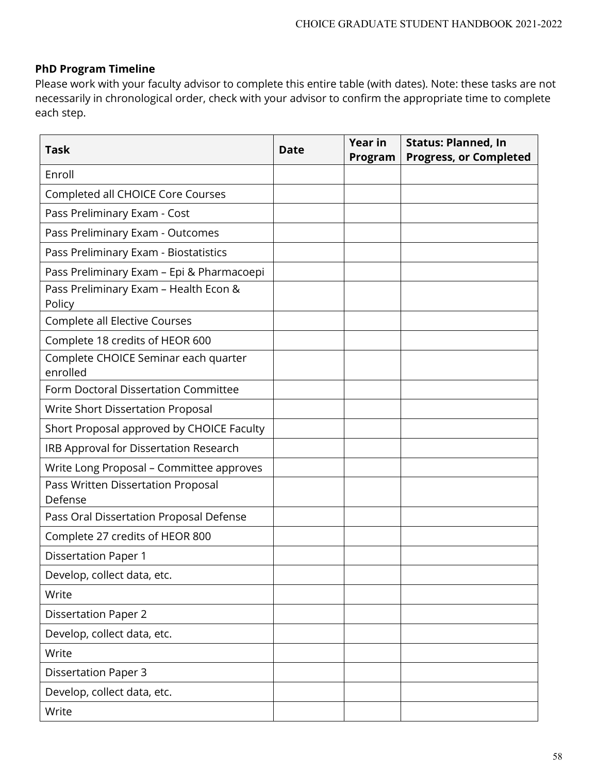# **PhD Program Timeline**

Please work with your faculty advisor to complete this entire table (with dates). Note: these tasks are not necessarily in chronological order, check with your advisor to confirm the appropriate time to complete each step.

| <b>Task</b>                                      | <b>Date</b> | <b>Year in</b><br>Program | <b>Status: Planned, In</b><br><b>Progress, or Completed</b> |
|--------------------------------------------------|-------------|---------------------------|-------------------------------------------------------------|
| Enroll                                           |             |                           |                                                             |
| Completed all CHOICE Core Courses                |             |                           |                                                             |
| Pass Preliminary Exam - Cost                     |             |                           |                                                             |
| Pass Preliminary Exam - Outcomes                 |             |                           |                                                             |
| Pass Preliminary Exam - Biostatistics            |             |                           |                                                             |
| Pass Preliminary Exam - Epi & Pharmacoepi        |             |                           |                                                             |
| Pass Preliminary Exam - Health Econ &<br>Policy  |             |                           |                                                             |
| Complete all Elective Courses                    |             |                           |                                                             |
| Complete 18 credits of HEOR 600                  |             |                           |                                                             |
| Complete CHOICE Seminar each quarter<br>enrolled |             |                           |                                                             |
| Form Doctoral Dissertation Committee             |             |                           |                                                             |
| Write Short Dissertation Proposal                |             |                           |                                                             |
| Short Proposal approved by CHOICE Faculty        |             |                           |                                                             |
| IRB Approval for Dissertation Research           |             |                           |                                                             |
| Write Long Proposal - Committee approves         |             |                           |                                                             |
| Pass Written Dissertation Proposal<br>Defense    |             |                           |                                                             |
| Pass Oral Dissertation Proposal Defense          |             |                           |                                                             |
| Complete 27 credits of HEOR 800                  |             |                           |                                                             |
| <b>Dissertation Paper 1</b>                      |             |                           |                                                             |
| Develop, collect data, etc.                      |             |                           |                                                             |
| Write                                            |             |                           |                                                             |
| <b>Dissertation Paper 2</b>                      |             |                           |                                                             |
| Develop, collect data, etc.                      |             |                           |                                                             |
| Write                                            |             |                           |                                                             |
| <b>Dissertation Paper 3</b>                      |             |                           |                                                             |
| Develop, collect data, etc.                      |             |                           |                                                             |
| Write                                            |             |                           |                                                             |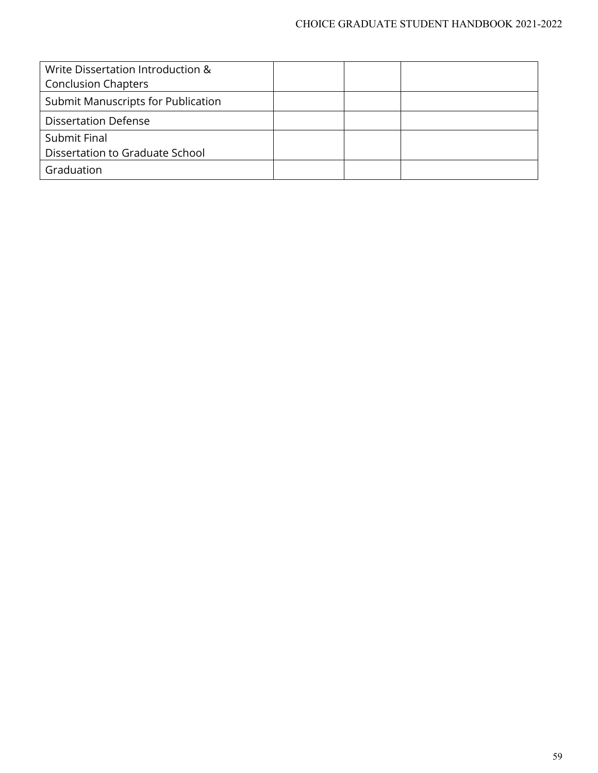| Write Dissertation Introduction &<br><b>Conclusion Chapters</b> |  |  |
|-----------------------------------------------------------------|--|--|
| Submit Manuscripts for Publication                              |  |  |
| <b>Dissertation Defense</b>                                     |  |  |
| Submit Final                                                    |  |  |
| Dissertation to Graduate School                                 |  |  |
| Graduation                                                      |  |  |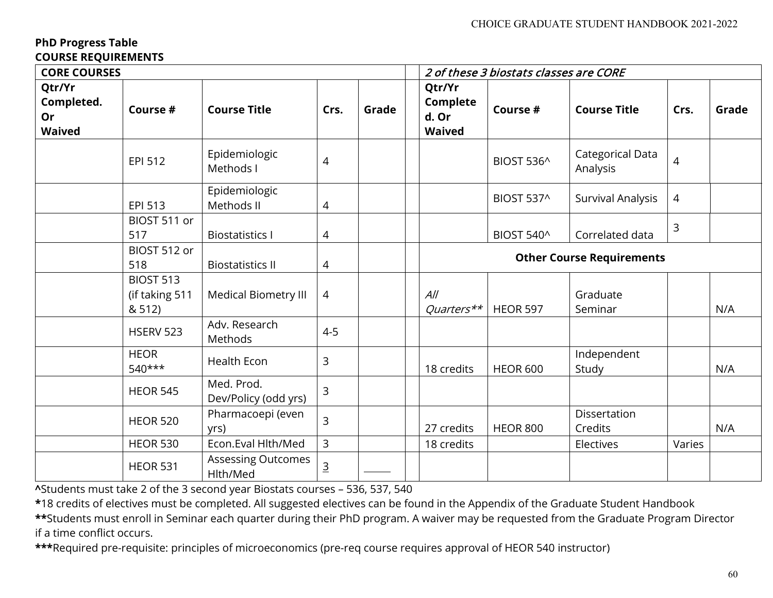# **PhD Progress Table COURSE REQUIREMENTS**

| <b>CORE COURSES</b>                         |                                              |                                    |                |       |  | 2 of these 3 biostats classes are CORE       |                                  |                              |        |       |  |
|---------------------------------------------|----------------------------------------------|------------------------------------|----------------|-------|--|----------------------------------------------|----------------------------------|------------------------------|--------|-------|--|
| Qtr/Yr<br>Completed.<br>Or<br><b>Waived</b> | Course #                                     | <b>Course Title</b>                | Crs.           | Grade |  | Qtr/Yr<br>Complete<br>d. Or<br><b>Waived</b> | Course #                         | <b>Course Title</b>          | Crs.   | Grade |  |
|                                             | EPI 512                                      | Epidemiologic<br>Methods I         | 4              |       |  |                                              | BIOST 536^                       | Categorical Data<br>Analysis | 4      |       |  |
|                                             | EPI 513                                      | Epidemiologic<br>Methods II        | 4              |       |  |                                              | BIOST 537^                       | Survival Analysis            | 4      |       |  |
|                                             | BIOST 511 or<br>517                          | <b>Biostatistics I</b>             | 4              |       |  |                                              | BIOST 540^                       | Correlated data              | 3      |       |  |
|                                             | BIOST 512 or<br>518                          | <b>Biostatistics II</b>            | 4              |       |  |                                              | <b>Other Course Requirements</b> |                              |        |       |  |
|                                             | <b>BIOST 513</b><br>(if taking 511<br>& 512) | Medical Biometry III               | $\overline{4}$ |       |  | All<br>Quarters**                            | <b>HEOR 597</b>                  | Graduate<br>Seminar          |        | N/A   |  |
|                                             | <b>HSERV 523</b>                             | Adv. Research<br>Methods           | $4 - 5$        |       |  |                                              |                                  |                              |        |       |  |
|                                             | <b>HEOR</b><br>$540***$                      | Health Econ                        | 3              |       |  | 18 credits                                   | <b>HEOR 600</b>                  | Independent<br>Study         |        | N/A   |  |
|                                             | <b>HEOR 545</b>                              | Med. Prod.<br>Dev/Policy (odd yrs) | 3              |       |  |                                              |                                  |                              |        |       |  |
|                                             | <b>HEOR 520</b>                              | Pharmacoepi (even<br>yrs)          | 3              |       |  | 27 credits                                   | <b>HEOR 800</b>                  | Dissertation<br>Credits      |        | N/A   |  |
|                                             | <b>HEOR 530</b>                              | Econ.Eval Hlth/Med                 | 3              |       |  | 18 credits                                   |                                  | Electives                    | Varies |       |  |
|                                             | <b>HEOR 531</b>                              | Assessing Outcomes<br>Hlth/Med     | <u>3</u>       |       |  |                                              |                                  |                              |        |       |  |

**^**Students must take 2 of the 3 second year Biostats courses – 536, 537, 540

**\***18 credits of electives must be completed. All suggested electives can be found in the Appendix of the Graduate Student Handbook

**\*\***Students must enroll in Seminar each quarter during their PhD program. A waiver may be requested from the Graduate Program Director if a time conflict occurs.

**\*\*\***Required pre-requisite: principles of microeconomics (pre-req course requires approval of HEOR 540 instructor)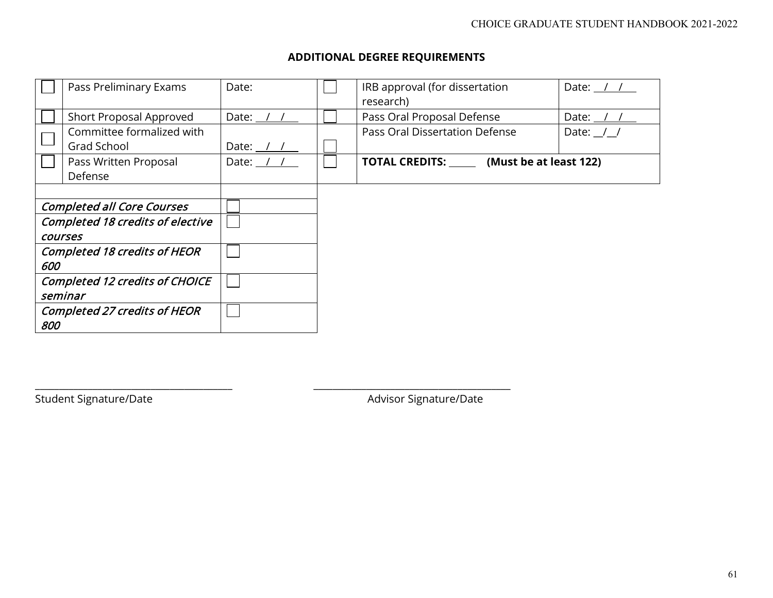# **ADDITIONAL DEGREE REQUIREMENTS**

|     | Pass Preliminary Exams                             | Date:              | IRB approval (for dissertation<br>research)   | Date: <u>/ / _</u>  |
|-----|----------------------------------------------------|--------------------|-----------------------------------------------|---------------------|
|     | Short Proposal Approved                            | Date: $/$ /        | Pass Oral Proposal Defense                    | Date: <u>/ / _</u>  |
|     | Committee formalized with<br>Grad School           | Date: <u>/ / _</u> | Pass Oral Dissertation Defense                | Date: $\frac{1}{1}$ |
|     | Pass Written Proposal<br>Defense                   | Date: $/$ /        | TOTAL CREDITS: _______ (Must be at least 122) |                     |
|     | <b>Completed all Core Courses</b>                  |                    |                                               |                     |
|     | <b>Completed 18 credits of elective</b><br>courses |                    |                                               |                     |
| 600 | <b>Completed 18 credits of HEOR</b>                |                    |                                               |                     |
|     | <b>Completed 12 credits of CHOICE</b><br>seminar   |                    |                                               |                     |
| 800 | <b>Completed 27 credits of HEOR</b>                |                    |                                               |                     |

\_\_\_\_\_\_\_\_\_\_\_\_\_\_\_\_\_\_\_\_\_\_\_\_\_\_\_\_\_\_\_\_\_\_\_\_\_\_\_\_\_ \_\_\_\_\_\_\_\_\_\_\_\_\_\_\_\_\_\_\_\_\_\_\_\_\_\_\_\_\_\_\_\_\_\_\_\_\_\_\_\_\_

Student Signature/Date Advisor Signature/Date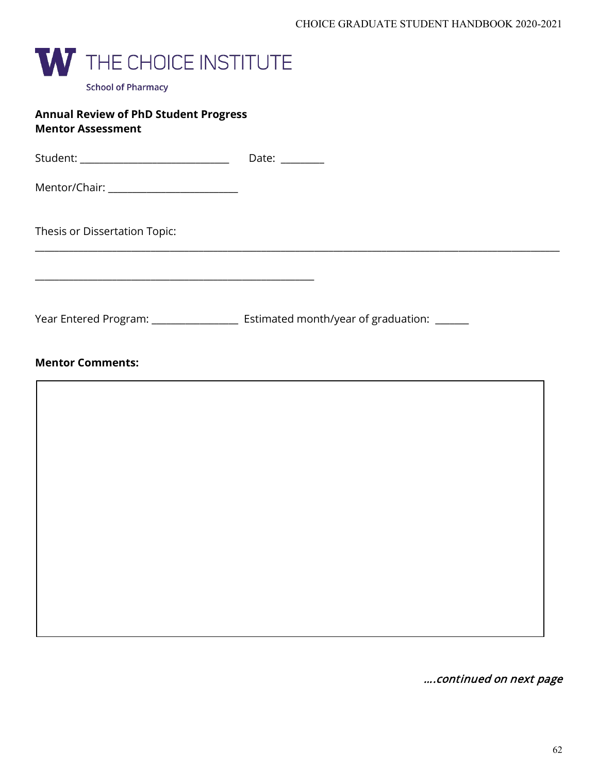

| <b>Annual Review of PhD Student Progress</b><br><b>Mentor Assessment</b>                                    |                                                                                          |
|-------------------------------------------------------------------------------------------------------------|------------------------------------------------------------------------------------------|
|                                                                                                             |                                                                                          |
|                                                                                                             |                                                                                          |
| Thesis or Dissertation Topic:<br>the control of the control of the control of the control of the control of |                                                                                          |
|                                                                                                             | Year Entered Program: _______________________ Estimated month/year of graduation: ______ |
| <b>Mentor Comments:</b>                                                                                     |                                                                                          |
|                                                                                                             |                                                                                          |
|                                                                                                             |                                                                                          |
|                                                                                                             |                                                                                          |
|                                                                                                             |                                                                                          |
|                                                                                                             |                                                                                          |
|                                                                                                             |                                                                                          |
|                                                                                                             |                                                                                          |

….continued on next page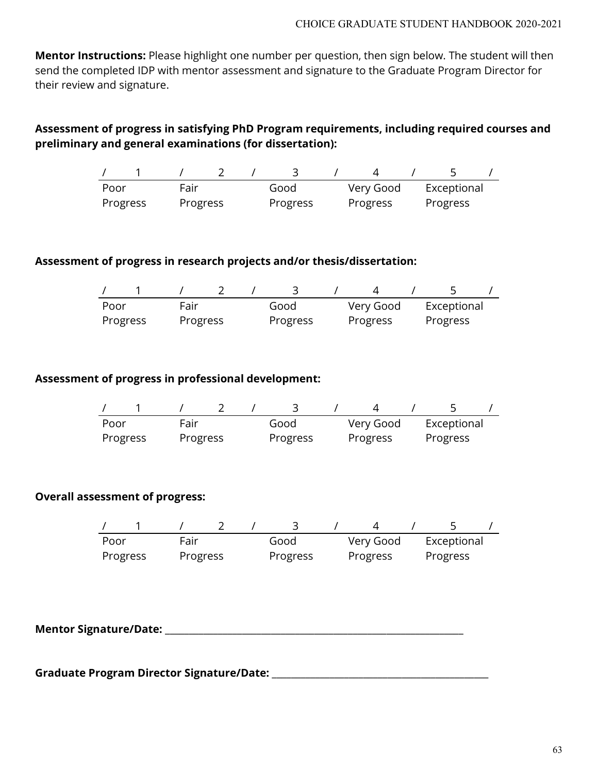**Mentor Instructions:** Please highlight one number per question, then sign below. The student will then send the completed IDP with mentor assessment and signature to the Graduate Program Director for their review and signature.

# **Assessment of progress in satisfying PhD Program requirements, including required courses and preliminary and general examinations (for dissertation):**

| Poor     | Fair     | Good     | Very Good | Exceptional |
|----------|----------|----------|-----------|-------------|
| Progress | Progress | Progress | Progress  | Progress    |

#### **Assessment of progress in research projects and/or thesis/dissertation:**

| Poor     | Fair     |  | Good     | Very Good | Exceptional |  |
|----------|----------|--|----------|-----------|-------------|--|
| Progress | Progress |  | Progress | Progress  | Progress    |  |

#### **Assessment of progress in professional development:**

| Poor     | Fair     |  | Good     | Very Good | Exceptional |  |
|----------|----------|--|----------|-----------|-------------|--|
| Progress | Progress |  | Progress | Progress  | Progress    |  |

#### **Overall assessment of progress:**

| Poor     | Fair     |  | Good     | Very Good | Exceptional |  |
|----------|----------|--|----------|-----------|-------------|--|
| Progress | Progress |  | Progress | Progress  | Progress    |  |

**Mentor Signature/Date:** \_\_\_\_\_\_\_\_\_\_\_\_\_\_\_\_\_\_\_\_\_\_\_\_\_\_\_\_\_\_\_\_\_\_\_\_\_\_\_\_\_\_\_\_\_\_\_\_\_\_\_\_\_\_\_\_\_\_\_\_\_\_

**Graduate Program Director Signature/Date:** \_\_\_\_\_\_\_\_\_\_\_\_\_\_\_\_\_\_\_\_\_\_\_\_\_\_\_\_\_\_\_\_\_\_\_\_\_\_\_\_\_\_\_\_\_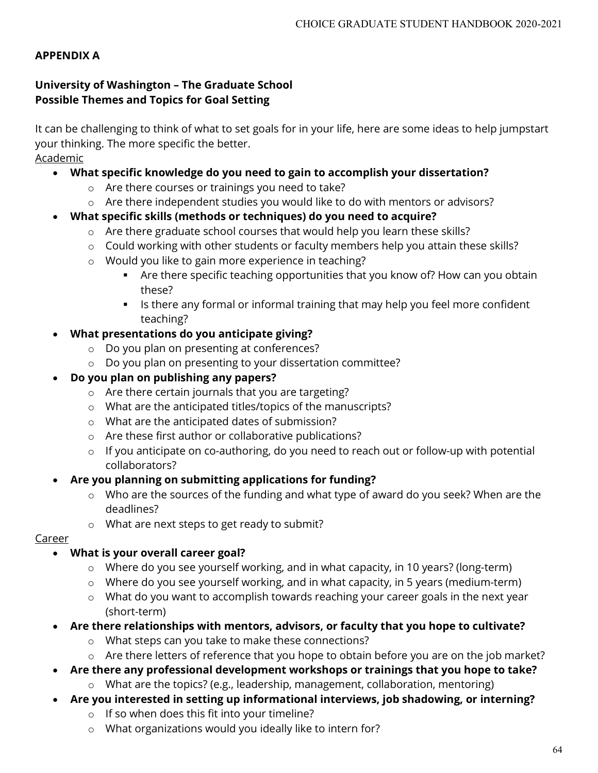# **APPENDIX A**

# **University of Washington – The Graduate School Possible Themes and Topics for Goal Setting**

It can be challenging to think of what to set goals for in your life, here are some ideas to help jumpstart your thinking. The more specific the better. Academic

# • **What specific knowledge do you need to gain to accomplish your dissertation?**

- o Are there courses or trainings you need to take?
- o Are there independent studies you would like to do with mentors or advisors?
- **What specific skills (methods or techniques) do you need to acquire?**
	- o Are there graduate school courses that would help you learn these skills?
	- o Could working with other students or faculty members help you attain these skills?
	- o Would you like to gain more experience in teaching?
		- Are there specific teaching opportunities that you know of? How can you obtain these?
		- Inter 15 there any formal or informal training that may help you feel more confident teaching?
- **What presentations do you anticipate giving?**
	- o Do you plan on presenting at conferences?
	- o Do you plan on presenting to your dissertation committee?

# • **Do you plan on publishing any papers?**

- o Are there certain journals that you are targeting?
- o What are the anticipated titles/topics of the manuscripts?
- o What are the anticipated dates of submission?
- o Are these first author or collaborative publications?
- o If you anticipate on co-authoring, do you need to reach out or follow-up with potential collaborators?

# • **Are you planning on submitting applications for funding?**

- o Who are the sources of the funding and what type of award do you seek? When are the deadlines?
- o What are next steps to get ready to submit?

# Career

# • **What is your overall career goal?**

- o Where do you see yourself working, and in what capacity, in 10 years? (long-term)
- o Where do you see yourself working, and in what capacity, in 5 years (medium-term)
- o What do you want to accomplish towards reaching your career goals in the next year (short-term)
- **Are there relationships with mentors, advisors, or faculty that you hope to cultivate?**
	- o What steps can you take to make these connections?
	- o Are there letters of reference that you hope to obtain before you are on the job market?
- **Are there any professional development workshops or trainings that you hope to take?**
	- o What are the topics? (e.g., leadership, management, collaboration, mentoring)
- **Are you interested in setting up informational interviews, job shadowing, or interning?** 
	- o If so when does this fit into your timeline?
	- o What organizations would you ideally like to intern for?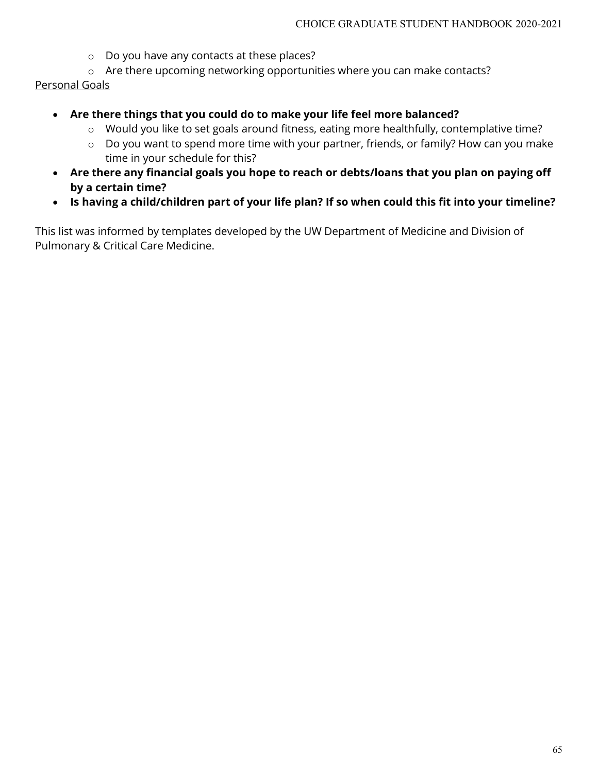- o Do you have any contacts at these places?
- o Are there upcoming networking opportunities where you can make contacts?

# Personal Goals

- **Are there things that you could do to make your life feel more balanced?**
	- o Would you like to set goals around fitness, eating more healthfully, contemplative time?
	- o Do you want to spend more time with your partner, friends, or family? How can you make time in your schedule for this?
- **Are there any financial goals you hope to reach or debts/loans that you plan on paying off by a certain time?**
- **Is having a child/children part of your life plan? If so when could this fit into your timeline?**

This list was informed by templates developed by the UW Department of Medicine and Division of Pulmonary & Critical Care Medicine.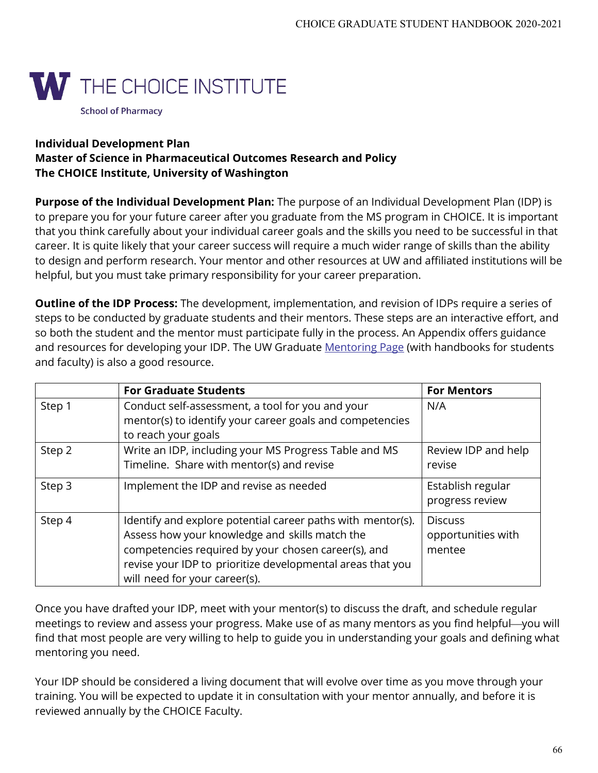

# **Individual Development Plan Master of Science in Pharmaceutical Outcomes Research and Policy The CHOICE Institute, University of Washington**

**Purpose of the Individual Development Plan:** The purpose of an Individual Development Plan (IDP) is to prepare you for your future career after you graduate from the MS program in CHOICE. It is important that you think carefully about your individual career goals and the skills you need to be successful in that career. It is quite likely that your career success will require a much wider range of skills than the ability to design and perform research. Your mentor and other resources at UW and affiliated institutions will be helpful, but you must take primary responsibility for your career preparation.

**Outline of the IDP Process:** The development, implementation, and revision of IDPs require a series of steps to be conducted by graduate students and their mentors. These steps are an interactive effort, and so both the student and the mentor must participate fully in the process. An Appendix offers guidance and resources for developing your IDP. The UW Graduate [Mentoring Page](http://www.grad.washington.edu/mentoring/) (with handbooks for students and faculty) is also a good resource.

|        | <b>For Graduate Students</b>                                                                                                                                                                                                                                        | <b>For Mentors</b>                             |
|--------|---------------------------------------------------------------------------------------------------------------------------------------------------------------------------------------------------------------------------------------------------------------------|------------------------------------------------|
| Step 1 | Conduct self-assessment, a tool for you and your<br>mentor(s) to identify your career goals and competencies<br>to reach your goals                                                                                                                                 | N/A                                            |
| Step 2 | Write an IDP, including your MS Progress Table and MS<br>Timeline. Share with mentor(s) and revise                                                                                                                                                                  | Review IDP and help<br>revise                  |
| Step 3 | Implement the IDP and revise as needed                                                                                                                                                                                                                              | Establish regular<br>progress review           |
| Step 4 | Identify and explore potential career paths with mentor(s).<br>Assess how your knowledge and skills match the<br>competencies required by your chosen career(s), and<br>revise your IDP to prioritize developmental areas that you<br>will need for your career(s). | <b>Discuss</b><br>opportunities with<br>mentee |

Once you have drafted your IDP, meet with your mentor(s) to discuss the draft, and schedule regular meetings to review and assess your progress. Make use of as many mentors as you find helpful-you will find that most people are very willing to help to guide you in understanding your goals and defining what mentoring you need.

Your IDP should be considered a living document that will evolve over time as you move through your training. You will be expected to update it in consultation with your mentor annually, and before it is reviewed annually by the CHOICE Faculty.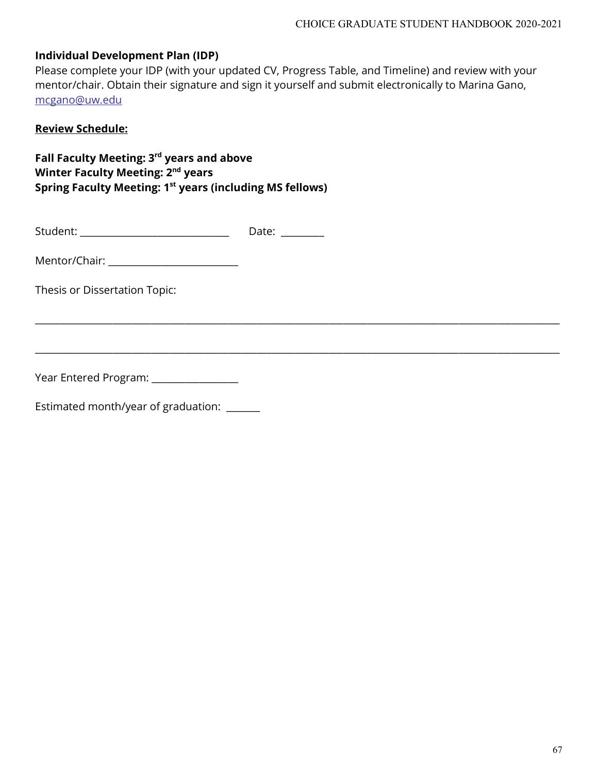Please complete your IDP (with your updated CV, Progress Table, and Timeline) and review with your mentor/chair. Obtain their signature and sign it yourself and submit electronically to Marina Gano, [mcgano@uw.edu](mailto:mcgano@uw.edu) 

\_\_\_\_\_\_\_\_\_\_\_\_\_\_\_\_\_\_\_\_\_\_\_\_\_\_\_\_\_\_\_\_\_\_\_\_\_\_\_\_\_\_\_\_\_\_\_\_\_\_\_\_\_\_\_\_\_\_\_\_\_\_\_\_\_\_\_\_\_\_\_\_\_\_\_\_\_\_\_\_\_\_\_\_\_\_\_\_\_\_\_\_\_\_\_\_\_\_\_\_\_\_\_\_\_\_\_\_\_

\_\_\_\_\_\_\_\_\_\_\_\_\_\_\_\_\_\_\_\_\_\_\_\_\_\_\_\_\_\_\_\_\_\_\_\_\_\_\_\_\_\_\_\_\_\_\_\_\_\_\_\_\_\_\_\_\_\_\_\_\_\_\_\_\_\_\_\_\_\_\_\_\_\_\_\_\_\_\_\_\_\_\_\_\_\_\_\_\_\_\_\_\_\_\_\_\_\_\_\_\_\_\_\_\_\_\_\_\_

#### **Review Schedule:**

**Fall Faculty Meeting: 3rd years and above Winter Faculty Meeting: 2nd years Spring Faculty Meeting: 1st years (including MS fellows)**

| Student: | Date: |
|----------|-------|
|          |       |

Mentor/Chair: \_\_\_\_\_\_\_\_\_\_\_\_\_\_\_\_\_\_\_\_\_\_\_\_\_\_\_

Thesis or Dissertation Topic:

Year Entered Program: \_\_\_\_\_\_\_\_\_\_\_\_\_\_\_\_\_\_

Estimated month/year of graduation: \_\_\_\_\_\_\_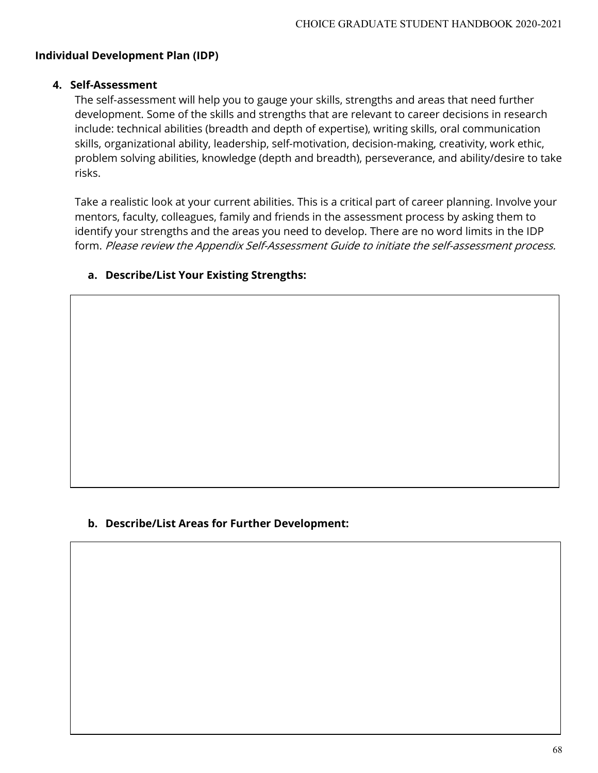#### **4. Self-Assessment**

The self-assessment will help you to gauge your skills, strengths and areas that need further development. Some of the skills and strengths that are relevant to career decisions in research include: technical abilities (breadth and depth of expertise), writing skills, oral communication skills, organizational ability, leadership, self-motivation, decision-making, creativity, work ethic, problem solving abilities, knowledge (depth and breadth), perseverance, and ability/desire to take risks.

Take a realistic look at your current abilities. This is a critical part of career planning. Involve your mentors, faculty, colleagues, family and friends in the assessment process by asking them to identify your strengths and the areas you need to develop. There are no word limits in the IDP form. Please review the Appendix Self-Assessment Guide to initiate the self-assessment process.

#### **a. Describe/List Your Existing Strengths:**

#### **b. Describe/List Areas for Further Development:**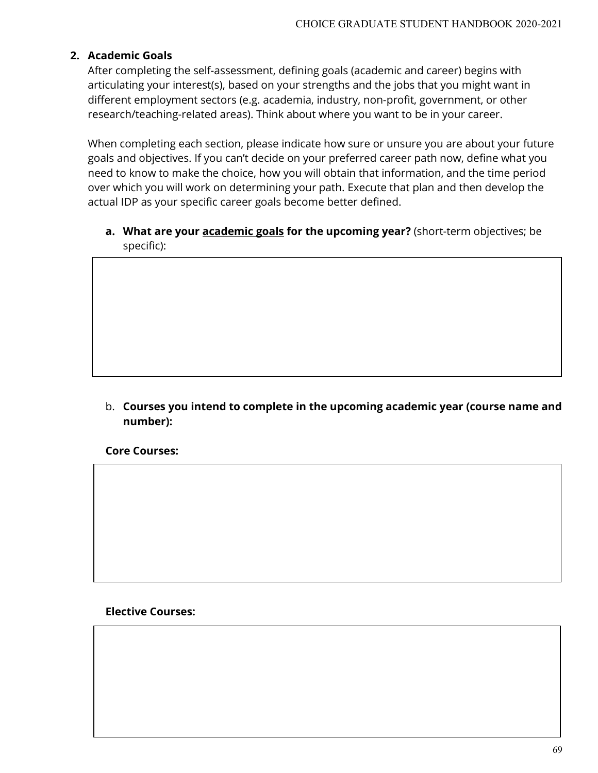### **2. Academic Goals**

After completing the self-assessment, defining goals (academic and career) begins with articulating your interest(s), based on your strengths and the jobs that you might want in different employment sectors (e.g. academia, industry, non-profit, government, or other research/teaching-related areas). Think about where you want to be in your career.

When completing each section, please indicate how sure or unsure you are about your future goals and objectives. If you can't decide on your preferred career path now, define what you need to know to make the choice, how you will obtain that information, and the time period over which you will work on determining your path. Execute that plan and then develop the actual IDP as your specific career goals become better defined.

**a. What are your academic goals for the upcoming year?** (short-term objectives; be specific):

b. **Courses you intend to complete in the upcoming academic year (course name and number):**

**Core Courses:**

**Elective Courses:**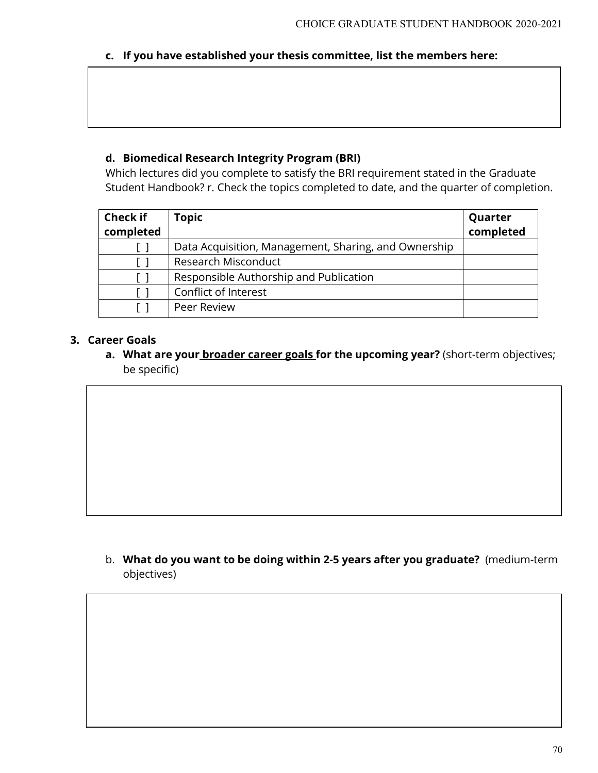# **c. If you have established your thesis committee, list the members here:**

# **d. Biomedical Research Integrity Program (BRI)**

Which lectures did you complete to satisfy the BRI requirement stated in the Graduate Student Handbook? r. Check the topics completed to date, and the quarter of completion.

| <b>Check if</b> | Topic                                                | Quarter   |
|-----------------|------------------------------------------------------|-----------|
| completed       |                                                      | completed |
|                 | Data Acquisition, Management, Sharing, and Ownership |           |
|                 | Research Misconduct                                  |           |
|                 | Responsible Authorship and Publication               |           |
|                 | Conflict of Interest                                 |           |
|                 | Peer Review                                          |           |

# **3. Career Goals**

**a. What are your broader career goals for the upcoming year?** (short-term objectives; be specific)

b. **What do you want to be doing within 2-5 years after you graduate?** (medium-term objectives)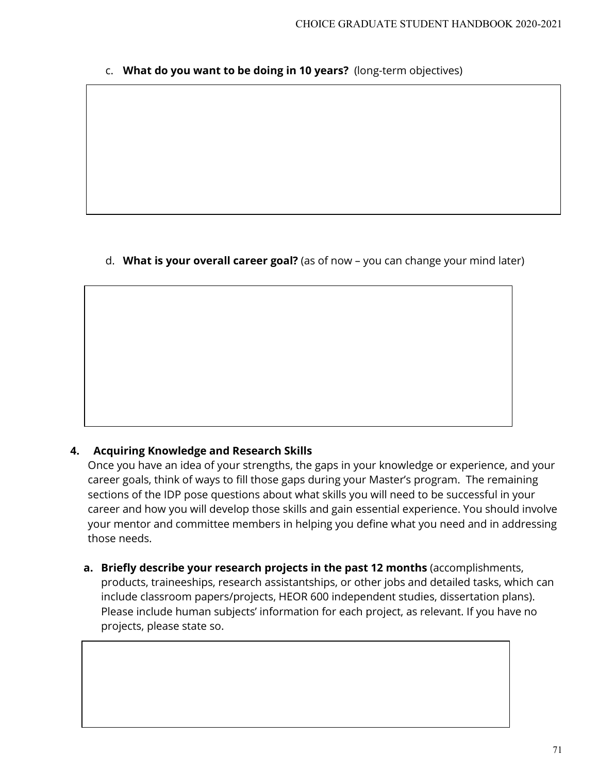c. **What do you want to be doing in 10 years?** (long-term objectives)

d. **What is your overall career goal?** (as of now – you can change your mind later)

# **4. Acquiring Knowledge and Research Skills**

Once you have an idea of your strengths, the gaps in your knowledge or experience, and your career goals, think of ways to fill those gaps during your Master's program. The remaining sections of the IDP pose questions about what skills you will need to be successful in your career and how you will develop those skills and gain essential experience. You should involve your mentor and committee members in helping you define what you need and in addressing those needs.

**a. Briefly describe your research projects in the past 12 months** (accomplishments, products, traineeships, research assistantships, or other jobs and detailed tasks, which can include classroom papers/projects, HEOR 600 independent studies, dissertation plans). Please include human subjects' information for each project, as relevant. If you have no projects, please state so.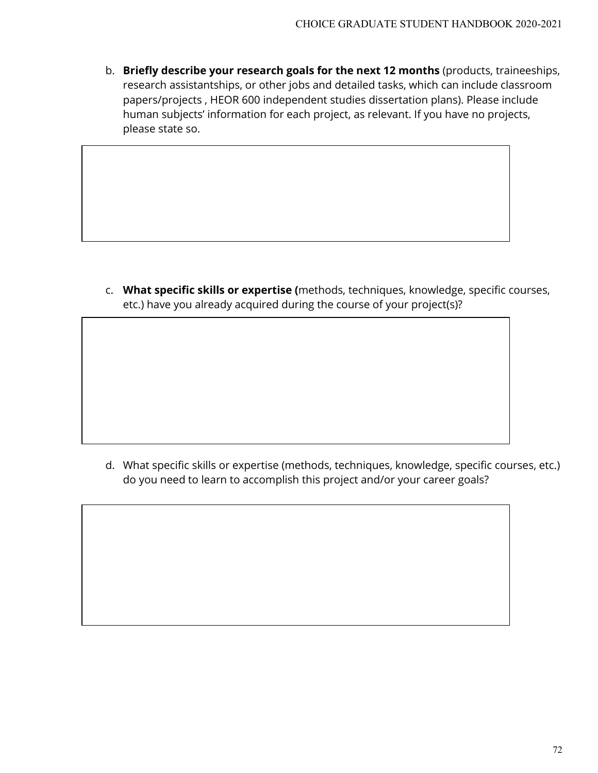b. **Briefly describe your research goals for the next 12 months** (products, traineeships, research assistantships, or other jobs and detailed tasks, which can include classroom papers/projects , HEOR 600 independent studies dissertation plans). Please include human subjects' information for each project, as relevant. If you have no projects, please state so.

c. **What specific skills or expertise (**methods, techniques, knowledge, specific courses, etc.) have you already acquired during the course of your project(s)?

d. What specific skills or expertise (methods, techniques, knowledge, specific courses, etc.) do you need to learn to accomplish this project and/or your career goals?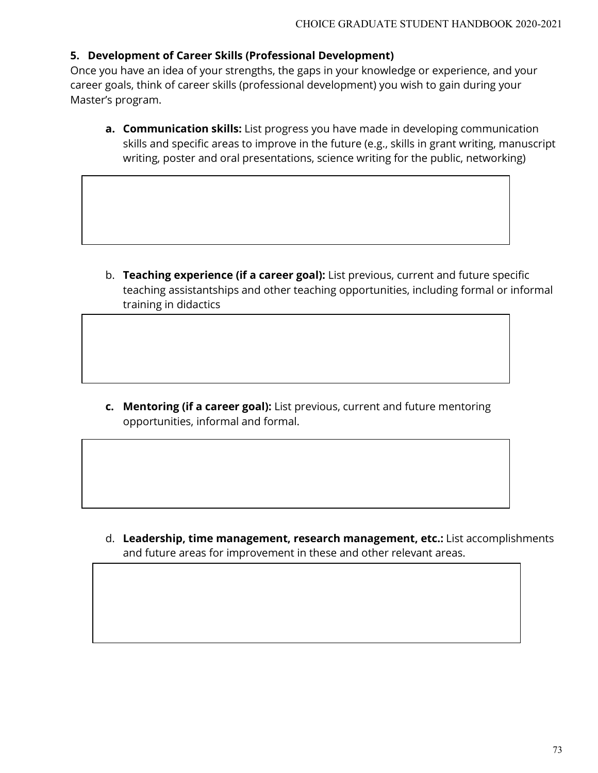#### **5. Development of Career Skills (Professional Development)**

Once you have an idea of your strengths, the gaps in your knowledge or experience, and your career goals, think of career skills (professional development) you wish to gain during your Master's program.

**a. Communication skills:** List progress you have made in developing communication skills and specific areas to improve in the future (e.g., skills in grant writing, manuscript writing, poster and oral presentations, science writing for the public, networking)

b. **Teaching experience (if a career goal):** List previous, current and future specific teaching assistantships and other teaching opportunities, including formal or informal training in didactics

**c. Mentoring (if a career goal):** List previous, current and future mentoring opportunities, informal and formal.

d. **Leadership, time management, research management, etc.:** List accomplishments and future areas for improvement in these and other relevant areas.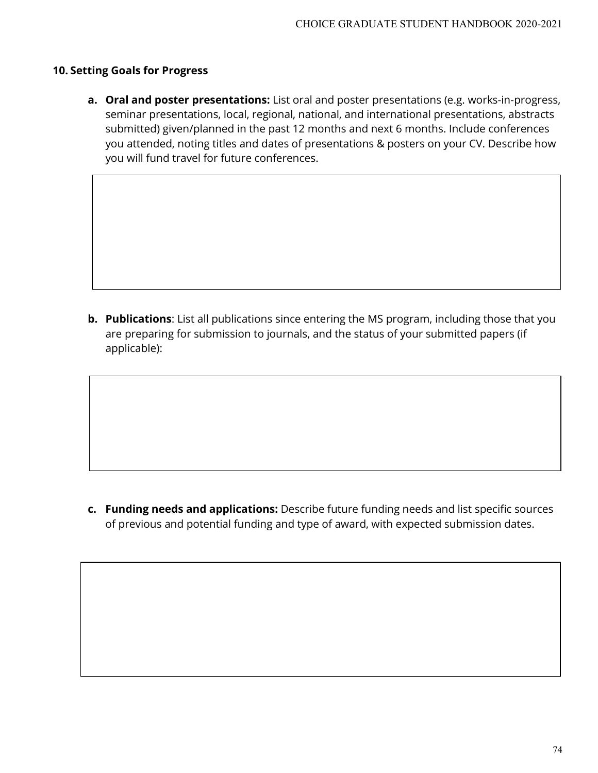#### **10. Setting Goals for Progress**

**a. Oral and poster presentations:** List oral and poster presentations (e.g. works-in-progress, seminar presentations, local, regional, national, and international presentations, abstracts submitted) given/planned in the past 12 months and next 6 months. Include conferences you attended, noting titles and dates of presentations & posters on your CV. Describe how you will fund travel for future conferences.

**b. Publications**: List all publications since entering the MS program, including those that you are preparing for submission to journals, and the status of your submitted papers (if applicable):

**c. Funding needs and applications:** Describe future funding needs and list specific sources of previous and potential funding and type of award, with expected submission dates.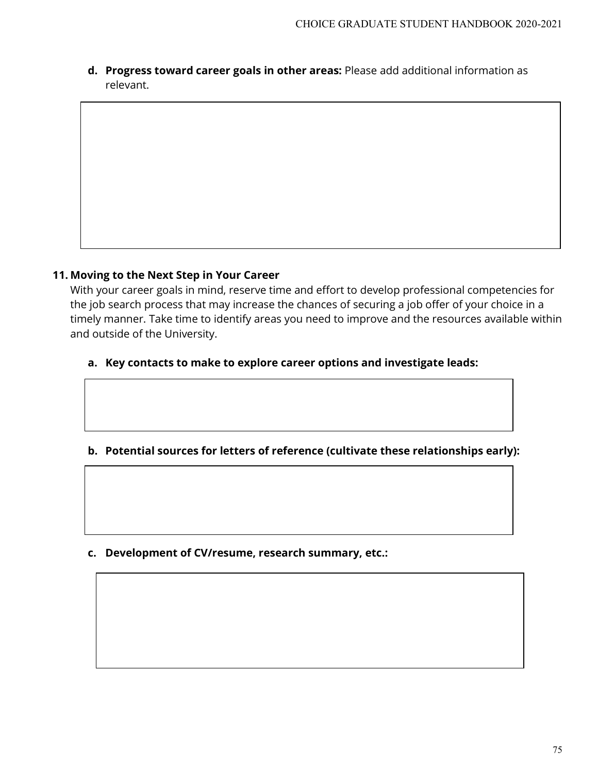**d. Progress toward career goals in other areas:** Please add additional information as relevant.

#### **11. Moving to the Next Step in Your Career**

With your career goals in mind, reserve time and effort to develop professional competencies for the job search process that may increase the chances of securing a job offer of your choice in a timely manner. Take time to identify areas you need to improve and the resources available within and outside of the University.

### **a. Key contacts to make to explore career options and investigate leads:**

## **b. Potential sources for letters of reference (cultivate these relationships early):**

**c. Development of CV/resume, research summary, etc.:**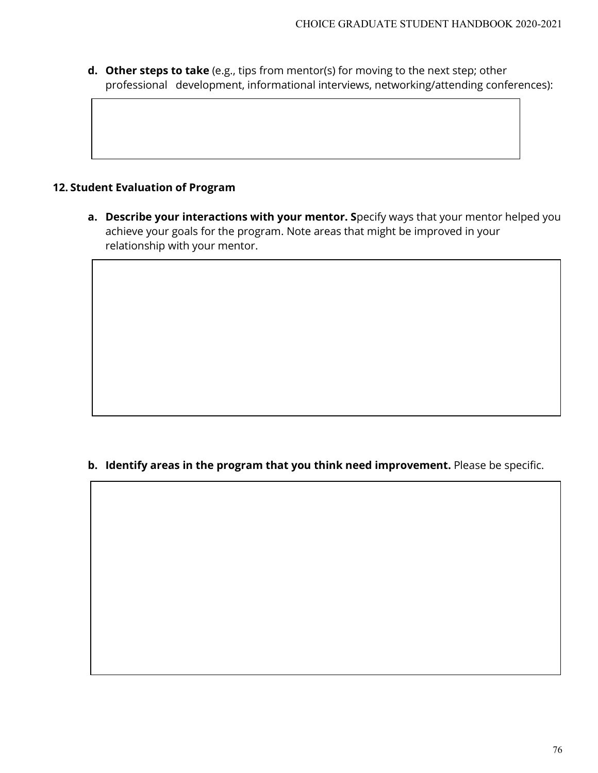**d. Other steps to take** (e.g., tips from mentor(s) for moving to the next step; other professional development, informational interviews, networking/attending conferences):

### **12. Student Evaluation of Program**

**a. Describe your interactions with your mentor. S**pecify ways that your mentor helped you achieve your goals for the program. Note areas that might be improved in your relationship with your mentor.

#### **b. Identify areas in the program that you think need improvement.** Please be specific.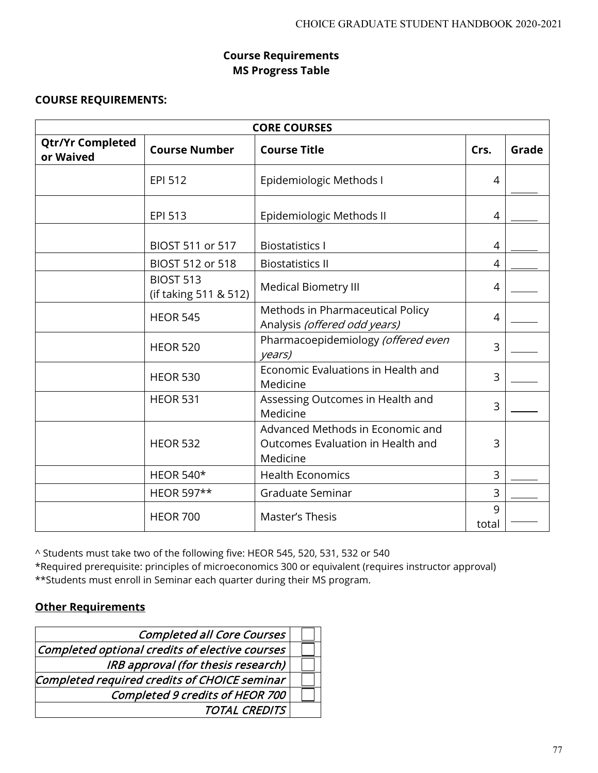## **Course Requirements MS Progress Table**

#### **COURSE REQUIREMENTS:**

| <b>CORE COURSES</b>                  |                                           |                                                                                                                                                                                                                                                                                                                                       |                |  |  |  |  |  |
|--------------------------------------|-------------------------------------------|---------------------------------------------------------------------------------------------------------------------------------------------------------------------------------------------------------------------------------------------------------------------------------------------------------------------------------------|----------------|--|--|--|--|--|
| <b>Qtr/Yr Completed</b><br>or Waived | <b>Course Number</b>                      | <b>Course Title</b><br>Crs.<br>Epidemiologic Methods I<br>Epidemiologic Methods II<br><b>Biostatistics I</b><br><b>Biostatistics II</b><br>Medical Biometry III<br>Methods in Pharmaceutical Policy<br>Analysis (offered odd years)<br>Pharmacoepidemiology (offered even<br>years)<br>Economic Evaluations in Health and<br>Medicine |                |  |  |  |  |  |
|                                      | <b>EPI 512</b>                            |                                                                                                                                                                                                                                                                                                                                       | 4              |  |  |  |  |  |
|                                      | EPI 513                                   |                                                                                                                                                                                                                                                                                                                                       | 4              |  |  |  |  |  |
|                                      | BIOST 511 or 517                          |                                                                                                                                                                                                                                                                                                                                       | $\overline{4}$ |  |  |  |  |  |
|                                      | BIOST 512 or 518                          |                                                                                                                                                                                                                                                                                                                                       | 4              |  |  |  |  |  |
|                                      | <b>BIOST 513</b><br>(if taking 511 & 512) |                                                                                                                                                                                                                                                                                                                                       | 4              |  |  |  |  |  |
|                                      | <b>HEOR 545</b>                           |                                                                                                                                                                                                                                                                                                                                       | 4              |  |  |  |  |  |
|                                      | <b>HEOR 520</b>                           |                                                                                                                                                                                                                                                                                                                                       | 3              |  |  |  |  |  |
|                                      | <b>HEOR 530</b>                           |                                                                                                                                                                                                                                                                                                                                       | 3              |  |  |  |  |  |
|                                      | <b>HEOR 531</b>                           | Assessing Outcomes in Health and<br>Medicine                                                                                                                                                                                                                                                                                          | 3              |  |  |  |  |  |
|                                      | <b>HEOR 532</b>                           | Advanced Methods in Economic and<br>Outcomes Evaluation in Health and<br>Medicine                                                                                                                                                                                                                                                     | 3              |  |  |  |  |  |
|                                      | <b>HEOR 540*</b>                          | <b>Health Economics</b>                                                                                                                                                                                                                                                                                                               | 3              |  |  |  |  |  |
|                                      | HEOR 597**                                | Graduate Seminar                                                                                                                                                                                                                                                                                                                      | $\overline{3}$ |  |  |  |  |  |
|                                      | <b>HEOR 700</b>                           | Master's Thesis                                                                                                                                                                                                                                                                                                                       | 9<br>total     |  |  |  |  |  |

^ Students must take two of the following five: HEOR 545, 520, 531, 532 or 540

\*Required prerequisite: principles of microeconomics 300 or equivalent (requires instructor approval) \*\*Students must enroll in Seminar each quarter during their MS program.

### **Other Requirements**

| <b>Completed all Core Courses</b>              |  |
|------------------------------------------------|--|
| Completed optional credits of elective courses |  |
| IRB approval (for thesis research)             |  |
| Completed required credits of CHOICE seminar   |  |
| Completed 9 credits of HEOR 700                |  |
| <b>TOTAL CREDITS</b>                           |  |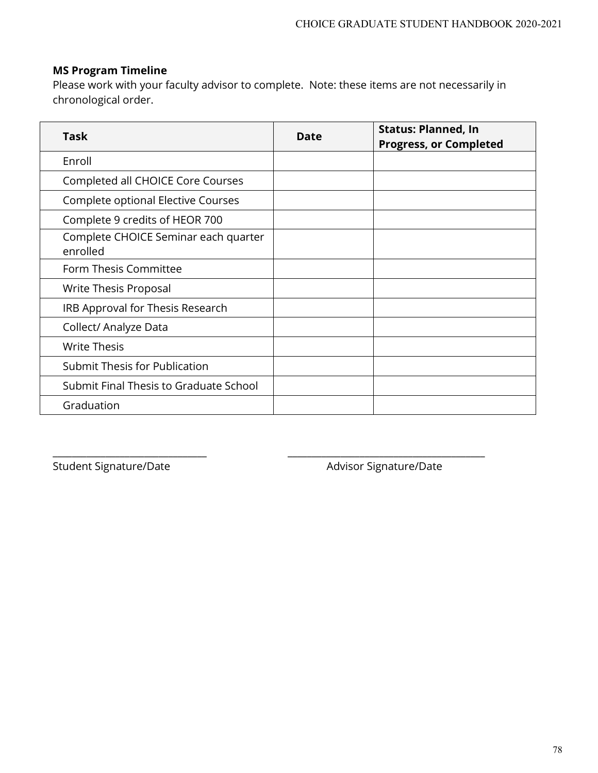### **MS Program Timeline**

Please work with your faculty advisor to complete. Note: these items are not necessarily in chronological order.

| <b>Task</b>                                      | Date | <b>Status: Planned, In</b><br><b>Progress, or Completed</b> |
|--------------------------------------------------|------|-------------------------------------------------------------|
| Enroll                                           |      |                                                             |
| Completed all CHOICE Core Courses                |      |                                                             |
| Complete optional Elective Courses               |      |                                                             |
| Complete 9 credits of HEOR 700                   |      |                                                             |
| Complete CHOICE Seminar each quarter<br>enrolled |      |                                                             |
| Form Thesis Committee                            |      |                                                             |
| Write Thesis Proposal                            |      |                                                             |
| IRB Approval for Thesis Research                 |      |                                                             |
| Collect/ Analyze Data                            |      |                                                             |
| <b>Write Thesis</b>                              |      |                                                             |
| Submit Thesis for Publication                    |      |                                                             |
| Submit Final Thesis to Graduate School           |      |                                                             |
| Graduation                                       |      |                                                             |

\_\_\_\_\_\_\_\_\_\_\_\_\_\_\_\_\_\_\_\_\_\_\_\_\_\_\_\_\_\_\_\_ \_\_\_\_\_\_\_\_\_\_\_\_\_\_\_\_\_\_\_\_\_\_\_\_\_\_\_\_\_\_\_\_\_\_\_\_\_\_\_\_\_

Student Signature/Date Advisor Signature/Date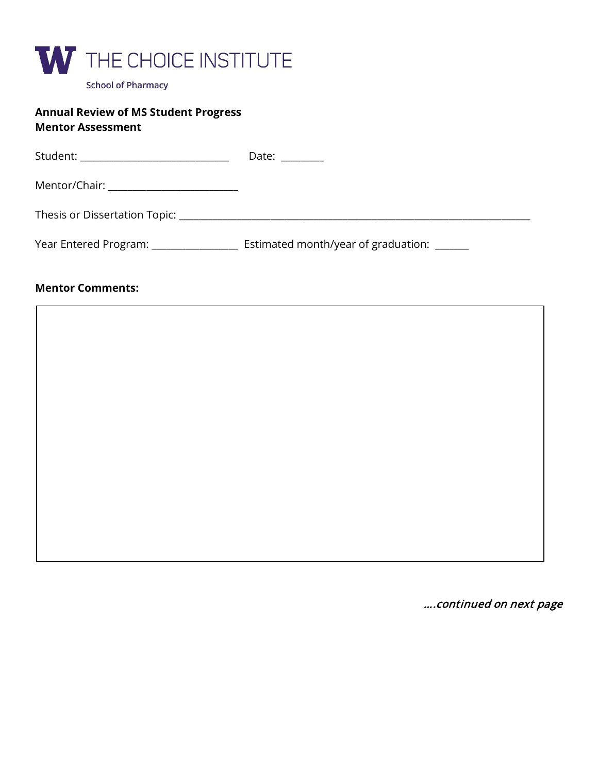

#### **Annual Review of MS Student Progress Mentor Assessment**

| Student: _______________________________                                                                                                                                                                                       | Date: $\frac{1}{\sqrt{1-\frac{1}{2}}}\frac{1}{\sqrt{1-\frac{1}{2}}}\frac{1}{\sqrt{1-\frac{1}{2}}}\frac{1}{\sqrt{1-\frac{1}{2}}}\frac{1}{\sqrt{1-\frac{1}{2}}}\frac{1}{\sqrt{1-\frac{1}{2}}}\frac{1}{\sqrt{1-\frac{1}{2}}}\frac{1}{\sqrt{1-\frac{1}{2}}}\frac{1}{\sqrt{1-\frac{1}{2}}}\frac{1}{\sqrt{1-\frac{1}{2}}}\frac{1}{\sqrt{1-\frac{1}{2}}}\frac{1}{\sqrt{1-\frac{1}{2}}}\frac{1}{\sqrt{1-\frac{1}{2}}}\frac{1}{\$ |
|--------------------------------------------------------------------------------------------------------------------------------------------------------------------------------------------------------------------------------|--------------------------------------------------------------------------------------------------------------------------------------------------------------------------------------------------------------------------------------------------------------------------------------------------------------------------------------------------------------------------------------------------------------------------|
| Mentor/Chair: ________________________                                                                                                                                                                                         |                                                                                                                                                                                                                                                                                                                                                                                                                          |
| Thesis or Dissertation Topic: National Contract of the Contract of the Contract of the Contract of the Contract of the Contract of the Contract of the Contract of the Contract of the Contract of the Contract of the Contrac |                                                                                                                                                                                                                                                                                                                                                                                                                          |
| Year Entered Program: _______________                                                                                                                                                                                          | Estimated month/year of graduation: ______                                                                                                                                                                                                                                                                                                                                                                               |

#### **Mentor Comments:**

….continued on next page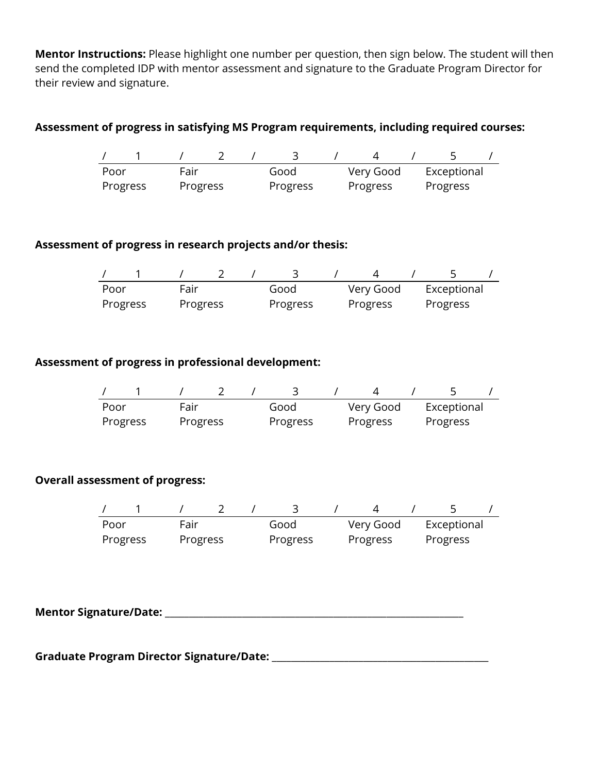**Mentor Instructions:** Please highlight one number per question, then sign below. The student will then send the completed IDP with mentor assessment and signature to the Graduate Program Director for their review and signature.

## **Assessment of progress in satisfying MS Program requirements, including required courses:**

| Poor     | Fair     |  | Good     | Very Good | Exceptional |  |
|----------|----------|--|----------|-----------|-------------|--|
| Progress | Progress |  | Progress | Progress  | Progress    |  |

## **Assessment of progress in research projects and/or thesis:**

| Poor     | Fair     |  | Good     | Very Good | Exceptional |  |
|----------|----------|--|----------|-----------|-------------|--|
| Progress | Progress |  | Progress | Progress  | Progress    |  |

#### **Assessment of progress in professional development:**

| Poor     | Fair     | Good     |  | Very Good | Exceptional |  |
|----------|----------|----------|--|-----------|-------------|--|
| Progress | Progress | Progress |  | Progress  | Progress    |  |

#### **Overall assessment of progress:**

| Poor     | Fair     | Good     | Very Good | Exceptional |
|----------|----------|----------|-----------|-------------|
| Progress | Progress | Progress | Progress  | Progress    |

**Mentor Signature/Date:** \_\_\_\_\_\_\_\_\_\_\_\_\_\_\_\_\_\_\_\_\_\_\_\_\_\_\_\_\_\_\_\_\_\_\_\_\_\_\_\_\_\_\_\_\_\_\_\_\_\_\_\_\_\_\_\_\_\_\_\_\_\_

**Graduate Program Director Signature/Date:** \_\_\_\_\_\_\_\_\_\_\_\_\_\_\_\_\_\_\_\_\_\_\_\_\_\_\_\_\_\_\_\_\_\_\_\_\_\_\_\_\_\_\_\_\_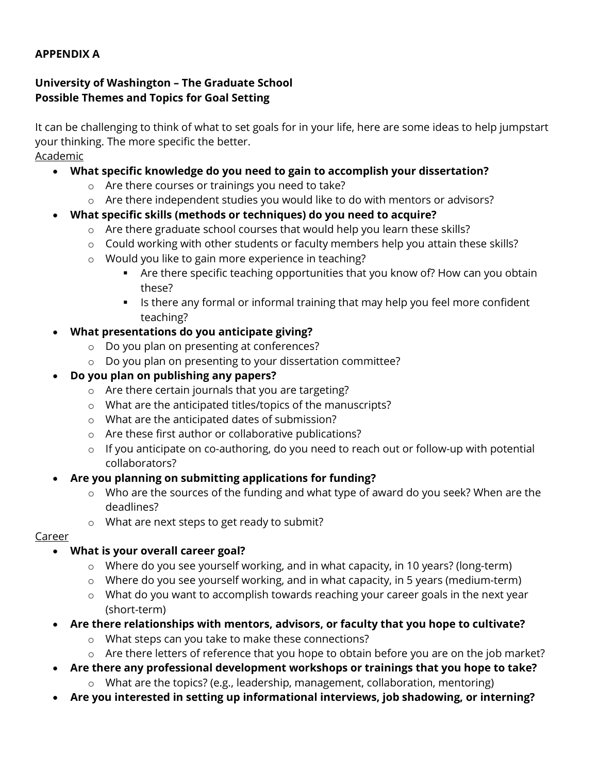### **APPENDIX A**

### **University of Washington – The Graduate School Possible Themes and Topics for Goal Setting**

It can be challenging to think of what to set goals for in your life, here are some ideas to help jumpstart your thinking. The more specific the better. Academic

## • **What specific knowledge do you need to gain to accomplish your dissertation?**

- o Are there courses or trainings you need to take?
- o Are there independent studies you would like to do with mentors or advisors?
- **What specific skills (methods or techniques) do you need to acquire?**
	- o Are there graduate school courses that would help you learn these skills?
	- o Could working with other students or faculty members help you attain these skills?
	- o Would you like to gain more experience in teaching?
		- Are there specific teaching opportunities that you know of? How can you obtain these?
		- **IF** Is there any formal or informal training that may help you feel more confident teaching?
- **What presentations do you anticipate giving?**
	- o Do you plan on presenting at conferences?
	- o Do you plan on presenting to your dissertation committee?
- **Do you plan on publishing any papers?**
	- o Are there certain journals that you are targeting?
	- o What are the anticipated titles/topics of the manuscripts?
	- o What are the anticipated dates of submission?
	- o Are these first author or collaborative publications?
	- o If you anticipate on co-authoring, do you need to reach out or follow-up with potential collaborators?
- **Are you planning on submitting applications for funding?**
	- o Who are the sources of the funding and what type of award do you seek? When are the deadlines?
	- o What are next steps to get ready to submit?

## Career

# • **What is your overall career goal?**

- o Where do you see yourself working, and in what capacity, in 10 years? (long-term)
- o Where do you see yourself working, and in what capacity, in 5 years (medium-term)
- o What do you want to accomplish towards reaching your career goals in the next year (short-term)
- **Are there relationships with mentors, advisors, or faculty that you hope to cultivate?**
	- o What steps can you take to make these connections?
	- o Are there letters of reference that you hope to obtain before you are on the job market?
- **Are there any professional development workshops or trainings that you hope to take?**
	- o What are the topics? (e.g., leadership, management, collaboration, mentoring)
- **Are you interested in setting up informational interviews, job shadowing, or interning?**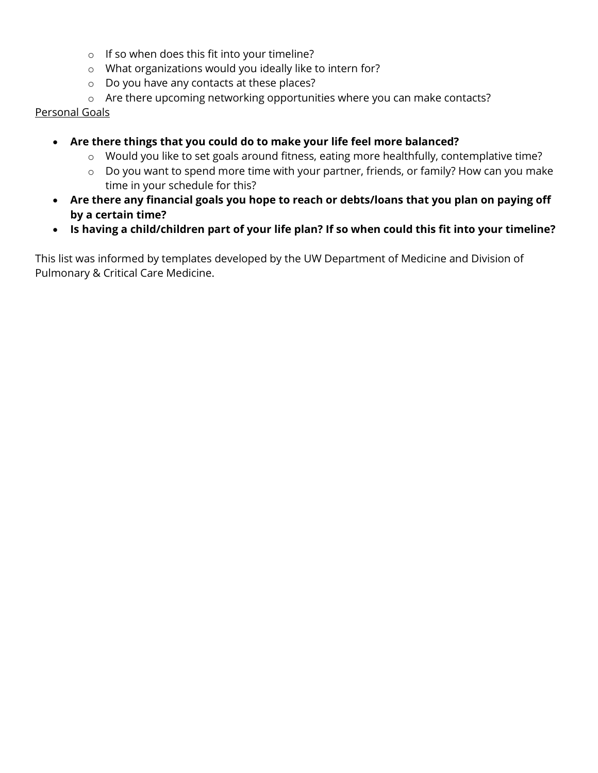- o If so when does this fit into your timeline?
- o What organizations would you ideally like to intern for?
- o Do you have any contacts at these places?
- o Are there upcoming networking opportunities where you can make contacts?

#### Personal Goals

- **Are there things that you could do to make your life feel more balanced?**
	- o Would you like to set goals around fitness, eating more healthfully, contemplative time?
	- o Do you want to spend more time with your partner, friends, or family? How can you make time in your schedule for this?
- **Are there any financial goals you hope to reach or debts/loans that you plan on paying off by a certain time?**
- **Is having a child/children part of your life plan? If so when could this fit into your timeline?**

This list was informed by templates developed by the UW Department of Medicine and Division of Pulmonary & Critical Care Medicine.